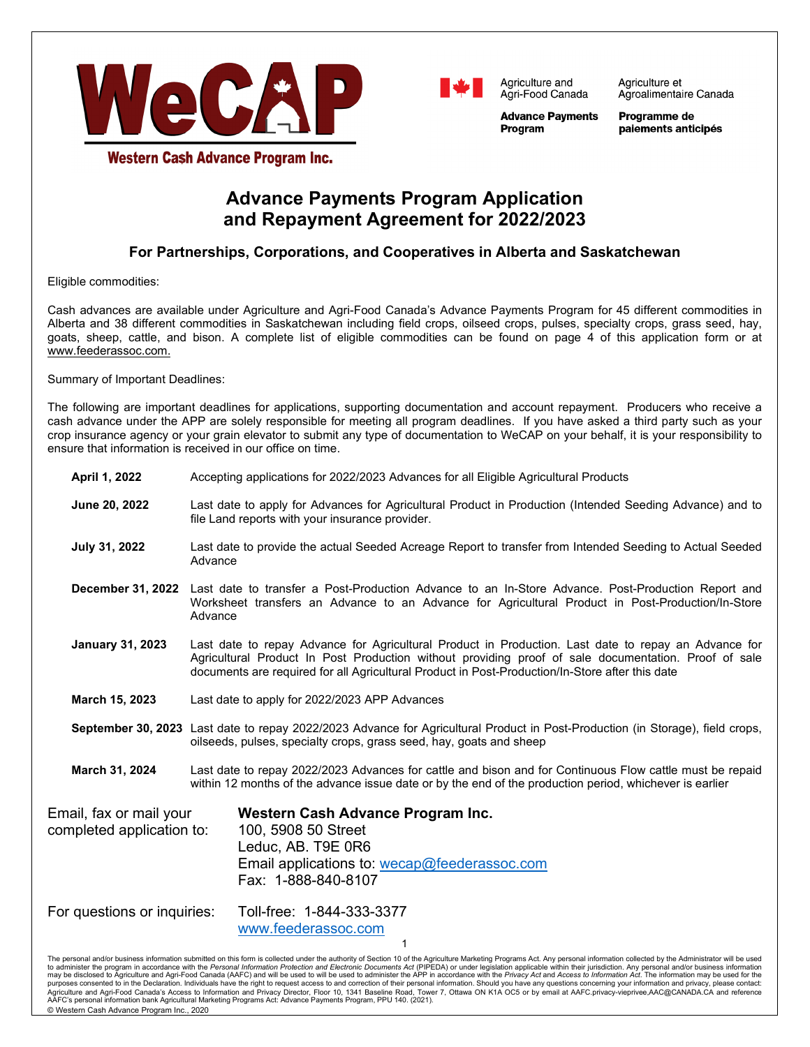



Agriculture et Agroalimentaire Canada

**Advance Payments** Program

Programme de paiements anticipés

Western Cash Advance Program Inc.

# **Advance Payments Program Application and Repayment Agreement for 2022/2023**

# **For Partnerships, Corporations, and Cooperatives in Alberta and Saskatchewan**

Eligible commodities:

Cash advances are available under Agriculture and Agri-Food Canada's Advance Payments Program for 45 different commodities in Alberta and 38 different commodities in Saskatchewan including field crops, oilseed crops, pulses, specialty crops, grass seed, hay, goats, sheep, cattle, and bison. A complete list of eligible commodities can be found on page 4 of this application form or at www.feederassoc.com.

Summary of Important Deadlines:

The following are important deadlines for applications, supporting documentation and account repayment. Producers who receive a cash advance under the APP are solely responsible for meeting all program deadlines. If you have asked a third party such as your crop insurance agency or your grain elevator to submit any type of documentation to WeCAP on your behalf, it is your responsibility to ensure that information is received in our office on time.

| April 1, 2022                                        | Accepting applications for 2022/2023 Advances for all Eligible Agricultural Products                                                                                                                                                                                                                                                                                                                                                                   |  |  |  |
|------------------------------------------------------|--------------------------------------------------------------------------------------------------------------------------------------------------------------------------------------------------------------------------------------------------------------------------------------------------------------------------------------------------------------------------------------------------------------------------------------------------------|--|--|--|
| June 20, 2022                                        | Last date to apply for Advances for Agricultural Product in Production (Intended Seeding Advance) and to<br>file Land reports with your insurance provider.                                                                                                                                                                                                                                                                                            |  |  |  |
| July 31, 2022                                        | Last date to provide the actual Seeded Acreage Report to transfer from Intended Seeding to Actual Seeded<br>Advance                                                                                                                                                                                                                                                                                                                                    |  |  |  |
| <b>December 31, 2022</b>                             | Last date to transfer a Post-Production Advance to an In-Store Advance. Post-Production Report and<br>Worksheet transfers an Advance to an Advance for Agricultural Product in Post-Production/In-Store<br>Advance                                                                                                                                                                                                                                     |  |  |  |
| <b>January 31, 2023</b>                              | Last date to repay Advance for Agricultural Product in Production. Last date to repay an Advance for<br>Agricultural Product In Post Production without providing proof of sale documentation. Proof of sale<br>documents are required for all Agricultural Product in Post-Production/In-Store after this date                                                                                                                                        |  |  |  |
| March 15, 2023                                       | Last date to apply for 2022/2023 APP Advances                                                                                                                                                                                                                                                                                                                                                                                                          |  |  |  |
|                                                      | September 30, 2023 Last date to repay 2022/2023 Advance for Agricultural Product in Post-Production (in Storage), field crops,<br>oilseeds, pulses, specialty crops, grass seed, hay, goats and sheep                                                                                                                                                                                                                                                  |  |  |  |
| March 31, 2024                                       | Last date to repay 2022/2023 Advances for cattle and bison and for Continuous Flow cattle must be repaid<br>within 12 months of the advance issue date or by the end of the production period, whichever is earlier                                                                                                                                                                                                                                    |  |  |  |
| Email, fax or mail your<br>completed application to: | Western Cash Advance Program Inc.<br>100, 5908 50 Street<br>Leduc, AB. T9E 0R6<br>Email applications to: wecap@feederassoc.com<br>Fax: 1-888-840-8107                                                                                                                                                                                                                                                                                                  |  |  |  |
| For questions or inquiries:                          | Toll-free: 1-844-333-3377<br>www.feederassoc.com<br>1<br>The personal and/or business information submitted on this form is collected under the authority of Section 10 of the Agriculture Marketing Programs Act. Any personal information collected by the Administrator will be used                                                                                                                                                                |  |  |  |
|                                                      | to administer the program in accordance with the Personal Information Protection and Electronic Documents Act (PIPEDA) or under legislation applicable within their jurisdiction. Any personal and/or business information<br>may be disclosed to Agriculture and Agri-Food Canada (AAFC) and will be used to will be used to administer the APP in accordance with the Privacy Act and Access to Information Act. The information may be used for the |  |  |  |

The personal and/or business information submitted on this form is collected under the authority of Section 10 of the Agriculture Marketing Programs Act. Any personal information collected by the Administrator will be used to administer the program in accordance with the Personal Information Protection and Electronic Documents Act (PIPEDA) or under legislation applicable within their jurisdiction. Any personal and/or business information may be disclosed to Agriculture and Agri-Food Canada (AAFC) and will be used to will be used to administer the APP in accordance with the *Privacy Act* and Access to I*nformation Act*. The information may be used for the<br> AAFC's personal information bank Agricultural Marketing Programs Act: Advance Payments Program, PPU 140. (2021). © Western Cash Advance Program Inc., 2020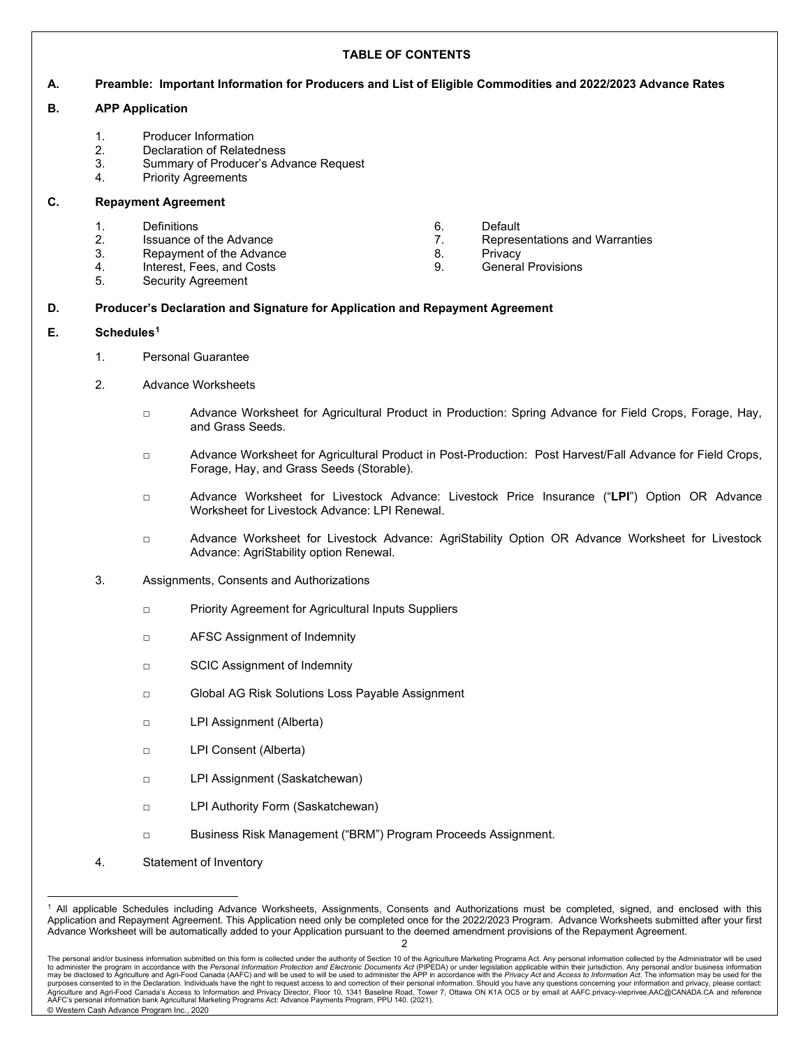### **TABLE OF CONTENTS**

### **A. Preamble: Important Information for Producers and List of Eligible Commodities and 2022/2023 Advance Rates**

#### **B. APP Application**

- 1. Producer Information
- 2. Declaration of Relatedness
- 3. Summary of Producer's Advance Request
- 4. Priority Agreements

### **C. Repayment Agreement**

- 
- 1. Definitions 1. Default 1. Default 1. Default 1. Default 1. Default 1. Default 1. Default 1. Default 1. Default 1. Default 1. Default 1. Depres Issuance of the Advance The Advance **7.** Representations and Warranties
- 3. Repayment of the Advance **8.** Privacy
- 4. Interest, Fees, and Costs 9. General Provisions
- 5. Security Agreement
- **D. Producer's Declaration and Signature for Application and Repayment Agreement**

### **E. Schedule[s1](#page-1-0)**

- 1. Personal Guarantee
- 2. Advance Worksheets
	- □ Advance Worksheet for Agricultural Product in Production: Spring Advance for Field Crops, Forage, Hay, and Grass Seeds.
	- □ Advance Worksheet for Agricultural Product in Post-Production: Post Harvest/Fall Advance for Field Crops, Forage, Hay, and Grass Seeds (Storable).
	- □ Advance Worksheet for Livestock Advance: Livestock Price Insurance ("**LPI**") Option OR Advance Worksheet for Livestock Advance: LPI Renewal.
	- □ Advance Worksheet for Livestock Advance: AgriStability Option OR Advance Worksheet for Livestock Advance: AgriStability option Renewal.
- 3. Assignments, Consents and Authorizations
	- □ Priority Agreement for Agricultural Inputs Suppliers
	- □ AFSC Assignment of Indemnity
	- □ SCIC Assignment of Indemnity
	- □ Global AG Risk Solutions Loss Payable Assignment
	- □ LPI Assignment (Alberta)
	- □ LPI Consent (Alberta)
	- □ LPI Assignment (Saskatchewan)
	- □ LPI Authority Form (Saskatchewan)
	- □ Business Risk Management ("BRM") Program Proceeds Assignment.
- 4. Statement of Inventory

<span id="page-1-0"></span><sup>1</sup> All applicable Schedules including Advance Worksheets, Assignments, Consents and Authorizations must be completed, signed, and enclosed with this Application and Repayment Agreement. This Application need only be completed once for the 2022/2023 Program. Advance Worksheets submitted after your first Advance Worksheet will be automatically added to your Application pursuant to the deemed amendment provisions of the Repayment Agreement.

The personal and/or business information submitted on this form is collected under the authority of Section 10 of the Agriculture Marketing Programs Act. Any personal information collected by the Administrator will be used purposes consented to in the Declaration. Individuals have the right to request access to and correction of their personal information. Should you have any questions concerning your information and privacy, please contact: AAFC's personal information bank Agricultural Marketing Programs Act: Advance Payments Program, PPU 140. (2021). © Western Cash Advance Program Inc., 2020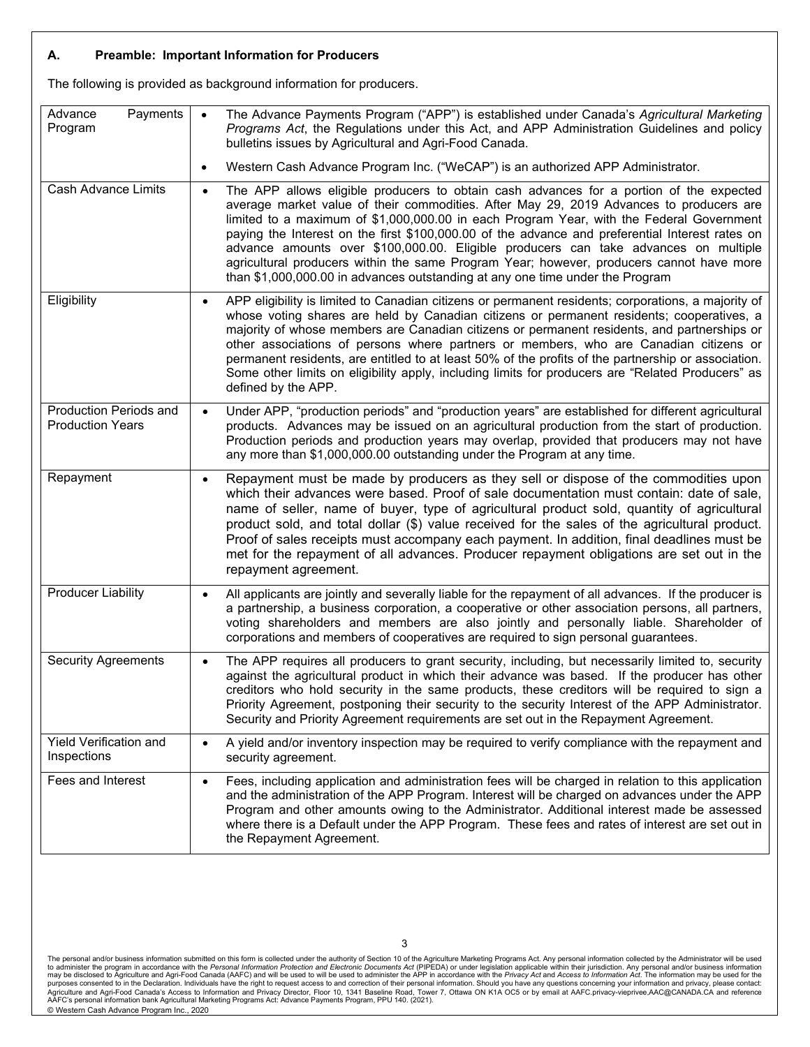### **A. Preamble: Important Information for Producers**

The following is provided as background information for producers.

| Advance<br>Payments<br>Program                           | The Advance Payments Program ("APP") is established under Canada's Agricultural Marketing<br>Programs Act, the Regulations under this Act, and APP Administration Guidelines and policy<br>bulletins issues by Agricultural and Agri-Food Canada.                                                                                                                                                                                                                                                                                                                                                                                                                  |
|----------------------------------------------------------|--------------------------------------------------------------------------------------------------------------------------------------------------------------------------------------------------------------------------------------------------------------------------------------------------------------------------------------------------------------------------------------------------------------------------------------------------------------------------------------------------------------------------------------------------------------------------------------------------------------------------------------------------------------------|
|                                                          | Western Cash Advance Program Inc. ("WeCAP") is an authorized APP Administrator.<br>$\bullet$                                                                                                                                                                                                                                                                                                                                                                                                                                                                                                                                                                       |
| <b>Cash Advance Limits</b>                               | The APP allows eligible producers to obtain cash advances for a portion of the expected<br>$\bullet$<br>average market value of their commodities. After May 29, 2019 Advances to producers are<br>limited to a maximum of \$1,000,000.00 in each Program Year, with the Federal Government<br>paying the Interest on the first \$100,000.00 of the advance and preferential Interest rates on<br>advance amounts over \$100,000.00. Eligible producers can take advances on multiple<br>agricultural producers within the same Program Year; however, producers cannot have more<br>than \$1,000,000.00 in advances outstanding at any one time under the Program |
| Eligibility                                              | APP eligibility is limited to Canadian citizens or permanent residents; corporations, a majority of<br>whose voting shares are held by Canadian citizens or permanent residents; cooperatives, a<br>majority of whose members are Canadian citizens or permanent residents, and partnerships or<br>other associations of persons where partners or members, who are Canadian citizens or<br>permanent residents, are entitled to at least 50% of the profits of the partnership or association.<br>Some other limits on eligibility apply, including limits for producers are "Related Producers" as<br>defined by the APP.                                        |
| <b>Production Periods and</b><br><b>Production Years</b> | Under APP, "production periods" and "production years" are established for different agricultural<br>products. Advances may be issued on an agricultural production from the start of production.<br>Production periods and production years may overlap, provided that producers may not have<br>any more than \$1,000,000.00 outstanding under the Program at any time.                                                                                                                                                                                                                                                                                          |
| Repayment                                                | Repayment must be made by producers as they sell or dispose of the commodities upon<br>$\bullet$<br>which their advances were based. Proof of sale documentation must contain: date of sale,<br>name of seller, name of buyer, type of agricultural product sold, quantity of agricultural<br>product sold, and total dollar (\$) value received for the sales of the agricultural product.<br>Proof of sales receipts must accompany each payment. In addition, final deadlines must be<br>met for the repayment of all advances. Producer repayment obligations are set out in the<br>repayment agreement.                                                       |
| <b>Producer Liability</b>                                | All applicants are jointly and severally liable for the repayment of all advances. If the producer is<br>a partnership, a business corporation, a cooperative or other association persons, all partners,<br>voting shareholders and members are also jointly and personally liable. Shareholder of<br>corporations and members of cooperatives are required to sign personal guarantees.                                                                                                                                                                                                                                                                          |
| <b>Security Agreements</b>                               | The APP requires all producers to grant security, including, but necessarily limited to, security<br>$\bullet$<br>against the agricultural product in which their advance was based. If the producer has other<br>creditors who hold security in the same products, these creditors will be required to sign a<br>Priority Agreement, postponing their security to the security Interest of the APP Administrator.<br>Security and Priority Agreement requirements are set out in the Repayment Agreement.                                                                                                                                                         |
| Yield Verification and<br>Inspections                    | A yield and/or inventory inspection may be required to verify compliance with the repayment and<br>$\bullet$<br>security agreement.                                                                                                                                                                                                                                                                                                                                                                                                                                                                                                                                |
| Fees and Interest                                        | Fees, including application and administration fees will be charged in relation to this application<br>$\bullet$<br>and the administration of the APP Program. Interest will be charged on advances under the APP<br>Program and other amounts owing to the Administrator. Additional interest made be assessed<br>where there is a Default under the APP Program. These fees and rates of interest are set out in<br>the Repayment Agreement.                                                                                                                                                                                                                     |

The personal and/or business information submitted on this form is collected under the authority of Section 10 of the Agriculture Marketing Programs Act. Any personal information collected by the Administrator will be used © Western Cash Advance Program Inc., 2020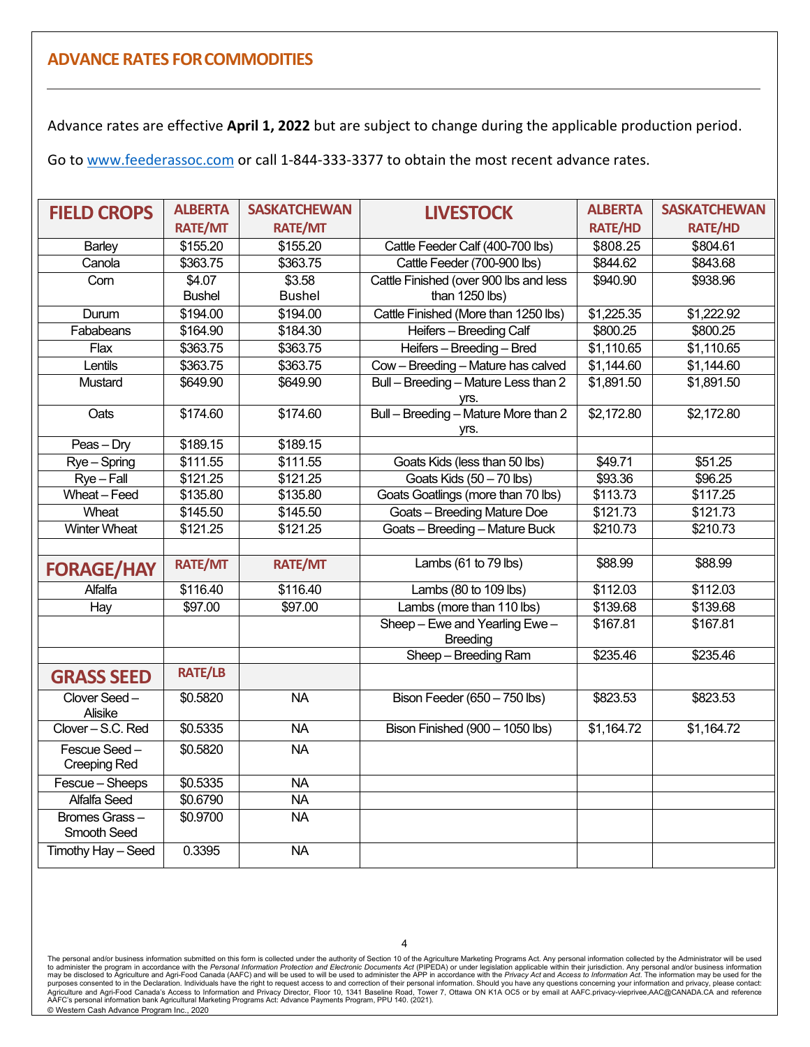# **ADVANCE RATES FORCOMMODITIES**

Advance rates are effective **April 1, 2022** but are subject to change during the applicable production period.

Go t[o www.feederassoc.com](http://www.feederassoc.com/) or call 1-844-333-3377 to obtain the most recent advance rates.

| <b>FIELD CROPS</b>                  | <b>ALBERTA</b> | <b>SASKATCHEWAN</b> | <b>LIVESTOCK</b>                                  | <b>ALBERTA</b>         | <b>SASKATCHEWAN</b> |
|-------------------------------------|----------------|---------------------|---------------------------------------------------|------------------------|---------------------|
|                                     | <b>RATE/MT</b> | <b>RATE/MT</b>      |                                                   | <b>RATE/HD</b>         | <b>RATE/HD</b>      |
| Barley                              | \$155.20       | \$155.20            | Cattle Feeder Calf (400-700 lbs)                  | \$808.25               | \$804.61            |
| Canola                              | \$363.75       | \$363.75            | Cattle Feeder (700-900 lbs)                       | \$844.62               | \$843.68            |
| Corn                                | \$4.07         | \$3.58              | Cattle Finished (over 900 lbs and less            | \$940.90               | \$938.96            |
|                                     | <b>Bushel</b>  | <b>Bushel</b>       | than 1250 lbs)                                    |                        |                     |
| Durum                               | \$194.00       | \$194.00            | Cattle Finished (More than 1250 lbs)              | \$1,225.35             | \$1,222.92          |
| Fababeans                           | \$164.90       | \$184.30            | Heifers - Breeding Calf                           | \$800.25               | \$800.25            |
| Flax                                | \$363.75       | \$363.75            | Heifers - Breeding - Bred                         | $\overline{$1,110.65}$ | \$1,110.65          |
| Lentils                             | \$363.75       | \$363.75            | Cow - Breeding - Mature has calved                | \$1,144.60             | \$1,144.60          |
| Mustard                             | \$649.90       | \$649.90            | Bull - Breeding - Mature Less than 2              | \$1,891.50             | \$1,891.50          |
|                                     |                |                     | yrs.                                              |                        |                     |
| Oats                                | \$174.60       | \$174.60            | Bull - Breeding - Mature More than 2              | \$2,172.80             | \$2,172.80          |
|                                     |                |                     | yrs.                                              |                        |                     |
| Peas - Dry                          | \$189.15       | \$189.15            |                                                   |                        |                     |
| Rye-Spring                          | \$111.55       | \$111.55            | Goats Kids (less than 50 lbs)                     | \$49.71                | \$51.25             |
| $Rye-Fall$                          | \$121.25       | \$121.25            | Goats Kids (50 - 70 lbs)                          | \$93.36                | \$96.25             |
| Wheat - Feed                        | \$135.80       | \$135.80            | Goats Goatlings (more than 70 lbs)                | \$113.73               | \$117.25            |
| Wheat                               | \$145.50       | \$145.50            | <b>Goats - Breeding Mature Doe</b>                | \$121.73               | \$121.73            |
| <b>Winter Wheat</b>                 | \$121.25       | \$121.25            | Goats - Breeding - Mature Buck                    | \$210.73               | \$210.73            |
|                                     |                |                     |                                                   |                        |                     |
| <b>FORAGE/HAY</b>                   | <b>RATE/MT</b> | <b>RATE/MT</b>      | Lambs (61 to 79 lbs)                              | \$88.99                | \$88.99             |
| Alfalfa                             | \$116.40       | \$116.40            | Lambs (80 to 109 lbs)                             | \$112.03               | \$112.03            |
| Hay                                 | \$97.00        | \$97.00             | Lambs (more than 110 lbs)                         | \$139.68               | \$139.68            |
|                                     |                |                     | Sheep - Ewe and Yearling Ewe -<br><b>Breeding</b> | \$167.81               | \$167.81            |
|                                     |                |                     | Sheep - Breeding Ram                              | \$235.46               | \$235.46            |
| <b>GRASS SEED</b>                   | <b>RATE/LB</b> |                     |                                                   |                        |                     |
| Clover Seed-<br>Alisike             | \$0.5820       | <b>NA</b>           | Bison Feeder (650 - 750 lbs)                      | \$823.53               | \$823.53            |
| Clover-S.C. Red                     | \$0.5335       | <b>NA</b>           | Bison Finished (900 - 1050 lbs)                   | \$1,164.72             | \$1,164.72          |
| Fescue Seed-<br><b>Creeping Red</b> | \$0.5820       | <b>NA</b>           |                                                   |                        |                     |
| Fescue - Sheeps                     | \$0.5335       | <b>NA</b>           |                                                   |                        |                     |
| Alfalfa Seed                        | \$0.6790       | <b>NA</b>           |                                                   |                        |                     |
| Bromes Grass-<br>Smooth Seed        | \$0.9700       | <b>NA</b>           |                                                   |                        |                     |
| Timothy Hay - Seed                  | 0.3395         | <b>NA</b>           |                                                   |                        |                     |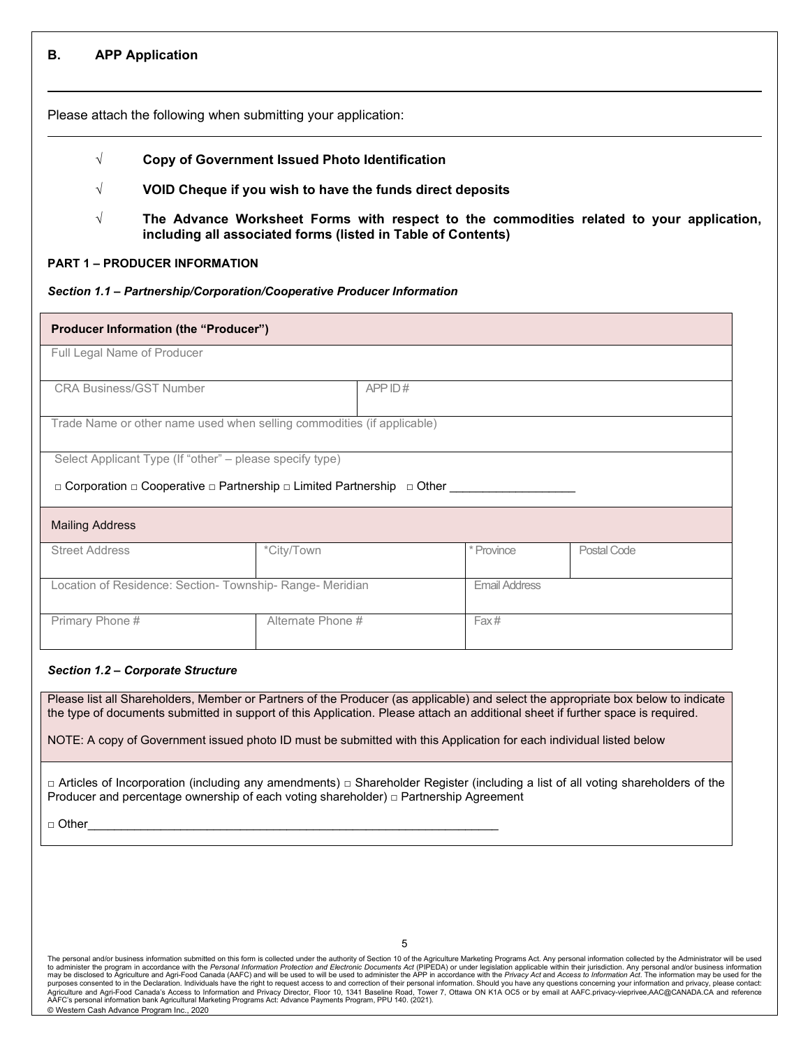### **B. APP Application**

 $\ddot{\phantom{a}}$ 

Please attach the following when submitting your application:

- **√ Copy of Government Issued Photo Identification**
- **√ VOID Cheque if you wish to have the funds direct deposits**
- **√ The Advance Worksheet Forms with respect to the commodities related to your application, including all associated forms (listed in Table of Contents)**

## **PART 1 – PRODUCER INFORMATION**

## *Section 1.1 – Partnership/Corporation/Cooperative Producer Information*

| <b>Producer Information (the "Producer")</b>                                                                                                                 |                   |        |      |  |
|--------------------------------------------------------------------------------------------------------------------------------------------------------------|-------------------|--------|------|--|
| Full Legal Name of Producer                                                                                                                                  |                   |        |      |  |
| <b>CRA Business/GST Number</b>                                                                                                                               |                   | APPID# |      |  |
| Trade Name or other name used when selling commodities (if applicable)                                                                                       |                   |        |      |  |
| Select Applicant Type (If "other" – please specify type)<br>$\Box$ Corporation $\Box$ Cooperative $\Box$ Partnership $\Box$ Limited Partnership $\Box$ Other |                   |        |      |  |
| <b>Mailing Address</b>                                                                                                                                       |                   |        |      |  |
| <b>Street Address</b><br>*City/Town<br>* Province<br>Postal Code                                                                                             |                   |        |      |  |
| Location of Residence: Section- Township- Range- Meridian<br><b>Email Address</b>                                                                            |                   |        |      |  |
| Primary Phone #                                                                                                                                              | Alternate Phone # |        | Fax# |  |

### *Section 1.2 – Corporate Structure*

Please list all Shareholders, Member or Partners of the Producer (as applicable) and select the appropriate box below to indicate the type of documents submitted in support of this Application. Please attach an additional sheet if further space is required.

NOTE: A copy of Government issued photo ID must be submitted with this Application for each individual listed below

□ Articles of Incorporation (including any amendments) □ Shareholder Register (including a list of all voting shareholders of the Producer and percentage ownership of each voting shareholder) □ Partnership Agreement

□ Other\_\_\_\_\_\_\_\_\_\_\_\_\_\_\_\_\_\_\_\_\_\_\_\_\_\_\_\_\_\_\_\_\_\_\_\_\_\_\_\_\_\_\_\_\_\_\_\_\_\_\_\_\_\_\_\_\_\_\_\_\_\_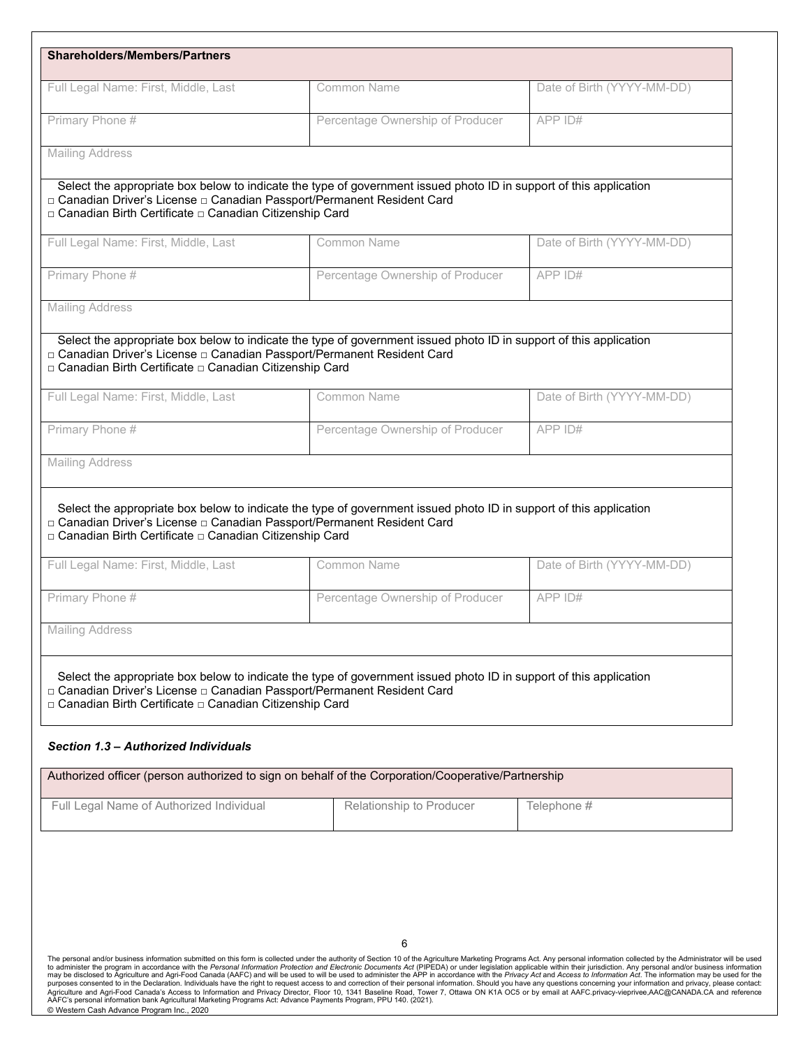| Full Legal Name: First, Middle, Last                                                                                                                                        | Common Name                                                                                                        | Date of Birth (YYYY-MM-DD) |
|-----------------------------------------------------------------------------------------------------------------------------------------------------------------------------|--------------------------------------------------------------------------------------------------------------------|----------------------------|
| Primary Phone #                                                                                                                                                             |                                                                                                                    |                            |
|                                                                                                                                                                             | Percentage Ownership of Producer                                                                                   | APP ID#                    |
| <b>Mailing Address</b>                                                                                                                                                      |                                                                                                                    |                            |
| □ Canadian Driver's License □ Canadian Passport/Permanent Resident Card<br>□ Canadian Birth Certificate □ Canadian Citizenship Card                                         | Select the appropriate box below to indicate the type of government issued photo ID in support of this application |                            |
| Full Legal Name: First, Middle, Last                                                                                                                                        | Common Name                                                                                                        | Date of Birth (YYYY-MM-DD) |
| Primary Phone #                                                                                                                                                             | Percentage Ownership of Producer                                                                                   | APP ID#                    |
| <b>Mailing Address</b>                                                                                                                                                      |                                                                                                                    |                            |
| □ Canadian Driver's License □ Canadian Passport/Permanent Resident Card<br>□ Canadian Birth Certificate □ Canadian Citizenship Card                                         | Select the appropriate box below to indicate the type of government issued photo ID in support of this application |                            |
| Full Legal Name: First, Middle, Last                                                                                                                                        | Common Name                                                                                                        | Date of Birth (YYYY-MM-DD) |
|                                                                                                                                                                             |                                                                                                                    |                            |
| Primary Phone #                                                                                                                                                             | Percentage Ownership of Producer                                                                                   | APP ID#                    |
| <b>Mailing Address</b>                                                                                                                                                      | Select the appropriate box below to indicate the type of government issued photo ID in support of this application |                            |
| □ Canadian Driver's License □ Canadian Passport/Permanent Resident Card<br>□ Canadian Birth Certificate □ Canadian Citizenship Card<br>Full Legal Name: First, Middle, Last | Common Name                                                                                                        | Date of Birth (YYYY-MM-DD) |
| Primary Phone #                                                                                                                                                             | Percentage Ownership of Producer                                                                                   | APP ID#                    |
| <b>Mailing Address</b>                                                                                                                                                      |                                                                                                                    |                            |
|                                                                                                                                                                             |                                                                                                                    |                            |
| □ Canadian Driver's License □ Canadian Passport/Permanent Resident Card<br>□ Canadian Birth Certificate □ Canadian Citizenship Card                                         | Select the appropriate box below to indicate the type of government issued photo ID in support of this application |                            |
| Section 1.3 – Authorized Individuals                                                                                                                                        |                                                                                                                    |                            |
|                                                                                                                                                                             | Authorized officer (person authorized to sign on behalf of the Corporation/Cooperative/Partnership                 |                            |
| Full Legal Name of Authorized Individual                                                                                                                                    | Relationship to Producer                                                                                           | Telephone #                |

The personal and/or business information submitted on this form is collected under the authority of Section 10 of the Agriculture Marketing Programs Act. Any personal information collected by the Administrator will be used © Western Cash Advance Program Inc., 2020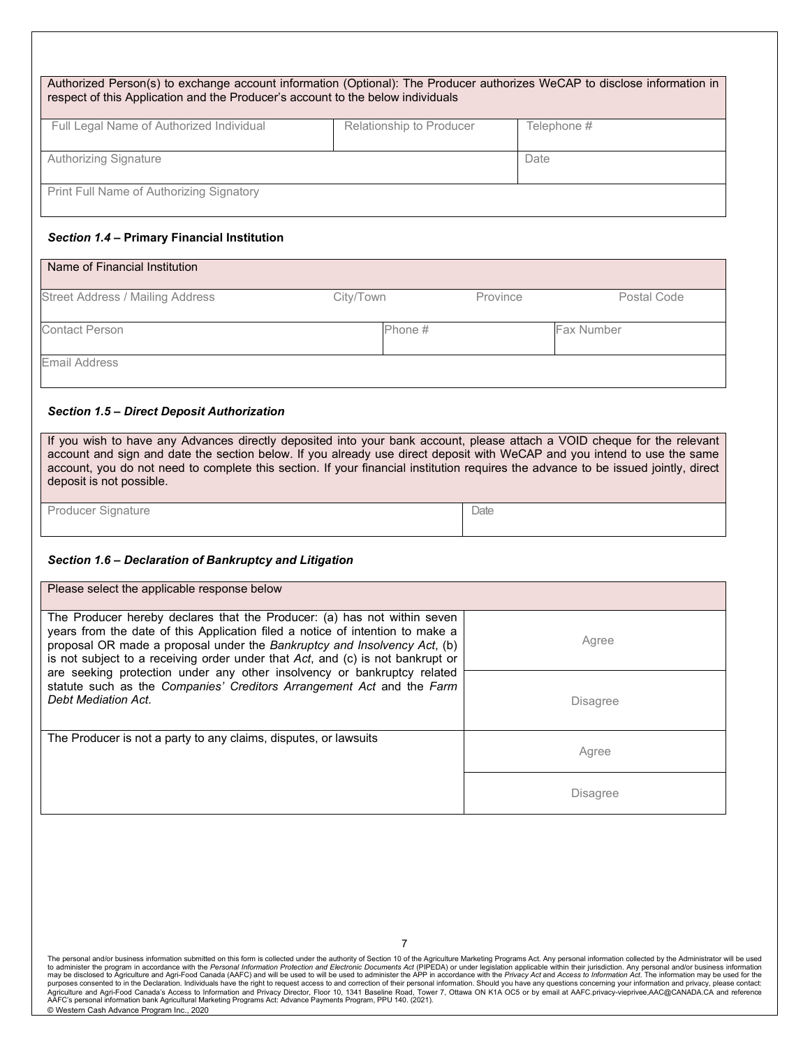| Authorized Person(s) to exchange account information (Optional): The Producer authorizes WeCAP to disclose information in<br>respect of this Application and the Producer's account to the below individuals |                          |             |  |  |
|--------------------------------------------------------------------------------------------------------------------------------------------------------------------------------------------------------------|--------------------------|-------------|--|--|
| Full Legal Name of Authorized Individual                                                                                                                                                                     | Relationship to Producer | Telephone # |  |  |
| Authorizing Signature<br>Date                                                                                                                                                                                |                          |             |  |  |
| Print Full Name of Authorizing Signatory                                                                                                                                                                     |                          |             |  |  |

### *Section 1.4 –* **Primary Financial Institution**

| Name of Financial Institution           |           |          |                   |
|-----------------------------------------|-----------|----------|-------------------|
| <b>Street Address / Mailing Address</b> | City/Town | Province | Postal Code       |
| <b>Contact Person</b>                   | Phone #   |          | <b>Fax Number</b> |
| Email Address                           |           |          |                   |

#### *Section 1.5 – Direct Deposit Authorization*

If you wish to have any Advances directly deposited into your bank account, please attach a VOID cheque for the relevant account and sign and date the section below. If you already use direct deposit with WeCAP and you intend to use the same account, you do not need to complete this section. If your financial institution requires the advance to be issued jointly, direct deposit is not possible.

**Date** 

Producer Signature

#### *Section 1.6 – Declaration of Bankruptcy and Litigation*

| Please select the applicable response below                                                                                                                                                                                                                                                                                  |                 |
|------------------------------------------------------------------------------------------------------------------------------------------------------------------------------------------------------------------------------------------------------------------------------------------------------------------------------|-----------------|
| The Producer hereby declares that the Producer: (a) has not within seven<br>years from the date of this Application filed a notice of intention to make a<br>proposal OR made a proposal under the Bankruptcy and Insolvency Act, (b)<br>is not subject to a receiving order under that $Act$ , and $(c)$ is not bankrupt or | Agree           |
| are seeking protection under any other insolvency or bankruptcy related<br>statute such as the Companies' Creditors Arrangement Act and the Farm<br>Debt Mediation Act.                                                                                                                                                      | <b>Disagree</b> |
| The Producer is not a party to any claims, disputes, or lawsuits                                                                                                                                                                                                                                                             | Agree           |
|                                                                                                                                                                                                                                                                                                                              | <b>Disagree</b> |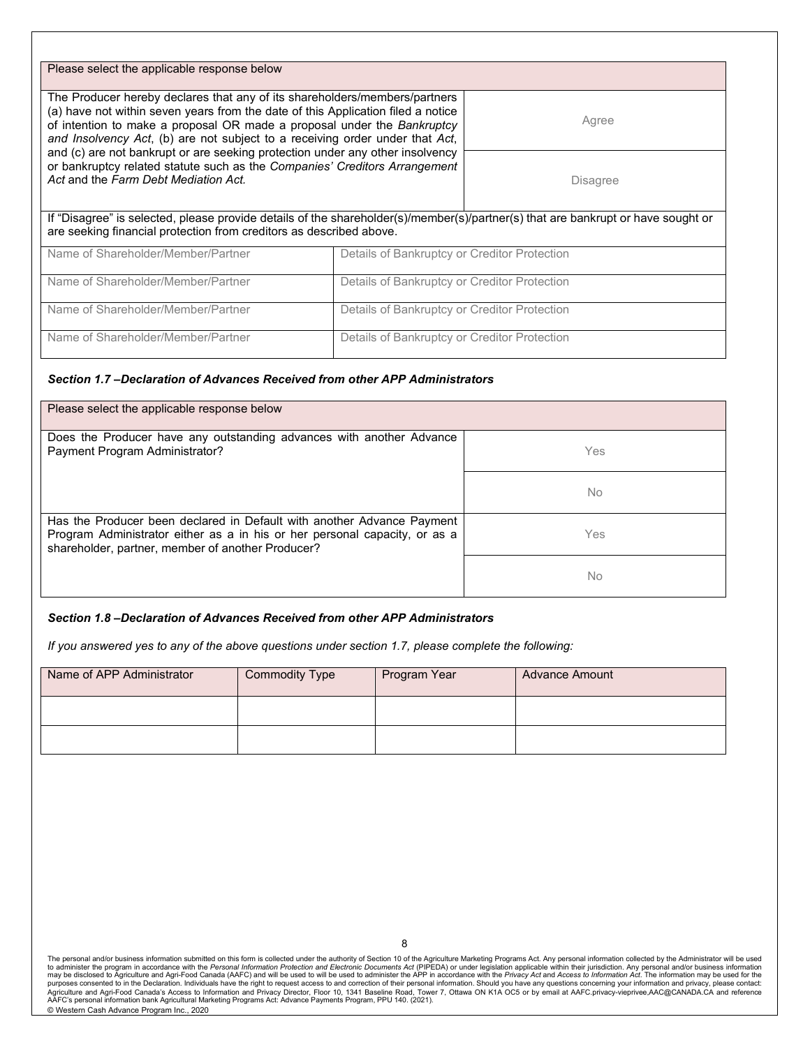| Please select the applicable response below                                                                                                                                                                                                                                                                                                                                                                |                                              |  |  |  |  |
|------------------------------------------------------------------------------------------------------------------------------------------------------------------------------------------------------------------------------------------------------------------------------------------------------------------------------------------------------------------------------------------------------------|----------------------------------------------|--|--|--|--|
| The Producer hereby declares that any of its shareholders/members/partners<br>(a) have not within seven years from the date of this Application filed a notice<br>of intention to make a proposal OR made a proposal under the Bankruptcy<br>and Insolvency Act, (b) are not subject to a receiving order under that Act,<br>and (c) are not bankrupt or are seeking protection under any other insolvency | Agree                                        |  |  |  |  |
| or bankruptcy related statute such as the Companies' Creditors Arrangement<br>Act and the Farm Debt Mediation Act.                                                                                                                                                                                                                                                                                         | <b>Disagree</b>                              |  |  |  |  |
| If "Disagree" is selected, please provide details of the shareholder(s)/member(s)/partner(s) that are bankrupt or have sought or<br>are seeking financial protection from creditors as described above.                                                                                                                                                                                                    |                                              |  |  |  |  |
| Name of Shareholder/Member/Partner                                                                                                                                                                                                                                                                                                                                                                         | Details of Bankruptcy or Creditor Protection |  |  |  |  |
| Name of Shareholder/Member/Partner                                                                                                                                                                                                                                                                                                                                                                         | Details of Bankruptcy or Creditor Protection |  |  |  |  |
| Name of Shareholder/Member/Partner                                                                                                                                                                                                                                                                                                                                                                         | Details of Bankruptcy or Creditor Protection |  |  |  |  |
| Name of Shareholder/Member/Partner                                                                                                                                                                                                                                                                                                                                                                         | Details of Bankruptcy or Creditor Protection |  |  |  |  |

#### *Section 1.7 –Declaration of Advances Received from other APP Administrators*

| Please select the applicable response below                                                                                                                                                               |     |
|-----------------------------------------------------------------------------------------------------------------------------------------------------------------------------------------------------------|-----|
| Does the Producer have any outstanding advances with another Advance<br>Payment Program Administrator?                                                                                                    | Yes |
|                                                                                                                                                                                                           | No  |
| Has the Producer been declared in Default with another Advance Payment<br>Program Administrator either as a in his or her personal capacity, or as a<br>shareholder, partner, member of another Producer? | Yes |
|                                                                                                                                                                                                           | No  |

#### *Section 1.8 –Declaration of Advances Received from other APP Administrators*

*If you answered yes to any of the above questions under section 1.7, please complete the following:* 

| Name of APP Administrator | <b>Commodity Type</b> | Program Year | <b>Advance Amount</b> |
|---------------------------|-----------------------|--------------|-----------------------|
|                           |                       |              |                       |
|                           |                       |              |                       |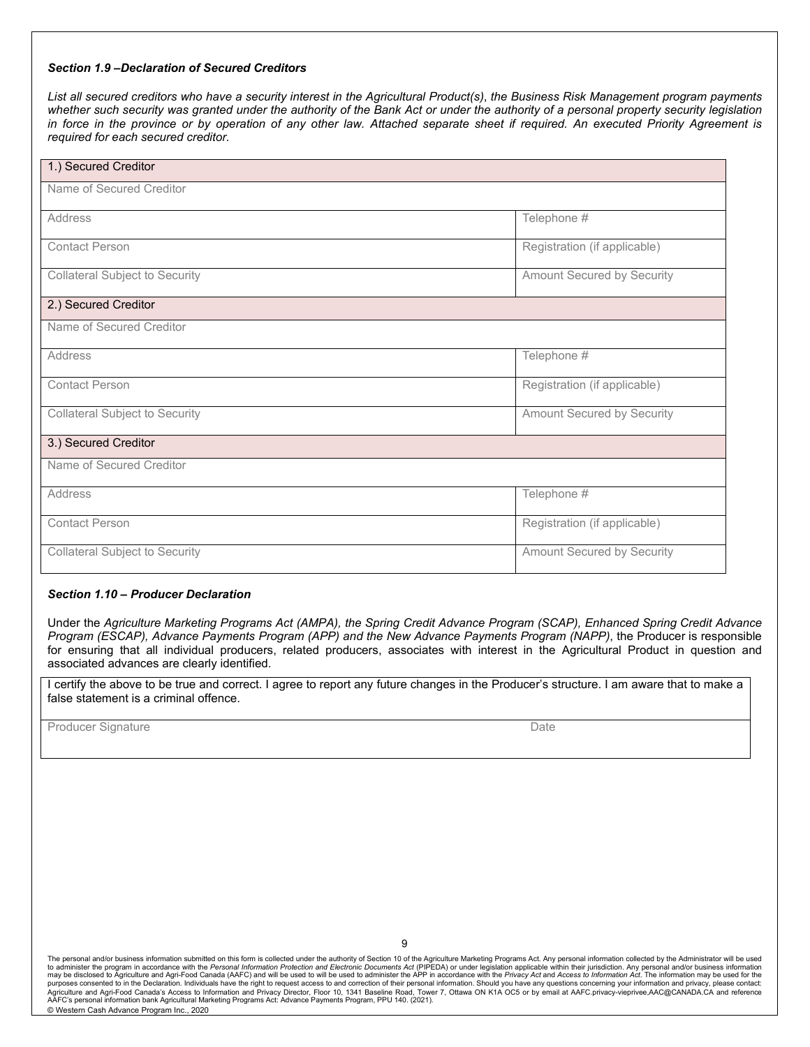### *Section 1.9 –Declaration of Secured Creditors*

*List all secured creditors who have a security interest in the Agricultural Product(s)*, *the Business Risk Management program payments whether such security was granted under the authority of the Bank Act or under the authority of a personal property security legislation in force in the province or by operation of any other law. Attached separate sheet if required. An executed Priority Agreement is required for each secured creditor.*

| 1.) Secured Creditor                  |                              |
|---------------------------------------|------------------------------|
| Name of Secured Creditor              |                              |
| Address                               | Telephone #                  |
| <b>Contact Person</b>                 | Registration (if applicable) |
| <b>Collateral Subject to Security</b> | Amount Secured by Security   |
| 2.) Secured Creditor                  |                              |
| Name of Secured Creditor              |                              |
| Address                               | Telephone #                  |
| <b>Contact Person</b>                 | Registration (if applicable) |
| <b>Collateral Subject to Security</b> | Amount Secured by Security   |
| 3.) Secured Creditor                  |                              |
| Name of Secured Creditor              |                              |
| <b>Address</b>                        | Telephone #                  |
| <b>Contact Person</b>                 | Registration (if applicable) |
| <b>Collateral Subject to Security</b> | Amount Secured by Security   |

#### *Section 1.10 – Producer Declaration*

Under the *Agriculture Marketing Programs Act (AMPA), the Spring Credit Advance Program (SCAP), Enhanced Spring Credit Advance Program (ESCAP), Advance Payments Program (APP) and the New Advance Payments Program (NAPP)*, the Producer is responsible for ensuring that all individual producers, related producers, associates with interest in the Agricultural Product in question and associated advances are clearly identified.

I certify the above to be true and correct. I agree to report any future changes in the Producer's structure. I am aware that to make a false statement is a criminal offence.

Producer Signature **Date Date Date Date Date Date Date Date Date Date Date**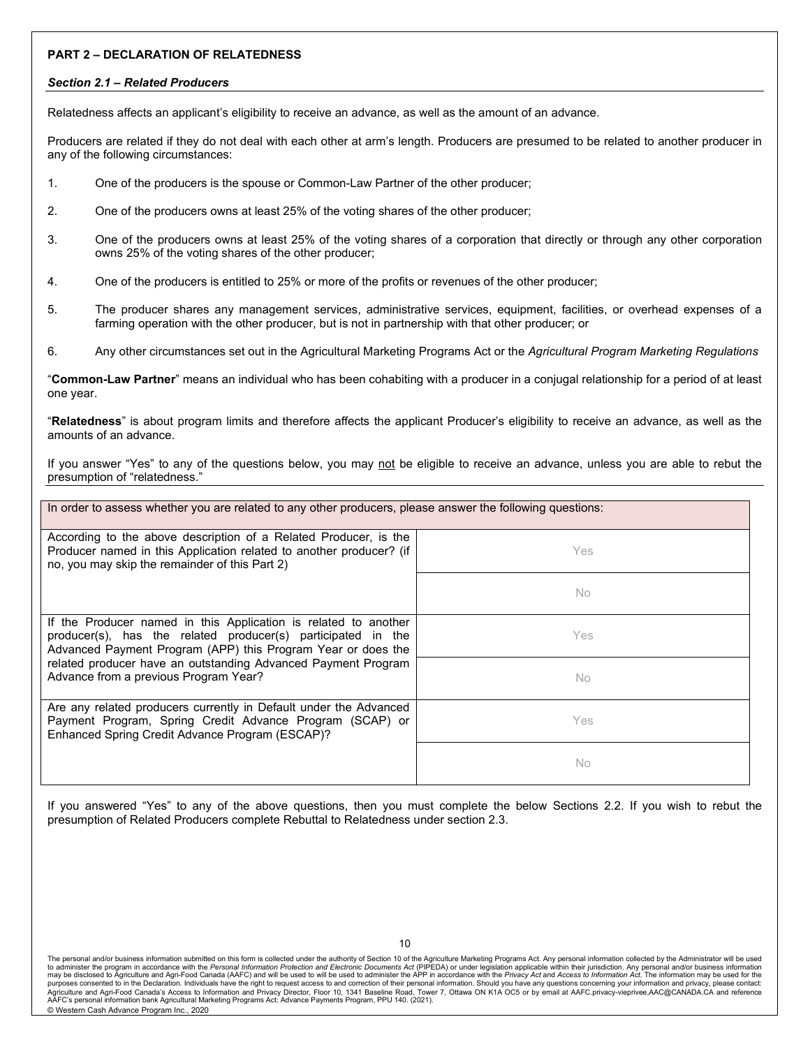### **PART 2 – DECLARATION OF RELATEDNESS**

#### *Section 2.1 – Related Producers*

Relatedness affects an applicant's eligibility to receive an advance, as well as the amount of an advance.

Producers are related if they do not deal with each other at arm's length. Producers are presumed to be related to another producer in any of the following circumstances:

- 1. One of the producers is the spouse or Common-Law Partner of the other producer;
- 2. One of the producers owns at least 25% of the voting shares of the other producer;
- 3. One of the producers owns at least 25% of the voting shares of a corporation that directly or through any other corporation owns 25% of the voting shares of the other producer;
- 4. One of the producers is entitled to 25% or more of the profits or revenues of the other producer;
- 5. The producer shares any management services, administrative services, equipment, facilities, or overhead expenses of a farming operation with the other producer, but is not in partnership with that other producer; or
- 6. Any other circumstances set out in the Agricultural Marketing Programs Act or the *Agricultural Program Marketing Regulations*

"**Common-Law Partner**" means an individual who has been cohabiting with a producer in a conjugal relationship for a period of at least one year.

"**Relatedness**" is about program limits and therefore affects the applicant Producer's eligibility to receive an advance, as well as the amounts of an advance.

If you answer "Yes" to any of the questions below, you may not be eligible to receive an advance, unless you are able to rebut the presumption of "relatedness."

| In order to assess whether you are related to any other producers, please answer the following questions:                                                                                                                                                                                                 |     |  |  |
|-----------------------------------------------------------------------------------------------------------------------------------------------------------------------------------------------------------------------------------------------------------------------------------------------------------|-----|--|--|
| According to the above description of a Related Producer, is the<br>Producer named in this Application related to another producer? (if<br>no, you may skip the remainder of this Part 2)                                                                                                                 | Yes |  |  |
|                                                                                                                                                                                                                                                                                                           | No  |  |  |
| If the Producer named in this Application is related to another<br>producer(s), has the related producer(s) participated in the<br>Advanced Payment Program (APP) this Program Year or does the<br>related producer have an outstanding Advanced Payment Program<br>Advance from a previous Program Year? | Yes |  |  |
|                                                                                                                                                                                                                                                                                                           | No  |  |  |
| Are any related producers currently in Default under the Advanced<br>Payment Program, Spring Credit Advance Program (SCAP) or<br>Enhanced Spring Credit Advance Program (ESCAP)?                                                                                                                          | Yes |  |  |
|                                                                                                                                                                                                                                                                                                           | No  |  |  |

If you answered "Yes" to any of the above questions, then you must complete the below Sections 2.2. If you wish to rebut the presumption of Related Producers complete Rebuttal to Relatedness under section 2.3.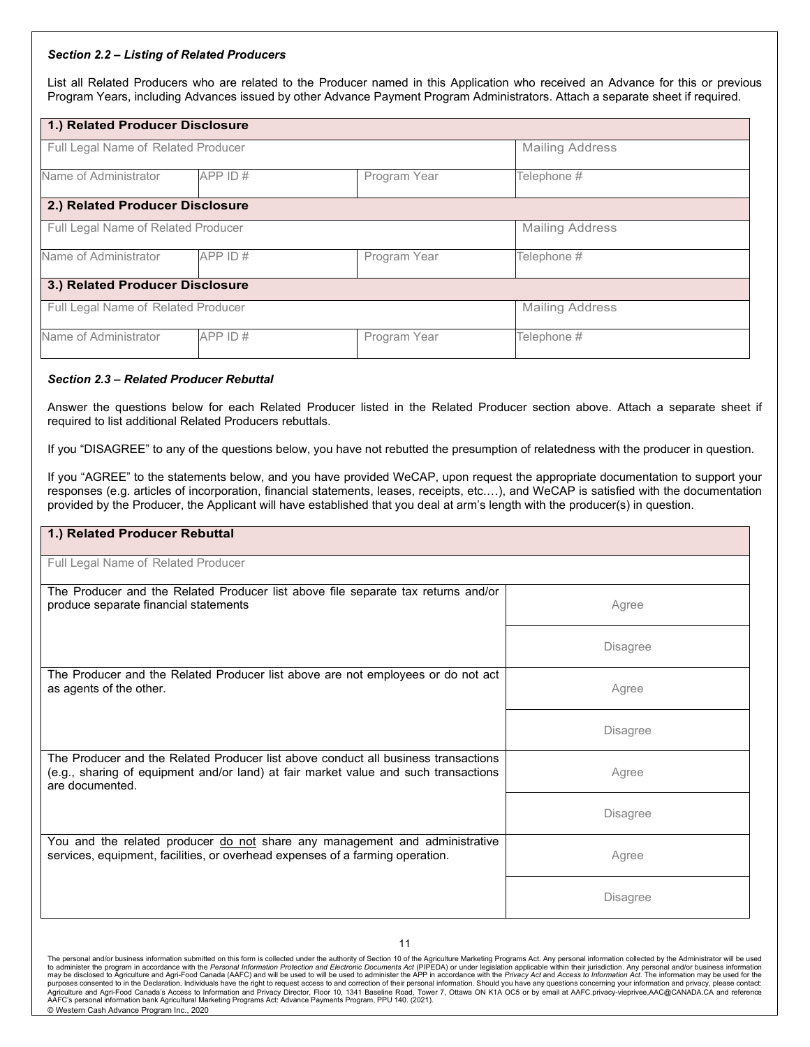#### *Section 2.2 – Listing of Related Producers*

List all Related Producers who are related to the Producer named in this Application who received an Advance for this or previous Program Years, including Advances issued by other Advance Payment Program Administrators. Attach a separate sheet if required.

| 1.) Related Producer Disclosure     |         |              |                        |  |  |
|-------------------------------------|---------|--------------|------------------------|--|--|
| Full Legal Name of Related Producer |         |              | <b>Mailing Address</b> |  |  |
| Name of Administrator               | APP ID# | Program Year | Telephone #            |  |  |
| 2.) Related Producer Disclosure     |         |              |                        |  |  |
| Full Legal Name of Related Producer |         |              | <b>Mailing Address</b> |  |  |
| Name of Administrator               | APP ID# | Program Year | Telephone #            |  |  |
| 3.) Related Producer Disclosure     |         |              |                        |  |  |
| Full Legal Name of Related Producer |         |              | <b>Mailing Address</b> |  |  |
| Name of Administrator               | APP ID# | Program Year | Telephone #            |  |  |

#### *Section 2.3 – Related Producer Rebuttal*

Answer the questions below for each Related Producer listed in the Related Producer section above. Attach a separate sheet if required to list additional Related Producers rebuttals.

If you "DISAGREE" to any of the questions below, you have not rebutted the presumption of relatedness with the producer in question.

If you "AGREE" to the statements below, and you have provided WeCAP, upon request the appropriate documentation to support your responses (e.g. articles of incorporation, financial statements, leases, receipts, etc.…), and WeCAP is satisfied with the documentation provided by the Producer, the Applicant will have established that you deal at arm's length with the producer(s) in question.

| 1.) Related Producer Rebuttal                                                                                                                                                                |                 |
|----------------------------------------------------------------------------------------------------------------------------------------------------------------------------------------------|-----------------|
| Full Legal Name of Related Producer                                                                                                                                                          |                 |
| The Producer and the Related Producer list above file separate tax returns and/or<br>produce separate financial statements                                                                   | Agree           |
|                                                                                                                                                                                              | <b>Disagree</b> |
| The Producer and the Related Producer list above are not employees or do not act<br>as agents of the other.                                                                                  | Agree           |
|                                                                                                                                                                                              | <b>Disagree</b> |
| The Producer and the Related Producer list above conduct all business transactions<br>(e.g., sharing of equipment and/or land) at fair market value and such transactions<br>are documented. | Agree           |
|                                                                                                                                                                                              | <b>Disagree</b> |
| You and the related producer do not share any management and administrative<br>services, equipment, facilities, or overhead expenses of a farming operation.                                 | Agree           |
|                                                                                                                                                                                              | <b>Disagree</b> |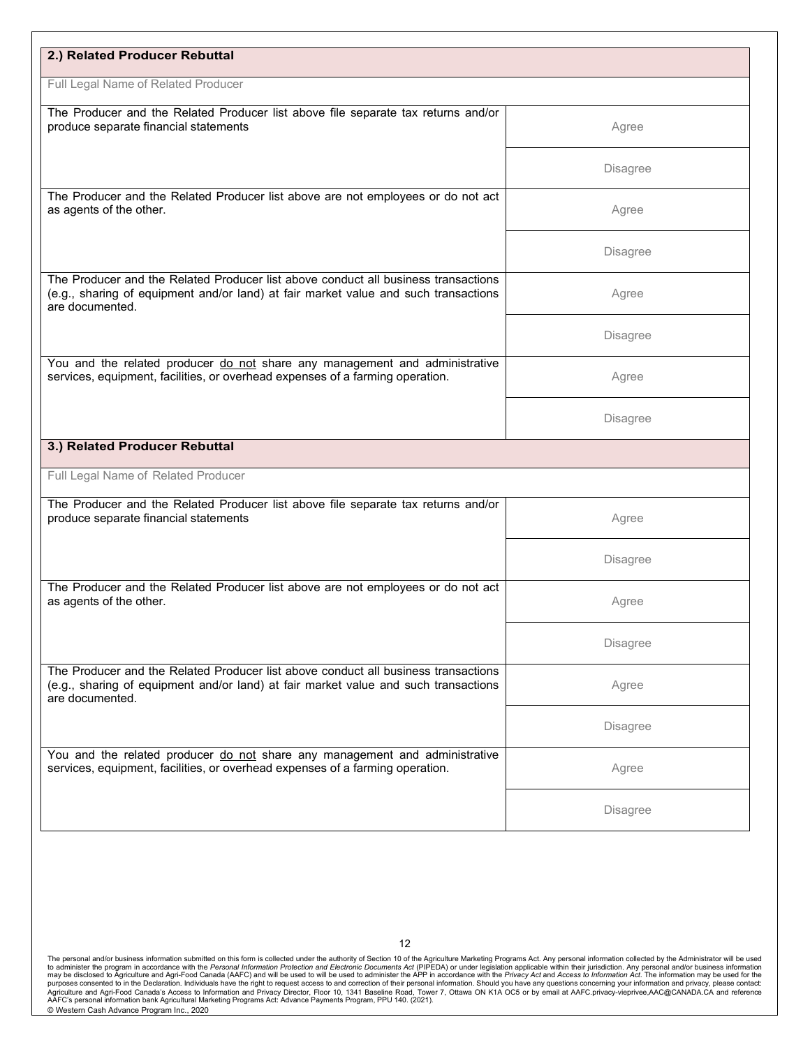| 2.) Related Producer Rebuttal                                                                                                                                                                |                 |
|----------------------------------------------------------------------------------------------------------------------------------------------------------------------------------------------|-----------------|
| Full Legal Name of Related Producer                                                                                                                                                          |                 |
| The Producer and the Related Producer list above file separate tax returns and/or<br>produce separate financial statements                                                                   | Agree           |
|                                                                                                                                                                                              | <b>Disagree</b> |
| The Producer and the Related Producer list above are not employees or do not act<br>as agents of the other.                                                                                  | Agree           |
|                                                                                                                                                                                              | <b>Disagree</b> |
| The Producer and the Related Producer list above conduct all business transactions<br>(e.g., sharing of equipment and/or land) at fair market value and such transactions<br>are documented. | Agree           |
|                                                                                                                                                                                              | <b>Disagree</b> |
| You and the related producer do not share any management and administrative<br>services, equipment, facilities, or overhead expenses of a farming operation.                                 | Agree           |
|                                                                                                                                                                                              | <b>Disagree</b> |
| 3.) Related Producer Rebuttal                                                                                                                                                                |                 |
| Full Legal Name of Related Producer                                                                                                                                                          |                 |
| The Producer and the Related Producer list above file separate tax returns and/or<br>produce separate financial statements                                                                   | Agree           |
|                                                                                                                                                                                              | <b>Disagree</b> |
| The Producer and the Related Producer list above are not employees or do not act<br>as agents of the other.                                                                                  | Agree           |
|                                                                                                                                                                                              | <b>Disagree</b> |
| The Producer and the Related Producer list above conduct all business transactions<br>(e.g., sharing of equipment and/or land) at fair market value and such transactions<br>are documented. | Agree           |
|                                                                                                                                                                                              | <b>Disagree</b> |
| You and the related producer do not share any management and administrative<br>services, equipment, facilities, or overhead expenses of a farming operation.                                 | Agree           |
|                                                                                                                                                                                              |                 |

The personal and/or business information submitted on this form is collected under the authority of Section 10 of the Agriculture Marketing Programs Act. Any personal information collected by the Administrator will be used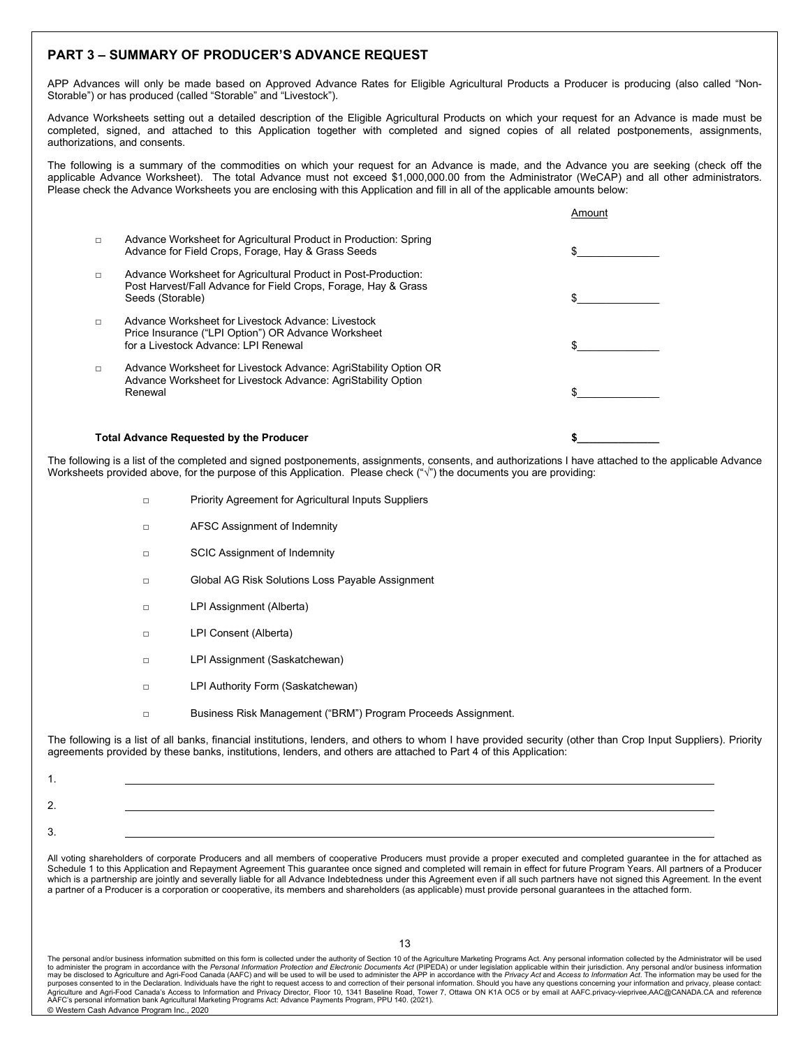### **PART 3 – SUMMARY OF PRODUCER'S ADVANCE REQUEST**

APP Advances will only be made based on Approved Advance Rates for Eligible Agricultural Products a Producer is producing (also called "Non-Storable") or has produced (called "Storable" and "Livestock").

Advance Worksheets setting out a detailed description of the Eligible Agricultural Products on which your request for an Advance is made must be completed, signed, and attached to this Application together with completed and signed copies of all related postponements, assignments, authorizations, and consents.

The following is a summary of the commodities on which your request for an Advance is made, and the Advance you are seeking (check off the applicable Advance Worksheet). The total Advance must not exceed \$1,000,000.00 from the Administrator (WeCAP) and all other administrators. Please check the Advance Worksheets you are enclosing with this Application and fill in all of the applicable amounts below:

|        | <b>Total Advance Requested by the Producer</b>                                                                                                       |        |
|--------|------------------------------------------------------------------------------------------------------------------------------------------------------|--------|
| $\Box$ | Advance Worksheet for Livestock Advance: AgriStability Option OR<br>Advance Worksheet for Livestock Advance: AgriStability Option<br>Renewal         |        |
| $\Box$ | Advance Worksheet for Livestock Advance: Livestock<br>Price Insurance ("LPI Option") OR Advance Worksheet<br>for a Livestock Advance: LPI Renewal    |        |
| $\Box$ | Advance Worksheet for Agricultural Product in Post-Production:<br>Post Harvest/Fall Advance for Field Crops, Forage, Hay & Grass<br>Seeds (Storable) |        |
| $\Box$ | Advance Worksheet for Agricultural Product in Production: Spring<br>Advance for Field Crops, Forage, Hay & Grass Seeds                               |        |
|        |                                                                                                                                                      | Amount |

The following is a list of the completed and signed postponements, assignments, consents, and authorizations I have attached to the applicable Advance Worksheets provided above, for the purpose of this Application. Please check ("√") the documents you are providing:

- □ Priority Agreement for Agricultural Inputs Suppliers
- □ AFSC Assignment of Indemnity
- □ SCIC Assignment of Indemnity
- □ Global AG Risk Solutions Loss Payable Assignment
- □ LPI Assignment (Alberta)
- □ LPI Consent (Alberta)
- □ LPI Assignment (Saskatchewan)
- □ LPI Authority Form (Saskatchewan)
- □ Business Risk Management ("BRM") Program Proceeds Assignment.

The following is a list of all banks, financial institutions, lenders, and others to whom I have provided security (other than Crop Input Suppliers). Priority agreements provided by these banks, institutions, lenders, and others are attached to Part 4 of this Application:

All voting shareholders of corporate Producers and all members of cooperative Producers must provide a proper executed and completed guarantee in the for attached as Schedule 1 to this Application and Repayment Agreement This guarantee once signed and completed will remain in effect for future Program Years. All partners of a Producer which is a partnership are jointly and severally liable for all Advance Indebtedness under this Agreement even if all such partners have not signed this Agreement. In the event a partner of a Producer is a corporation or cooperative, its members and shareholders (as applicable) must provide personal guarantees in the attached form.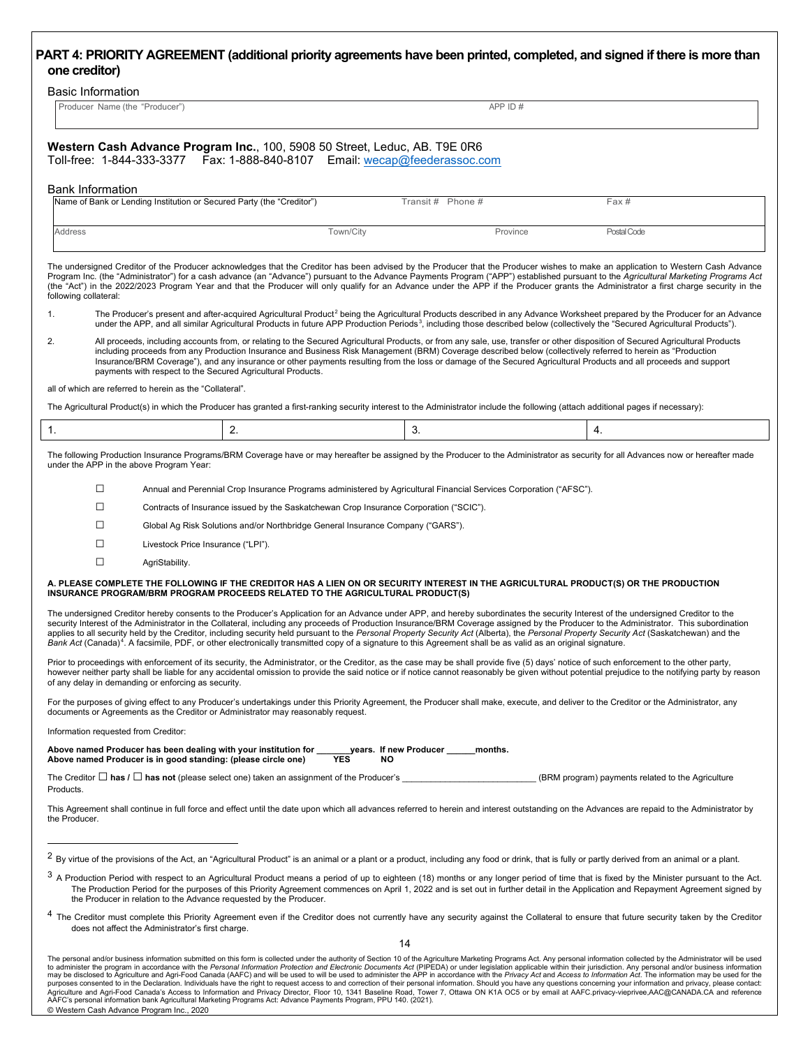### **PART 4: PRIORITY AGREEMENT (additional priority agreements have been printed, completed, and signed if there is more than one creditor)**

| <b>Basic Information</b> |  |
|--------------------------|--|
|                          |  |

| Producer<br>、"Producer" <sup>、</sup><br>Name (the | A۲ |
|---------------------------------------------------|----|

|                              | Western Cash Advance Program Inc., 100, 5908 50 Street, Leduc, AB. T9E 0R6 |
|------------------------------|----------------------------------------------------------------------------|
| . Toll_free · 1_811_333_3377 | $Fav: 1.888.840.8107$ $Fmail: Wacan\omega feadaraseoc com$                 |

 $T = 10$  Toll-free: 1-844-333-3377 Fax: 1-888-840-8107 Email: we

#### Bank Information

| Name of Bank or Lending Institution or Secured Party (the "Creditor") |           | Transit # Phone # |          | Fax #       |
|-----------------------------------------------------------------------|-----------|-------------------|----------|-------------|
| <b>Address</b>                                                        | Town/City |                   | Province | Postal Code |

The undersigned Creditor of the Producer acknowledges that the Creditor has been advised by the Producer that the Producer wishes to make an application to Western Cash Advance Program Inc. (the "Administrator") for a cash advance (an "Advance") pursuant to the Advance Payments Program ("APP") established pursuant to the Agricultural Marketing Programs Act (the "Act") in the 2022/2023 Program Year and that the Producer will only qualify for an Advance under the APP if the Producer grants the Administrator a first charge security in the following collateral:

1. The Producer's present and after-acquired Agricultural Product<sup>[2](#page-13-0)</sup> being the Agricultural Products described in any Advance Worksheet prepared by the Producer for an Advance under the APP, and all similar Agricultural Products in future APP Production Periods<sup>[3](#page-13-1)</sup>, including those described below (collectively the "Secured Agricultural Products").

2. All proceeds, including accounts from, or relating to the Secured Agricultural Products, or from any sale, use, transfer or other disposition of Secured Agricultural Products including proceeds from any Production Insurance and Business Risk Management (BRM) Coverage described below (collectively referred to herein as "Production Insurance/BRM Coverage"), and any insurance or other payments resulting from the loss or damage of the Secured Agricultural Products and all proceeds and support payments with respect to the Secured Agricultural Products.

#### all of which are referred to herein as the "Collateral".

The Agricultural Product(s) in which the Producer has granted a first-ranking security interest to the Administrator include the following (attach additional pages if necessary):

The following Production Insurance Programs/BRM Coverage have or may hereafter be assigned by the Producer to the Administrator as security for all Advances now or hereafter made under the APP in the above Program Year:

□ Annual and Perennial Crop Insurance Programs administered by Agricultural Financial Services Corporation ("AFSC").

□ Contracts of Insurance issued by the Saskatchewan Crop Insurance Corporation ("SCIC").

□ Global Ag Risk Solutions and/or Northbridge General Insurance Company ("GARS").

□ Livestock Price Insurance ("LPI").

□ AgriStability.

#### **A. PLEASE COMPLETE THE FOLLOWING IF THE CREDITOR HAS A LIEN ON OR SECURITY INTEREST IN THE AGRICULTURAL PRODUCT(S) OR THE PRODUCTION INSURANCE PROGRAM/BRM PROGRAM PROCEEDS RELATED TO THE AGRICULTURAL PRODUCT(S)**

The undersigned Creditor hereby consents to the Producer's Application for an Advance under APP, and hereby subordinates the security Interest of the undersigned Creditor to the security Interest of the Administrator in the Collateral, including any proceeds of Production Insurance/BRM Coverage assigned by the Producer to the Administrator. This subordination<br>applies to all security held by the C Bank Act (Canada)<sup>[4](#page-13-2)</sup>. A facsimile, PDF, or other electronically transmitted copy of a signature to this Agreement shall be as valid as an original signature.

Prior to proceedings with enforcement of its security, the Administrator, or the Creditor, as the case may be shall provide five (5) days' notice of such enforcement to the other party, however neither party shall be liable for any accidental omission to provide the said notice or if notice cannot reasonably be given without potential prejudice to the notifying party by reason of any delay in demanding or enforcing as security.

For the purposes of giving effect to any Producer's undertakings under this Priority Agreement, the Producer shall make, execute, and deliver to the Creditor or the Administrator, any documents or Agreements as the Creditor or Administrator may reasonably request.

Information requested from Creditor:

Above named Producer has been dealing with your institution for <u>equilitients</u> of new Producer **\_\_\_\_\_**months.<br>Above named Producer is in good standing: (please circle one) **TES** NO Above named Producer is in good standing: (please circle one)

The Creditor □ **has /** □ **has not** (please select one) taken an assignment of the Producer's \_\_\_\_\_\_\_\_\_\_\_\_\_\_\_\_\_\_\_\_\_\_\_\_\_\_\_\_ (BRM program) payments related to the Agriculture Products.

This Agreement shall continue in full force and effect until the date upon which all advances referred to herein and interest outstanding on the Advances are repaid to the Administrator by the Producer.

<span id="page-13-0"></span> $2$  By virtue of the provisions of the Act, an "Agricultural Product" is an animal or a plant or a plant or a plant or a plant or a plant or a plant.

<span id="page-13-1"></span><sup>&</sup>lt;sup>3</sup> A Production Period with respect to an Agricultural Product means a period of up to eighteen (18) months or any longer period of time that is fixed by the Minister pursuant to the Act. The Production Period for the purposes of this Priority Agreement commences on April 1, 2022 and is set out in further detail in the Application and Repayment Agreement signed by the Producer in relation to the Advance requested by the Producer.

<span id="page-13-2"></span><sup>&</sup>lt;sup>4</sup> The Creditor must complete this Priority Agreement even if the Creditor does not currently have any security against the Collateral to ensure that future security taken by the Creditor does not affect the Administrator's first charge.

The personal and/or business information submitted on this form is collected under the authority of Section 10 of the Agriculture Marketing Programs Act. Any personal information collected by the Administrator will be used to administer the program in accordance with the *Personal Information Protection and Electronic Documents Act (*PIPEDA) or under legislation applicable within their jurisdiction. Any personal and/or business information<br>m purposes consented to in the Declaration. Individuals have the right to request access to and correction of their personal information. Should you have any questions concerning your information and privacy, please contact: AAFC's personal information bank Agricultural Marketing Programs Act: Advance Payments Program, PPU 140. (2021). © Western Cash Advance Program Inc., 2020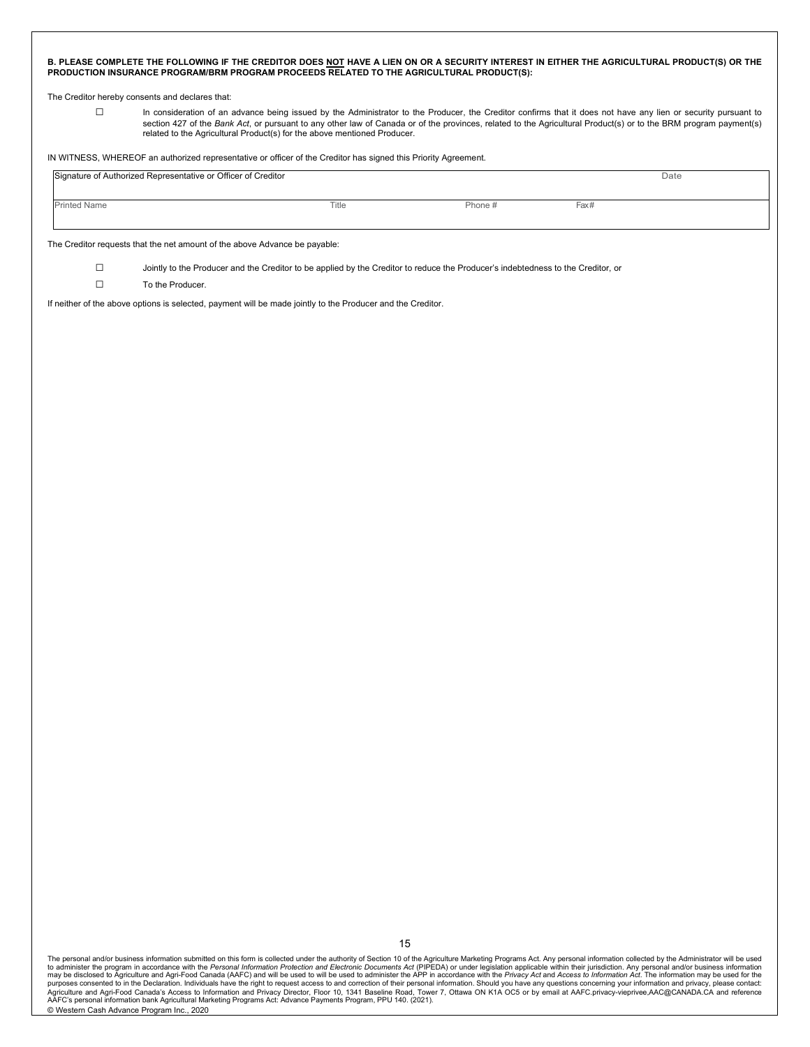|                  |                                                                            | PRODUCTION INSURANCE PROGRAM/BRM PROGRAM PROCEEDS RELATED TO THE AGRICULTURAL PRODUCT(S):                                        |         | B. PLEASE COMPLETE THE FOLLOWING IF THE CREDITOR DOES NOT HAVE A LIEN ON OR A SECURITY INTEREST IN EITHER THE AGRICULTURAL PRODUCT(S) OR THE                                                                                                                                                                                       |  |
|------------------|----------------------------------------------------------------------------|----------------------------------------------------------------------------------------------------------------------------------|---------|------------------------------------------------------------------------------------------------------------------------------------------------------------------------------------------------------------------------------------------------------------------------------------------------------------------------------------|--|
|                  | The Creditor hereby consents and declares that:                            |                                                                                                                                  |         |                                                                                                                                                                                                                                                                                                                                    |  |
| $\Box$           |                                                                            | related to the Agricultural Product(s) for the above mentioned Producer.                                                         |         | In consideration of an advance being issued by the Administrator to the Producer, the Creditor confirms that it does not have any lien or security pursuant to<br>section 427 of the Bank Act, or pursuant to any other law of Canada or of the provinces, related to the Agricultural Product(s) or to the BRM program payment(s) |  |
|                  |                                                                            | IN WITNESS, WHEREOF an authorized representative or officer of the Creditor has signed this Priority Agreement.                  |         |                                                                                                                                                                                                                                                                                                                                    |  |
|                  | Signature of Authorized Representative or Officer of Creditor              |                                                                                                                                  |         | Date                                                                                                                                                                                                                                                                                                                               |  |
| Printed Name     |                                                                            | Title                                                                                                                            | Phone # | Fax#                                                                                                                                                                                                                                                                                                                               |  |
|                  |                                                                            |                                                                                                                                  |         |                                                                                                                                                                                                                                                                                                                                    |  |
|                  | The Creditor requests that the net amount of the above Advance be payable: |                                                                                                                                  |         |                                                                                                                                                                                                                                                                                                                                    |  |
| $\Box$<br>$\Box$ | To the Producer.                                                           | Jointly to the Producer and the Creditor to be applied by the Creditor to reduce the Producer's indebtedness to the Creditor, or |         |                                                                                                                                                                                                                                                                                                                                    |  |
|                  |                                                                            | If neither of the above options is selected, payment will be made jointly to the Producer and the Creditor.                      |         |                                                                                                                                                                                                                                                                                                                                    |  |
|                  |                                                                            |                                                                                                                                  |         |                                                                                                                                                                                                                                                                                                                                    |  |
|                  |                                                                            |                                                                                                                                  |         |                                                                                                                                                                                                                                                                                                                                    |  |
|                  |                                                                            |                                                                                                                                  |         |                                                                                                                                                                                                                                                                                                                                    |  |
|                  |                                                                            |                                                                                                                                  |         |                                                                                                                                                                                                                                                                                                                                    |  |
|                  |                                                                            |                                                                                                                                  |         |                                                                                                                                                                                                                                                                                                                                    |  |
|                  |                                                                            |                                                                                                                                  |         |                                                                                                                                                                                                                                                                                                                                    |  |
|                  |                                                                            |                                                                                                                                  |         |                                                                                                                                                                                                                                                                                                                                    |  |
|                  |                                                                            |                                                                                                                                  |         |                                                                                                                                                                                                                                                                                                                                    |  |
|                  |                                                                            |                                                                                                                                  |         |                                                                                                                                                                                                                                                                                                                                    |  |
|                  |                                                                            |                                                                                                                                  |         |                                                                                                                                                                                                                                                                                                                                    |  |
|                  |                                                                            |                                                                                                                                  |         |                                                                                                                                                                                                                                                                                                                                    |  |
|                  |                                                                            |                                                                                                                                  |         |                                                                                                                                                                                                                                                                                                                                    |  |
|                  |                                                                            |                                                                                                                                  |         |                                                                                                                                                                                                                                                                                                                                    |  |
|                  |                                                                            |                                                                                                                                  |         |                                                                                                                                                                                                                                                                                                                                    |  |
|                  |                                                                            |                                                                                                                                  |         |                                                                                                                                                                                                                                                                                                                                    |  |
|                  |                                                                            |                                                                                                                                  |         |                                                                                                                                                                                                                                                                                                                                    |  |
|                  |                                                                            |                                                                                                                                  |         |                                                                                                                                                                                                                                                                                                                                    |  |
|                  |                                                                            |                                                                                                                                  |         |                                                                                                                                                                                                                                                                                                                                    |  |
|                  |                                                                            |                                                                                                                                  |         |                                                                                                                                                                                                                                                                                                                                    |  |
|                  |                                                                            |                                                                                                                                  |         |                                                                                                                                                                                                                                                                                                                                    |  |
|                  |                                                                            |                                                                                                                                  |         |                                                                                                                                                                                                                                                                                                                                    |  |
|                  |                                                                            |                                                                                                                                  |         |                                                                                                                                                                                                                                                                                                                                    |  |
|                  |                                                                            |                                                                                                                                  |         |                                                                                                                                                                                                                                                                                                                                    |  |
|                  |                                                                            |                                                                                                                                  |         |                                                                                                                                                                                                                                                                                                                                    |  |
|                  |                                                                            |                                                                                                                                  |         |                                                                                                                                                                                                                                                                                                                                    |  |
|                  |                                                                            |                                                                                                                                  |         |                                                                                                                                                                                                                                                                                                                                    |  |
|                  |                                                                            |                                                                                                                                  |         |                                                                                                                                                                                                                                                                                                                                    |  |
|                  |                                                                            |                                                                                                                                  |         |                                                                                                                                                                                                                                                                                                                                    |  |
|                  |                                                                            |                                                                                                                                  |         |                                                                                                                                                                                                                                                                                                                                    |  |

The personal and/or business information submitted on this form is collected under the authority of Section 10 of the Agriculture Marketing Programs Act. Any personal information collected by the Administrator will be used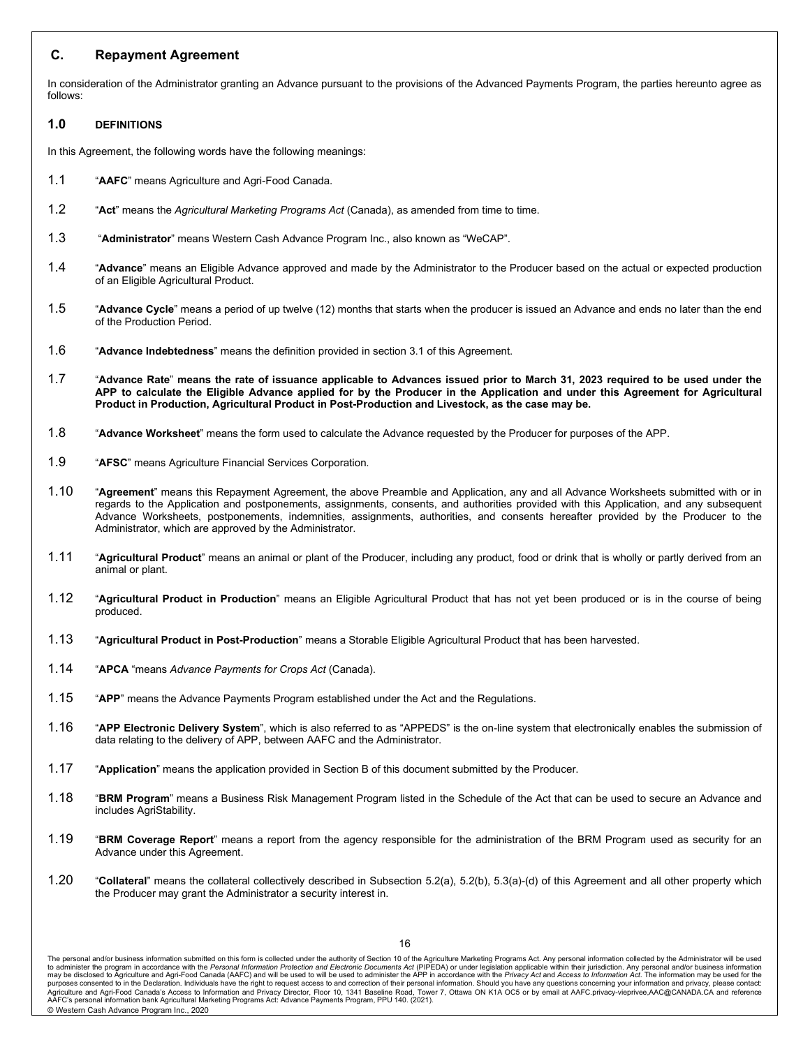### **C. Repayment Agreement**

In consideration of the Administrator granting an Advance pursuant to the provisions of the Advanced Payments Program, the parties hereunto agree as follows:

### **1.0 DEFINITIONS**

In this Agreement, the following words have the following meanings:

- 1.1 "**AAFC**" means Agriculture and Agri-Food Canada.
- 1.2 "**Act**" means the *Agricultural Marketing Programs Act* (Canada), as amended from time to time.
- 1.3 "**Administrator**" means Western Cash Advance Program Inc., also known as "WeCAP".
- 1.4 "**Advance**" means an Eligible Advance approved and made by the Administrator to the Producer based on the actual or expected production of an Eligible Agricultural Product.
- 1.5 "**Advance Cycle**" means a period of up twelve (12) months that starts when the producer is issued an Advance and ends no later than the end of the Production Period.
- 1.6 "**Advance Indebtedness**" means the definition provided in section 3.1 of this Agreement.
- 1.7 "**Advance Rate**" **means the rate of issuance applicable to Advances issued prior to March 31, 2023 required to be used under the APP to calculate the Eligible Advance applied for by the Producer in the Application and under this Agreement for Agricultural Product in Production, Agricultural Product in Post-Production and Livestock, as the case may be.**
- 1.8 "**Advance Worksheet**" means the form used to calculate the Advance requested by the Producer for purposes of the APP.
- 1.9 "**AFSC**" means Agriculture Financial Services Corporation.
- 1.10 "**Agreement**" means this Repayment Agreement, the above Preamble and Application, any and all Advance Worksheets submitted with or in regards to the Application and postponements, assignments, consents, and authorities provided with this Application, and any subsequent Advance Worksheets, postponements, indemnities, assignments, authorities, and consents hereafter provided by the Producer to the Administrator, which are approved by the Administrator.
- 1.11 "**Agricultural Product**" means an animal or plant of the Producer, including any product, food or drink that is wholly or partly derived from an animal or plant.
- 1.12 "**Agricultural Product in Production**" means an Eligible Agricultural Product that has not yet been produced or is in the course of being produced.
- 1.13 "**Agricultural Product in Post-Production**" means a Storable Eligible Agricultural Product that has been harvested.
- 1.14 "**APCA** "means *Advance Payments for Crops Act* (Canada).
- 1.15 "**APP**" means the Advance Payments Program established under the Act and the Regulations.
- 1.16 "**APP Electronic Delivery System**", which is also referred to as "APPEDS" is the on-line system that electronically enables the submission of data relating to the delivery of APP, between AAFC and the Administrator.
- 1.17 "**Application**" means the application provided in Section B of this document submitted by the Producer.
- 1.18 "**BRM Program**" means a Business Risk Management Program listed in the Schedule of the Act that can be used to secure an Advance and includes AgriStability.
- 1.19 "**BRM Coverage Report**" means a report from the agency responsible for the administration of the BRM Program used as security for an Advance under this Agreement.
- 1.20 "**Collateral**" means the collateral collectively described in Subsection 5.2(a), 5.2(b), 5.3(a)-(d) of this Agreement and all other property which the Producer may grant the Administrator a security interest in.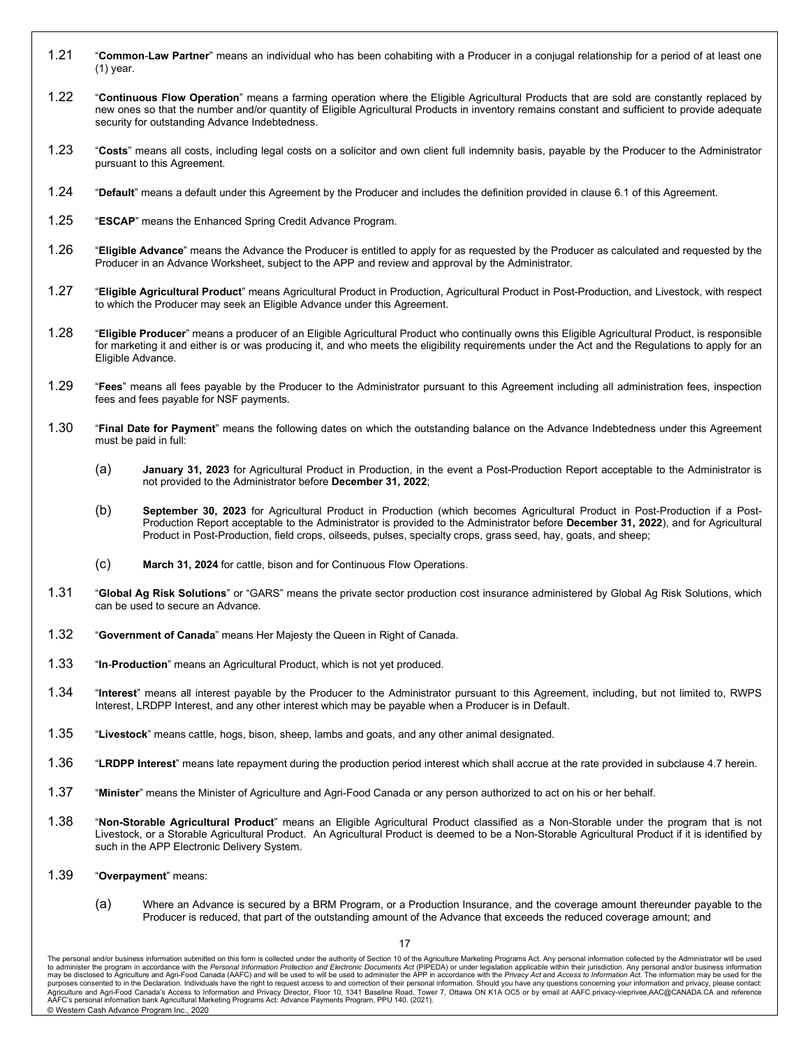- 1.21 "**Common**-**Law Partner**" means an individual who has been cohabiting with a Producer in a conjugal relationship for a period of at least one (1) year.
- 1.22 "**Continuous Flow Operation**" means a farming operation where the Eligible Agricultural Products that are sold are constantly replaced by new ones so that the number and/or quantity of Eligible Agricultural Products in inventory remains constant and sufficient to provide adequate security for outstanding Advance Indebtedness.
- 1.23 "**Costs**" means all costs, including legal costs on a solicitor and own client full indemnity basis, payable by the Producer to the Administrator pursuant to this Agreement.
- 1.24 "**Default**" means a default under this Agreement by the Producer and includes the definition provided in clause 6.1 of this Agreement.
- 1.25 "**ESCAP**" means the Enhanced Spring Credit Advance Program.
- 1.26 "**Eligible Advance**" means the Advance the Producer is entitled to apply for as requested by the Producer as calculated and requested by the Producer in an Advance Worksheet, subject to the APP and review and approval by the Administrator.
- 1.27 "**Eligible Agricultural Product**" means Agricultural Product in Production, Agricultural Product in Post-Production, and Livestock, with respect to which the Producer may seek an Eligible Advance under this Agreement.
- 1.28 "**Eligible Producer**" means a producer of an Eligible Agricultural Product who continually owns this Eligible Agricultural Product, is responsible for marketing it and either is or was producing it, and who meets the eligibility requirements under the Act and the Regulations to apply for an Eligible Advance.
- 1.29 "**Fees**" means all fees payable by the Producer to the Administrator pursuant to this Agreement including all administration fees, inspection fees and fees payable for NSF payments.
- 1.30 "**Final Date for Payment**" means the following dates on which the outstanding balance on the Advance Indebtedness under this Agreement must be paid in full:
	- (a) **January 31, 2023** for Agricultural Product in Production, in the event a Post-Production Report acceptable to the Administrator is not provided to the Administrator before **December 31, 2022**;
	- (b) **September 30, 2023** for Agricultural Product in Production (which becomes Agricultural Product in Post-Production if a Post-Production Report acceptable to the Administrator is provided to the Administrator before **December 31, 2022**), and for Agricultural Product in Post-Production, field crops, oilseeds, pulses, specialty crops, grass seed, hay, goats, and sheep;
	- (c) **March 31, 2024** for cattle, bison and for Continuous Flow Operations.
- 1.31 "**Global Ag Risk Solutions**" or "GARS" means the private sector production cost insurance administered by Global Ag Risk Solutions, which can be used to secure an Advance.
- 1.32 "**Government of Canada**" means Her Majesty the Queen in Right of Canada.
- 1.33 "**In**-**Production**" means an Agricultural Product, which is not yet produced.
- 1.34 "**Interest**" means all interest payable by the Producer to the Administrator pursuant to this Agreement, including, but not limited to, RWPS Interest, LRDPP Interest, and any other interest which may be payable when a Producer is in Default.
- 1.35 "**Livestock**" means cattle, hogs, bison, sheep, lambs and goats, and any other animal designated.
- 1.36 "**LRDPP Interest**" means late repayment during the production period interest which shall accrue at the rate provided in subclause 4.7 herein.
- 1.37 "**Minister**" means the Minister of Agriculture and Agri-Food Canada or any person authorized to act on his or her behalf.
- 1.38 "**Non-Storable Agricultural Product**" means an Eligible Agricultural Product classified as a Non-Storable under the program that is not Livestock, or a Storable Agricultural Product. An Agricultural Product is deemed to be a Non-Storable Agricultural Product if it is identified by such in the APP Electronic Delivery System.
- 1.39 "**Overpayment**" means:
	- (a) Where an Advance is secured by a BRM Program, or a Production Insurance, and the coverage amount thereunder payable to the Producer is reduced, that part of the outstanding amount of the Advance that exceeds the reduced coverage amount; and

The personal and/or business information submitted on this form is collected under the authority of Section 10 of the Agriculture Marketing Programs Act. Any personal information collected by the Administrator will be used purposes consented to in the Declaration. Individuals have the right to request access to and correction of their personal information. Should you have any questions concerning your information and privacy, please contact: AAFC's personal information bank Agricultural Marketing Programs Act: Advance Payments Program, PPU 140. (2021). © Western Cash Advance Program Inc., 2020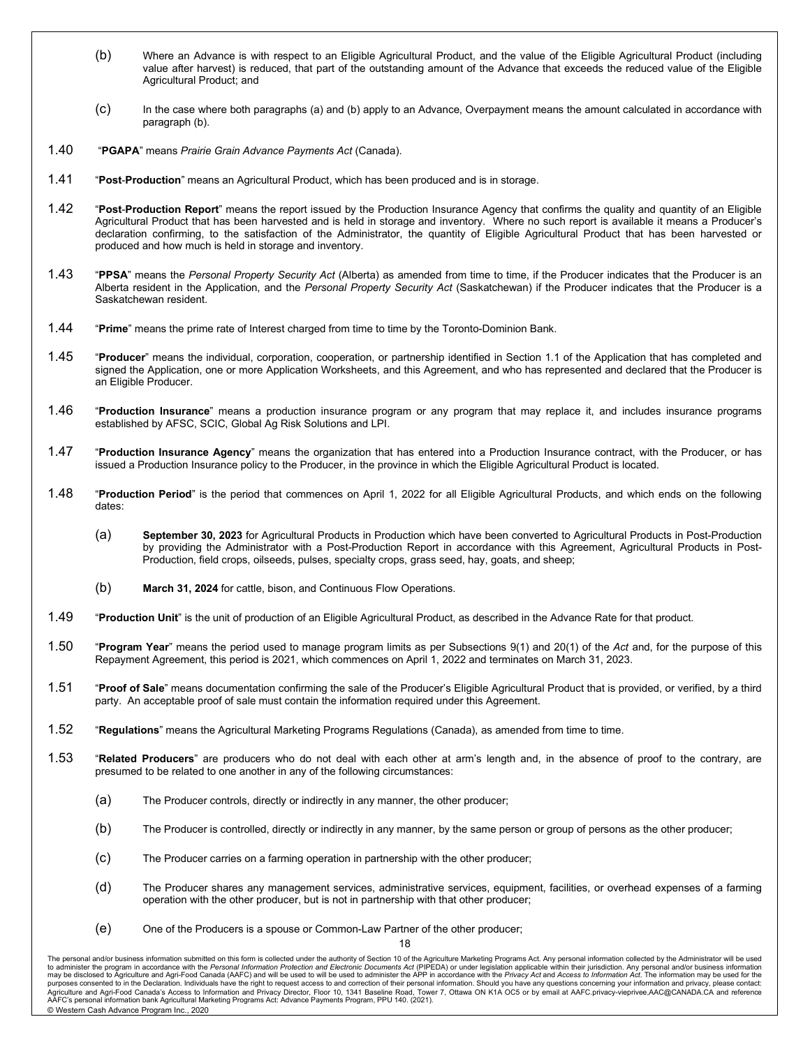- (b) Where an Advance is with respect to an Eligible Agricultural Product, and the value of the Eligible Agricultural Product (including value after harvest) is reduced, that part of the outstanding amount of the Advance that exceeds the reduced value of the Eligible Agricultural Product; and
- (c) In the case where both paragraphs (a) and (b) apply to an Advance, Overpayment means the amount calculated in accordance with paragraph (b).
- 1.40 "**PGAPA**" means *Prairie Grain Advance Payments Act* (Canada).
- 1.41 "**Post**-**Production**" means an Agricultural Product, which has been produced and is in storage.
- 1.42 "**Post**-**Production Report**" means the report issued by the Production Insurance Agency that confirms the quality and quantity of an Eligible Agricultural Product that has been harvested and is held in storage and inventory. Where no such report is available it means a Producer's declaration confirming, to the satisfaction of the Administrator, the quantity of Eligible Agricultural Product that has been harvested or produced and how much is held in storage and inventory.
- 1.43 "**PPSA**" means the *Personal Property Security Act* (Alberta) as amended from time to time, if the Producer indicates that the Producer is an Alberta resident in the Application, and the *Personal Property Security Act* (Saskatchewan) if the Producer indicates that the Producer is a Saskatchewan resident.
- 1.44 "**Prime**" means the prime rate of Interest charged from time to time by the Toronto-Dominion Bank.
- 1.45 "**Producer**" means the individual, corporation, cooperation, or partnership identified in Section 1.1 of the Application that has completed and signed the Application, one or more Application Worksheets, and this Agreement, and who has represented and declared that the Producer is an Eligible Producer.
- 1.46 "**Production Insurance**" means a production insurance program or any program that may replace it, and includes insurance programs established by AFSC, SCIC, Global Ag Risk Solutions and LPI.
- 1.47 "**Production Insurance Agency**" means the organization that has entered into a Production Insurance contract, with the Producer, or has issued a Production Insurance policy to the Producer, in the province in which the Eligible Agricultural Product is located.
- 1.48 "**Production Period**" is the period that commences on April 1, 2022 for all Eligible Agricultural Products, and which ends on the following dates:
	- (a) **September 30, 2023** for Agricultural Products in Production which have been converted to Agricultural Products in Post-Production by providing the Administrator with a Post-Production Report in accordance with this Agreement, Agricultural Products in Post-Production, field crops, oilseeds, pulses, specialty crops, grass seed, hay, goats, and sheep;
	- (b) **March 31, 2024** for cattle, bison, and Continuous Flow Operations.
- 1.49 "**Production Unit**" is the unit of production of an Eligible Agricultural Product, as described in the Advance Rate for that product.
- 1.50 "**Program Year**" means the period used to manage program limits as per Subsections 9(1) and 20(1) of the *Act* and, for the purpose of this Repayment Agreement, this period is 2021, which commences on April 1, 2022 and terminates on March 31, 2023.
- 1.51 "**Proof of Sale**" means documentation confirming the sale of the Producer's Eligible Agricultural Product that is provided, or verified, by a third party. An acceptable proof of sale must contain the information required under this Agreement.
- 1.52 "**Regulations**" means the Agricultural Marketing Programs Regulations (Canada), as amended from time to time.
- 1.53 "**Related Producers**" are producers who do not deal with each other at arm's length and, in the absence of proof to the contrary, are presumed to be related to one another in any of the following circumstances:
	- (a) The Producer controls, directly or indirectly in any manner, the other producer;
	- (b) The Producer is controlled, directly or indirectly in any manner, by the same person or group of persons as the other producer;
	- (c) The Producer carries on a farming operation in partnership with the other producer;
	- (d) The Producer shares any management services, administrative services, equipment, facilities, or overhead expenses of a farming operation with the other producer, but is not in partnership with that other producer;
	- (e) One of the Producers is a spouse or Common-Law Partner of the other producer;

18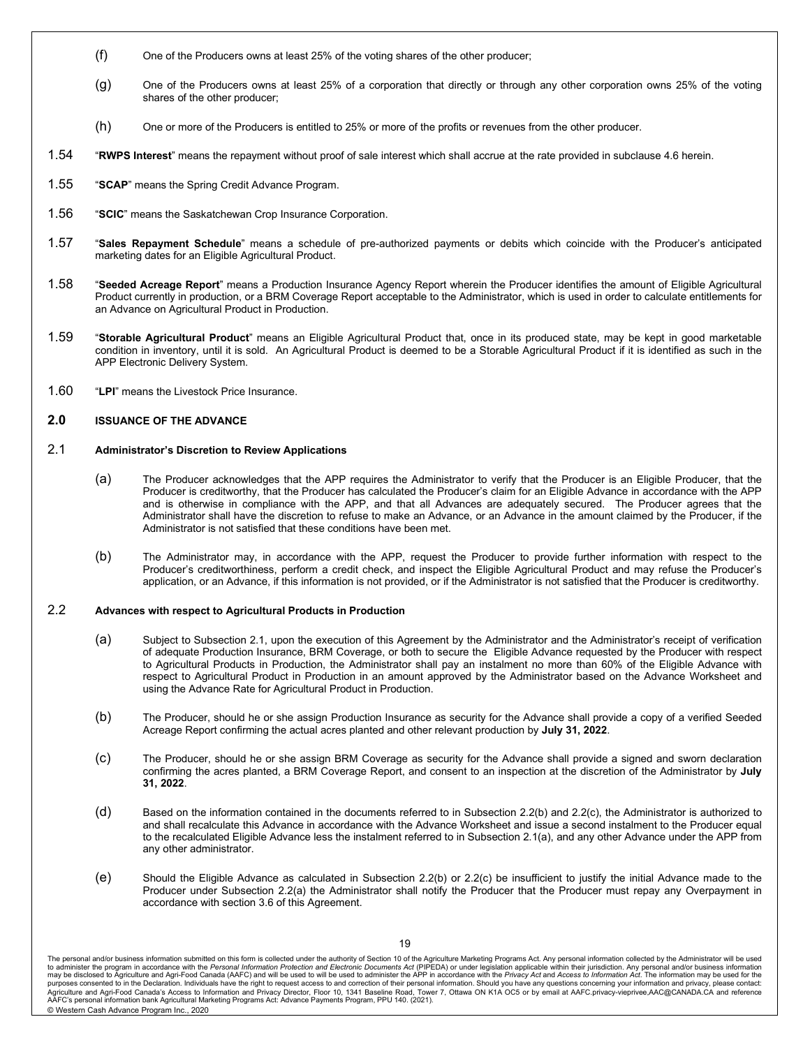- (f) One of the Producers owns at least 25% of the voting shares of the other producer;
- (g) One of the Producers owns at least 25% of a corporation that directly or through any other corporation owns 25% of the voting shares of the other producer;
- (h) One or more of the Producers is entitled to 25% or more of the profits or revenues from the other producer.
- 1.54 "**RWPS Interest**" means the repayment without proof of sale interest which shall accrue at the rate provided in subclause 4.6 herein.
- 1.55 "**SCAP**" means the Spring Credit Advance Program.
- 1.56 "**SCIC**" means the Saskatchewan Crop Insurance Corporation.
- 1.57 "**Sales Repayment Schedule**" means a schedule of pre-authorized payments or debits which coincide with the Producer's anticipated marketing dates for an Eligible Agricultural Product.
- 1.58 "**Seeded Acreage Report**" means a Production Insurance Agency Report wherein the Producer identifies the amount of Eligible Agricultural Product currently in production, or a BRM Coverage Report acceptable to the Administrator, which is used in order to calculate entitlements for an Advance on Agricultural Product in Production.
- 1.59 "**Storable Agricultural Product**" means an Eligible Agricultural Product that, once in its produced state, may be kept in good marketable condition in inventory, until it is sold. An Agricultural Product is deemed to be a Storable Agricultural Product if it is identified as such in the APP Electronic Delivery System.
- 1.60 "**LPI**" means the Livestock Price Insurance.

#### **2.0 ISSUANCE OF THE ADVANCE**

#### 2.1 **Administrator's Discretion to Review Applications**

- (a) The Producer acknowledges that the APP requires the Administrator to verify that the Producer is an Eligible Producer, that the Producer is creditworthy, that the Producer has calculated the Producer's claim for an Eligible Advance in accordance with the APP and is otherwise in compliance with the APP, and that all Advances are adequately secured. The Producer agrees that the Administrator shall have the discretion to refuse to make an Advance, or an Advance in the amount claimed by the Producer, if the Administrator is not satisfied that these conditions have been met.
- (b) The Administrator may, in accordance with the APP, request the Producer to provide further information with respect to the Producer's creditworthiness, perform a credit check, and inspect the Eligible Agricultural Product and may refuse the Producer's application, or an Advance, if this information is not provided, or if the Administrator is not satisfied that the Producer is creditworthy.

#### 2.2 **Advances with respect to Agricultural Products in Production**

- (a) Subject to Subsection 2.1, upon the execution of this Agreement by the Administrator and the Administrator's receipt of verification of adequate Production Insurance, BRM Coverage, or both to secure the Eligible Advance requested by the Producer with respect to Agricultural Products in Production, the Administrator shall pay an instalment no more than 60% of the Eligible Advance with respect to Agricultural Product in Production in an amount approved by the Administrator based on the Advance Worksheet and using the Advance Rate for Agricultural Product in Production.
- (b) The Producer, should he or she assign Production Insurance as security for the Advance shall provide a copy of a verified Seeded Acreage Report confirming the actual acres planted and other relevant production by **July 31, 2022**.
- (c) The Producer, should he or she assign BRM Coverage as security for the Advance shall provide a signed and sworn declaration confirming the acres planted, a BRM Coverage Report, and consent to an inspection at the discretion of the Administrator by **July 31, 2022**.
- (d) Based on the information contained in the documents referred to in Subsection 2.2(b) and 2.2(c), the Administrator is authorized to and shall recalculate this Advance in accordance with the Advance Worksheet and issue a second instalment to the Producer equal to the recalculated Eligible Advance less the instalment referred to in Subsection 2.1(a), and any other Advance under the APP from any other administrator.
- (e) Should the Eligible Advance as calculated in Subsection 2.2(b) or 2.2(c) be insufficient to justify the initial Advance made to the Producer under Subsection 2.2(a) the Administrator shall notify the Producer that the Producer must repay any Overpayment in accordance with section 3.6 of this Agreement.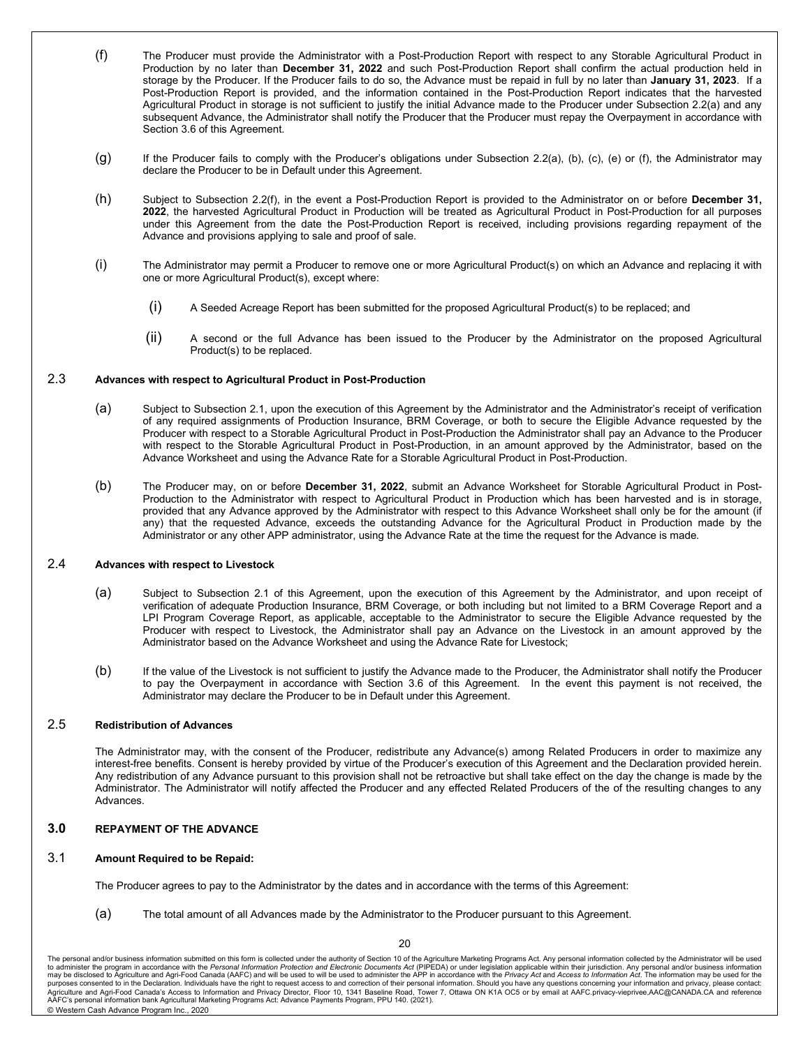- (f) The Producer must provide the Administrator with a Post-Production Report with respect to any Storable Agricultural Product in Production by no later than **December 31, 2022** and such Post-Production Report shall confirm the actual production held in storage by the Producer. If the Producer fails to do so, the Advance must be repaid in full by no later than **January 31, 2023**. If a Post-Production Report is provided, and the information contained in the Post-Production Report indicates that the harvested Agricultural Product in storage is not sufficient to justify the initial Advance made to the Producer under Subsection 2.2(a) and any subsequent Advance, the Administrator shall notify the Producer that the Producer must repay the Overpayment in accordance with Section 3.6 of this Agreement.
- (g) If the Producer fails to comply with the Producer's obligations under Subsection 2.2(a), (b), (c), (e) or (f), the Administrator may declare the Producer to be in Default under this Agreement.
- (h) Subject to Subsection 2.2(f), in the event a Post-Production Report is provided to the Administrator on or before **December 31, 2022**, the harvested Agricultural Product in Production will be treated as Agricultural Product in Post-Production for all purposes under this Agreement from the date the Post-Production Report is received, including provisions regarding repayment of the Advance and provisions applying to sale and proof of sale.
- (i) The Administrator may permit a Producer to remove one or more Agricultural Product(s) on which an Advance and replacing it with one or more Agricultural Product(s), except where:
	- (i) A Seeded Acreage Report has been submitted for the proposed Agricultural Product(s) to be replaced; and
	- (ii) A second or the full Advance has been issued to the Producer by the Administrator on the proposed Agricultural Product(s) to be replaced.

#### 2.3 **Advances with respect to Agricultural Product in Post-Production**

- (a) Subject to Subsection 2.1, upon the execution of this Agreement by the Administrator and the Administrator's receipt of verification of any required assignments of Production Insurance, BRM Coverage, or both to secure the Eligible Advance requested by the Producer with respect to a Storable Agricultural Product in Post-Production the Administrator shall pay an Advance to the Producer with respect to the Storable Agricultural Product in Post-Production, in an amount approved by the Administrator, based on the Advance Worksheet and using the Advance Rate for a Storable Agricultural Product in Post-Production.
- (b) The Producer may, on or before **December 31, 2022**, submit an Advance Worksheet for Storable Agricultural Product in Post-Production to the Administrator with respect to Agricultural Product in Production which has been harvested and is in storage, provided that any Advance approved by the Administrator with respect to this Advance Worksheet shall only be for the amount (if any) that the requested Advance, exceeds the outstanding Advance for the Agricultural Product in Production made by the Administrator or any other APP administrator, using the Advance Rate at the time the request for the Advance is made.

### 2.4 **Advances with respect to Livestock**

- (a) Subject to Subsection 2.1 of this Agreement, upon the execution of this Agreement by the Administrator, and upon receipt of verification of adequate Production Insurance, BRM Coverage, or both including but not limited to a BRM Coverage Report and a LPI Program Coverage Report, as applicable, acceptable to the Administrator to secure the Eligible Advance requested by the Producer with respect to Livestock, the Administrator shall pay an Advance on the Livestock in an amount approved by the Administrator based on the Advance Worksheet and using the Advance Rate for Livestock;
- (b) If the value of the Livestock is not sufficient to justify the Advance made to the Producer, the Administrator shall notify the Producer to pay the Overpayment in accordance with Section 3.6 of this Agreement. In the event this payment is not received, the Administrator may declare the Producer to be in Default under this Agreement.

### 2.5 **Redistribution of Advances**

The Administrator may, with the consent of the Producer, redistribute any Advance(s) among Related Producers in order to maximize any interest-free benefits. Consent is hereby provided by virtue of the Producer's execution of this Agreement and the Declaration provided herein. Any redistribution of any Advance pursuant to this provision shall not be retroactive but shall take effect on the day the change is made by the Administrator. The Administrator will notify affected the Producer and any effected Related Producers of the of the resulting changes to any Advances.

#### **3.0 REPAYMENT OF THE ADVANCE**

### 3.1 **Amount Required to be Repaid:**

The Producer agrees to pay to the Administrator by the dates and in accordance with the terms of this Agreement:

(a) The total amount of all Advances made by the Administrator to the Producer pursuant to this Agreement.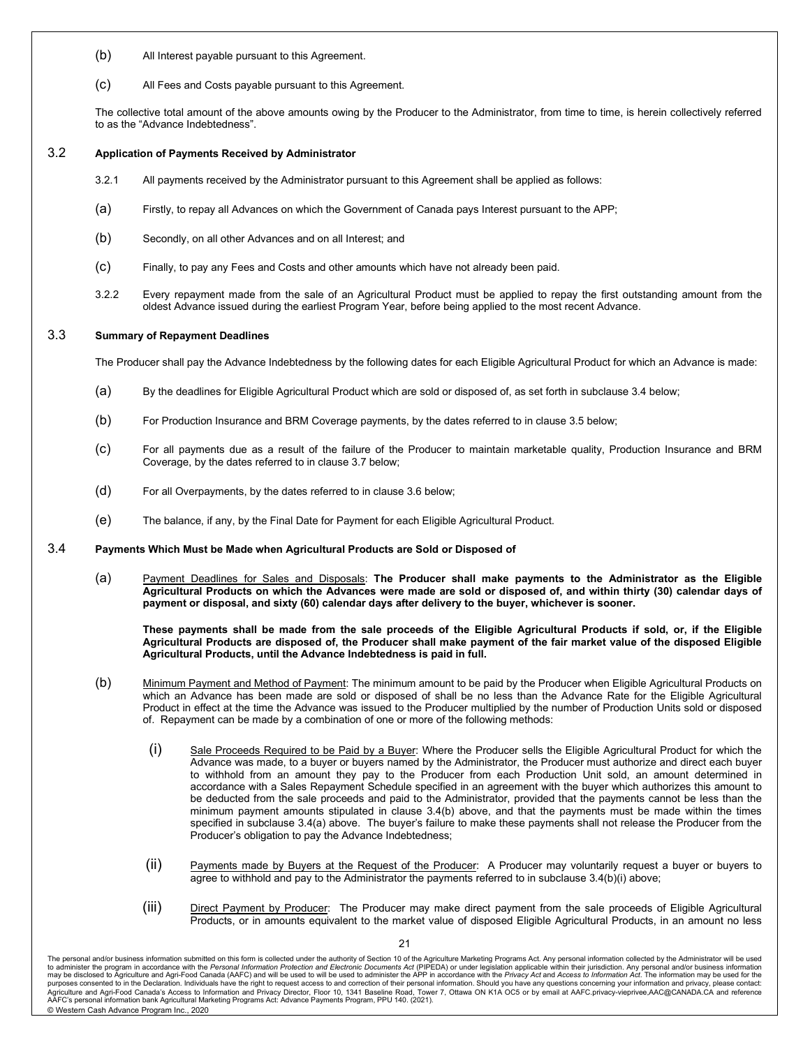- (b) All Interest payable pursuant to this Agreement.
- (c) All Fees and Costs payable pursuant to this Agreement.

The collective total amount of the above amounts owing by the Producer to the Administrator, from time to time, is herein collectively referred to as the "Advance Indebtedness".

#### 3.2 **Application of Payments Received by Administrator**

- 3.2.1 All payments received by the Administrator pursuant to this Agreement shall be applied as follows:
- (a) Firstly, to repay all Advances on which the Government of Canada pays Interest pursuant to the APP;
- (b) Secondly, on all other Advances and on all Interest; and
- (c) Finally, to pay any Fees and Costs and other amounts which have not already been paid.
- 3.2.2 Every repayment made from the sale of an Agricultural Product must be applied to repay the first outstanding amount from the oldest Advance issued during the earliest Program Year, before being applied to the most recent Advance.

### 3.3 **Summary of Repayment Deadlines**

The Producer shall pay the Advance Indebtedness by the following dates for each Eligible Agricultural Product for which an Advance is made:

- (a) By the deadlines for Eligible Agricultural Product which are sold or disposed of, as set forth in subclause 3.4 below;
- (b) For Production Insurance and BRM Coverage payments, by the dates referred to in clause 3.5 below;
- (c) For all payments due as a result of the failure of the Producer to maintain marketable quality, Production Insurance and BRM Coverage, by the dates referred to in clause 3.7 below;
- (d) For all Overpayments, by the dates referred to in clause 3.6 below;
- (e) The balance, if any, by the Final Date for Payment for each Eligible Agricultural Product.

#### 3.4 **Payments Which Must be Made when Agricultural Products are Sold or Disposed of**

(a) Payment Deadlines for Sales and Disposals: **The Producer shall make payments to the Administrator as the Eligible Agricultural Products on which the Advances were made are sold or disposed of, and within thirty (30) calendar days of payment or disposal, and sixty (60) calendar days after delivery to the buyer, whichever is sooner.**

**These payments shall be made from the sale proceeds of the Eligible Agricultural Products if sold, or, if the Eligible Agricultural Products are disposed of, the Producer shall make payment of the fair market value of the disposed Eligible Agricultural Products, until the Advance Indebtedness is paid in full.**

- (b) Minimum Payment and Method of Payment: The minimum amount to be paid by the Producer when Eligible Agricultural Products on which an Advance has been made are sold or disposed of shall be no less than the Advance Rate for the Eligible Agricultural Product in effect at the time the Advance was issued to the Producer multiplied by the number of Production Units sold or disposed of. Repayment can be made by a combination of one or more of the following methods:
	- $(i)$  Sale Proceeds Required to be Paid by a Buyer: Where the Producer sells the Eligible Agricultural Product for which the Advance was made, to a buyer or buyers named by the Administrator, the Producer must authorize and direct each buyer to withhold from an amount they pay to the Producer from each Production Unit sold, an amount determined in accordance with a Sales Repayment Schedule specified in an agreement with the buyer which authorizes this amount to be deducted from the sale proceeds and paid to the Administrator, provided that the payments cannot be less than the minimum payment amounts stipulated in clause 3.4(b) above, and that the payments must be made within the times specified in subclause 3.4(a) above. The buyer's failure to make these payments shall not release the Producer from the Producer's obligation to pay the Advance Indebtedness;
	- (ii) Payments made by Buyers at the Request of the Producer: A Producer may voluntarily request a buyer or buyers to agree to withhold and pay to the Administrator the payments referred to in subclause 3.4(b)(i) above;
	- (iii) Direct Payment by Producer: The Producer may make direct payment from the sale proceeds of Eligible Agricultural Products, or in amounts equivalent to the market value of disposed Eligible Agricultural Products, in an amount no less

The personal and/or business information submitted on this form is collected under the authority of Section 10 of the Agriculture Marketing Programs Act. Any personal information collected by the Administrator will be used purposes consented to in the Declaration. Individuals have the right to request access to and correction of their personal information. Should you have any questions concerning your information and privacy, please contact: AAFC's personal information bank Agricultural Marketing Programs Act: Advance Payments Program, PPU 140. (2021). © Western Cash Advance Program Inc., 2020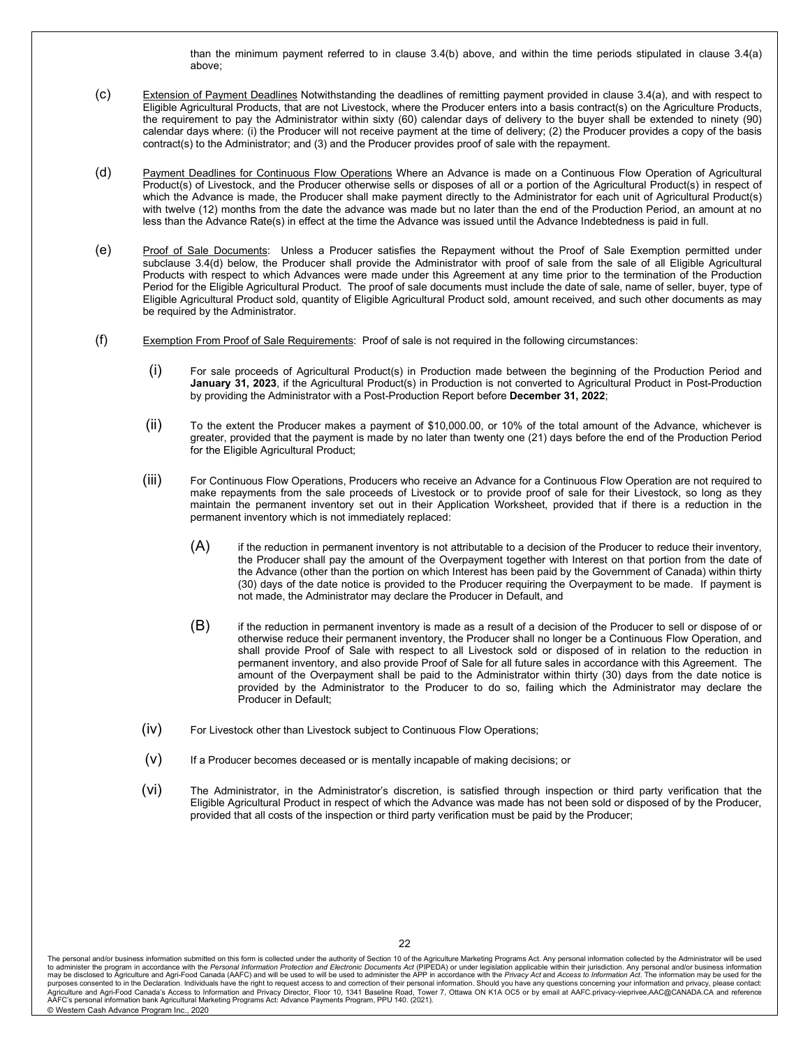than the minimum payment referred to in clause 3.4(b) above, and within the time periods stipulated in clause 3.4(a) above;

- (c) Extension of Payment Deadlines Notwithstanding the deadlines of remitting payment provided in clause 3.4(a), and with respect to Eligible Agricultural Products, that are not Livestock, where the Producer enters into a basis contract(s) on the Agriculture Products, the requirement to pay the Administrator within sixty (60) calendar days of delivery to the buyer shall be extended to ninety (90) calendar days where: (i) the Producer will not receive payment at the time of delivery; (2) the Producer provides a copy of the basis contract(s) to the Administrator; and (3) and the Producer provides proof of sale with the repayment.
- (d) Payment Deadlines for Continuous Flow Operations Where an Advance is made on a Continuous Flow Operation of Agricultural Product(s) of Livestock, and the Producer otherwise sells or disposes of all or a portion of the Agricultural Product(s) in respect of which the Advance is made, the Producer shall make payment directly to the Administrator for each unit of Agricultural Product(s) with twelve (12) months from the date the advance was made but no later than the end of the Production Period, an amount at no less than the Advance Rate(s) in effect at the time the Advance was issued until the Advance Indebtedness is paid in full.
- (e) Proof of Sale Documents: Unless a Producer satisfies the Repayment without the Proof of Sale Exemption permitted under subclause 3.4(d) below, the Producer shall provide the Administrator with proof of sale from the sale of all Eligible Agricultural Products with respect to which Advances were made under this Agreement at any time prior to the termination of the Production Period for the Eligible Agricultural Product. The proof of sale documents must include the date of sale, name of seller, buyer, type of Eligible Agricultural Product sold, quantity of Eligible Agricultural Product sold, amount received, and such other documents as may be required by the Administrator.
- (f) Exemption From Proof of Sale Requirements: Proof of sale is not required in the following circumstances:
	- (i) For sale proceeds of Agricultural Product(s) in Production made between the beginning of the Production Period and **January 31, 2023**, if the Agricultural Product(s) in Production is not converted to Agricultural Product in Post-Production by providing the Administrator with a Post-Production Report before **December 31, 2022**;
	- (ii) To the extent the Producer makes a payment of \$10,000.00, or 10% of the total amount of the Advance, whichever is greater, provided that the payment is made by no later than twenty one (21) days before the end of the Production Period for the Eligible Agricultural Product;
	- (iii) For Continuous Flow Operations, Producers who receive an Advance for a Continuous Flow Operation are not required to make repayments from the sale proceeds of Livestock or to provide proof of sale for their Livestock, so long as they maintain the permanent inventory set out in their Application Worksheet, provided that if there is a reduction in the permanent inventory which is not immediately replaced:
		- $(A)$  if the reduction in permanent inventory is not attributable to a decision of the Producer to reduce their inventory, the Producer shall pay the amount of the Overpayment together with Interest on that portion from the date of the Advance (other than the portion on which Interest has been paid by the Government of Canada) within thirty (30) days of the date notice is provided to the Producer requiring the Overpayment to be made. If payment is not made, the Administrator may declare the Producer in Default, and
		- $(B)$  if the reduction in permanent inventory is made as a result of a decision of the Producer to sell or dispose of or otherwise reduce their permanent inventory, the Producer shall no longer be a Continuous Flow Operation, and shall provide Proof of Sale with respect to all Livestock sold or disposed of in relation to the reduction in permanent inventory, and also provide Proof of Sale for all future sales in accordance with this Agreement. The amount of the Overpayment shall be paid to the Administrator within thirty (30) days from the date notice is provided by the Administrator to the Producer to do so, failing which the Administrator may declare the Producer in Default;
	- (iv) For Livestock other than Livestock subject to Continuous Flow Operations;
	- $(v)$  If a Producer becomes deceased or is mentally incapable of making decisions; or
	- (vi) The Administrator, in the Administrator's discretion, is satisfied through inspection or third party verification that the Eligible Agricultural Product in respect of which the Advance was made has not been sold or disposed of by the Producer, provided that all costs of the inspection or third party verification must be paid by the Producer;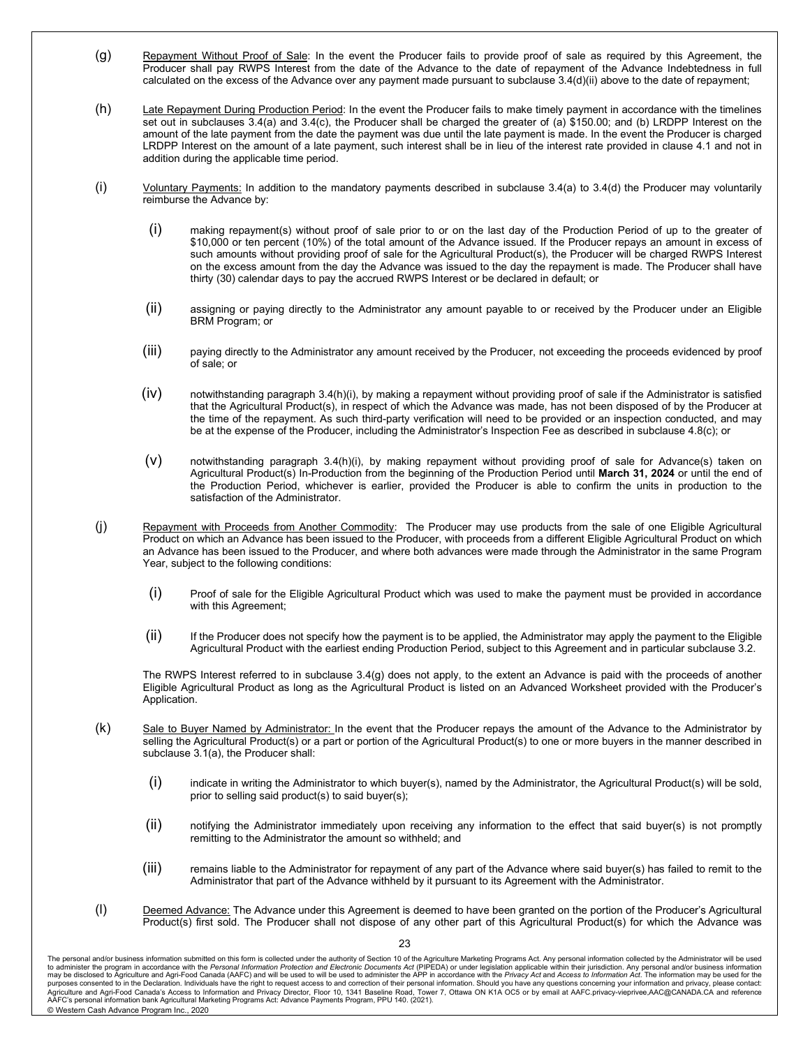- (g) Repayment Without Proof of Sale: In the event the Producer fails to provide proof of sale as required by this Agreement, the Producer shall pay RWPS Interest from the date of the Advance to the date of repayment of the Advance Indebtedness in full calculated on the excess of the Advance over any payment made pursuant to subclause 3.4(d)(ii) above to the date of repayment;
- (h) Late Repayment During Production Period: In the event the Producer fails to make timely payment in accordance with the timelines set out in subclauses 3.4(a) and 3.4(c), the Producer shall be charged the greater of (a) \$150.00; and (b) LRDPP Interest on the amount of the late payment from the date the payment was due until the late payment is made. In the event the Producer is charged LRDPP Interest on the amount of a late payment, such interest shall be in lieu of the interest rate provided in clause 4.1 and not in addition during the applicable time period.
- (i)  $V$ oluntary Payments: In addition to the mandatory payments described in subclause 3.4(a) to 3.4(d) the Producer may voluntarily reimburse the Advance by:
	- (i) making repayment(s) without proof of sale prior to or on the last day of the Production Period of up to the greater of \$10,000 or ten percent (10%) of the total amount of the Advance issued. If the Producer repays an amount in excess of such amounts without providing proof of sale for the Agricultural Product(s), the Producer will be charged RWPS Interest on the excess amount from the day the Advance was issued to the day the repayment is made. The Producer shall have thirty (30) calendar days to pay the accrued RWPS Interest or be declared in default; or
	- (ii) assigning or paying directly to the Administrator any amount payable to or received by the Producer under an Eligible BRM Program; or
	- (iii) paying directly to the Administrator any amount received by the Producer, not exceeding the proceeds evidenced by proof of sale; or
	- $(iv)$  notwithstanding paragraph 3.4(h)(i), by making a repayment without providing proof of sale if the Administrator is satisfied that the Agricultural Product(s), in respect of which the Advance was made, has not been disposed of by the Producer at the time of the repayment. As such third-party verification will need to be provided or an inspection conducted, and may be at the expense of the Producer, including the Administrator's Inspection Fee as described in subclause 4.8(c); or
	- (v) notwithstanding paragraph 3.4(h)(i), by making repayment without providing proof of sale for Advance(s) taken on Agricultural Product(s) In-Production from the beginning of the Production Period until **March 31, 2024** or until the end of the Production Period, whichever is earlier, provided the Producer is able to confirm the units in production to the satisfaction of the Administrator.
- (j) Repayment with Proceeds from Another Commodity: The Producer may use products from the sale of one Eligible Agricultural Product on which an Advance has been issued to the Producer, with proceeds from a different Eligible Agricultural Product on which an Advance has been issued to the Producer, and where both advances were made through the Administrator in the same Program Year, subject to the following conditions:
	- (i) Proof of sale for the Eligible Agricultural Product which was used to make the payment must be provided in accordance with this Agreement;
	- (ii) If the Producer does not specify how the payment is to be applied, the Administrator may apply the payment to the Eligible Agricultural Product with the earliest ending Production Period, subject to this Agreement and in particular subclause 3.2.

The RWPS Interest referred to in subclause 3.4(g) does not apply, to the extent an Advance is paid with the proceeds of another Eligible Agricultural Product as long as the Agricultural Product is listed on an Advanced Worksheet provided with the Producer's Application.

- (k) Sale to Buyer Named by Administrator: In the event that the Producer repays the amount of the Advance to the Administrator by selling the Agricultural Product(s) or a part or portion of the Agricultural Product(s) to one or more buyers in the manner described in subclause 3.1(a), the Producer shall:
	- (i) indicate in writing the Administrator to which buyer(s), named by the Administrator, the Agricultural Product(s) will be sold, prior to selling said product(s) to said buyer(s);
	- (ii) notifying the Administrator immediately upon receiving any information to the effect that said buyer(s) is not promptly remitting to the Administrator the amount so withheld; and
	- (iii) remains liable to the Administrator for repayment of any part of the Advance where said buyer(s) has failed to remit to the Administrator that part of the Advance withheld by it pursuant to its Agreement with the Administrator.
- (I) Deemed Advance: The Advance under this Agreement is deemed to have been granted on the portion of the Producer's Agricultural Product(s) first sold. The Producer shall not dispose of any other part of this Agricultural Product(s) for which the Advance was

The personal and/or business information submitted on this form is collected under the authority of Section 10 of the Agriculture Marketing Programs Act. Any personal information collected by the Administrator will be used purposes consented to in the Declaration. Individuals have the right to request access to and correction of their personal information. Should you have any questions concerning your information and privacy, please contact: AAFC's personal information bank Agricultural Marketing Programs Act: Advance Payments Program, PPU 140. (2021). © Western Cash Advance Program Inc., 2020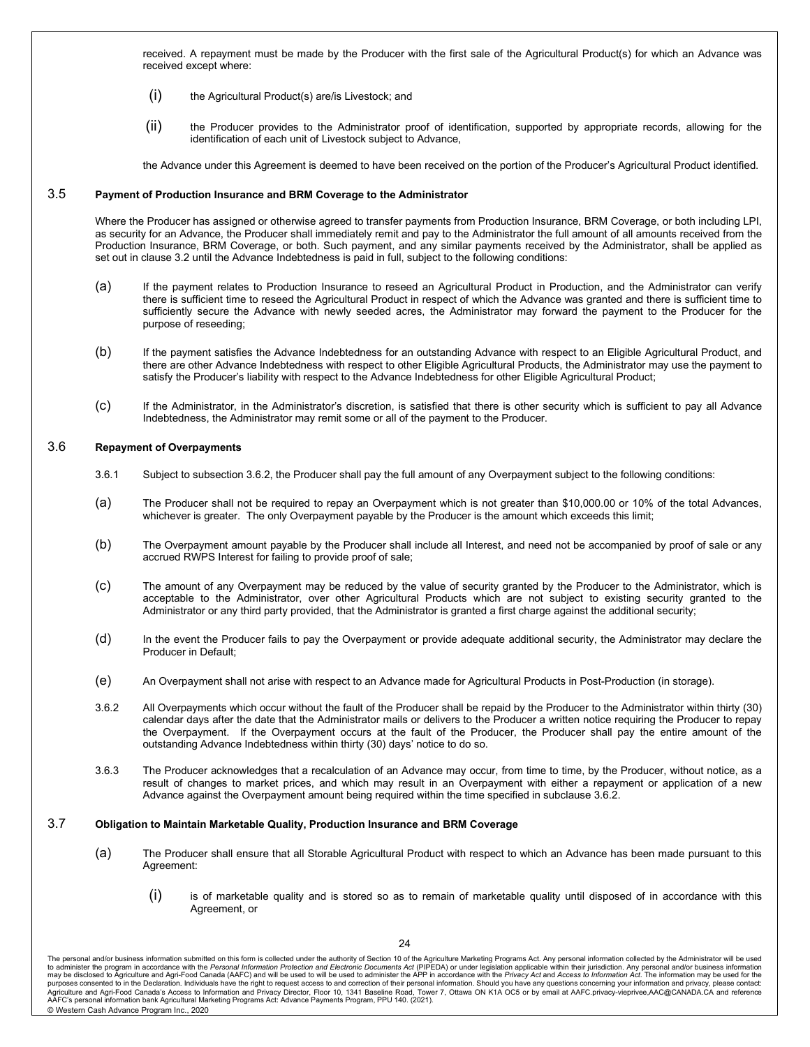received. A repayment must be made by the Producer with the first sale of the Agricultural Product(s) for which an Advance was received except where:

- (i) the Agricultural Product(s) are/is Livestock; and
- (ii) the Producer provides to the Administrator proof of identification, supported by appropriate records, allowing for the identification of each unit of Livestock subject to Advance,

the Advance under this Agreement is deemed to have been received on the portion of the Producer's Agricultural Product identified.

#### 3.5 **Payment of Production Insurance and BRM Coverage to the Administrator**

Where the Producer has assigned or otherwise agreed to transfer payments from Production Insurance, BRM Coverage, or both including LPI, as security for an Advance, the Producer shall immediately remit and pay to the Administrator the full amount of all amounts received from the Production Insurance, BRM Coverage, or both. Such payment, and any similar payments received by the Administrator, shall be applied as set out in clause 3.2 until the Advance Indebtedness is paid in full, subject to the following conditions:

- (a) If the payment relates to Production Insurance to reseed an Agricultural Product in Production, and the Administrator can verify there is sufficient time to reseed the Agricultural Product in respect of which the Advance was granted and there is sufficient time to sufficiently secure the Advance with newly seeded acres, the Administrator may forward the payment to the Producer for the purpose of reseeding;
- (b) If the payment satisfies the Advance Indebtedness for an outstanding Advance with respect to an Eligible Agricultural Product, and there are other Advance Indebtedness with respect to other Eligible Agricultural Products, the Administrator may use the payment to satisfy the Producer's liability with respect to the Advance Indebtedness for other Eligible Agricultural Product;
- (c) If the Administrator, in the Administrator's discretion, is satisfied that there is other security which is sufficient to pay all Advance Indebtedness, the Administrator may remit some or all of the payment to the Producer.

#### 3.6 **Repayment of Overpayments**

- 3.6.1 Subject to subsection 3.6.2, the Producer shall pay the full amount of any Overpayment subject to the following conditions:
- (a) The Producer shall not be required to repay an Overpayment which is not greater than \$10,000.00 or 10% of the total Advances, whichever is greater. The only Overpayment payable by the Producer is the amount which exceeds this limit;
- (b) The Overpayment amount payable by the Producer shall include all Interest, and need not be accompanied by proof of sale or any accrued RWPS Interest for failing to provide proof of sale;
- (c) The amount of any Overpayment may be reduced by the value of security granted by the Producer to the Administrator, which is acceptable to the Administrator, over other Agricultural Products which are not subject to existing security granted to the Administrator or any third party provided, that the Administrator is granted a first charge against the additional security;
- (d) In the event the Producer fails to pay the Overpayment or provide adequate additional security, the Administrator may declare the Producer in Default;
- (e) An Overpayment shall not arise with respect to an Advance made for Agricultural Products in Post-Production (in storage).
- 3.6.2 All Overpayments which occur without the fault of the Producer shall be repaid by the Producer to the Administrator within thirty (30) calendar days after the date that the Administrator mails or delivers to the Producer a written notice requiring the Producer to repay the Overpayment. If the Overpayment occurs at the fault of the Producer, the Producer shall pay the entire amount of the outstanding Advance Indebtedness within thirty (30) days' notice to do so.
- 3.6.3 The Producer acknowledges that a recalculation of an Advance may occur, from time to time, by the Producer, without notice, as a result of changes to market prices, and which may result in an Overpayment with either a repayment or application of a new Advance against the Overpayment amount being required within the time specified in subclause 3.6.2.

#### 3.7 **Obligation to Maintain Marketable Quality, Production Insurance and BRM Coverage**

- (a) The Producer shall ensure that all Storable Agricultural Product with respect to which an Advance has been made pursuant to this Agreement:
	- $(i)$  is of marketable quality and is stored so as to remain of marketable quality until disposed of in accordance with this Agreement, or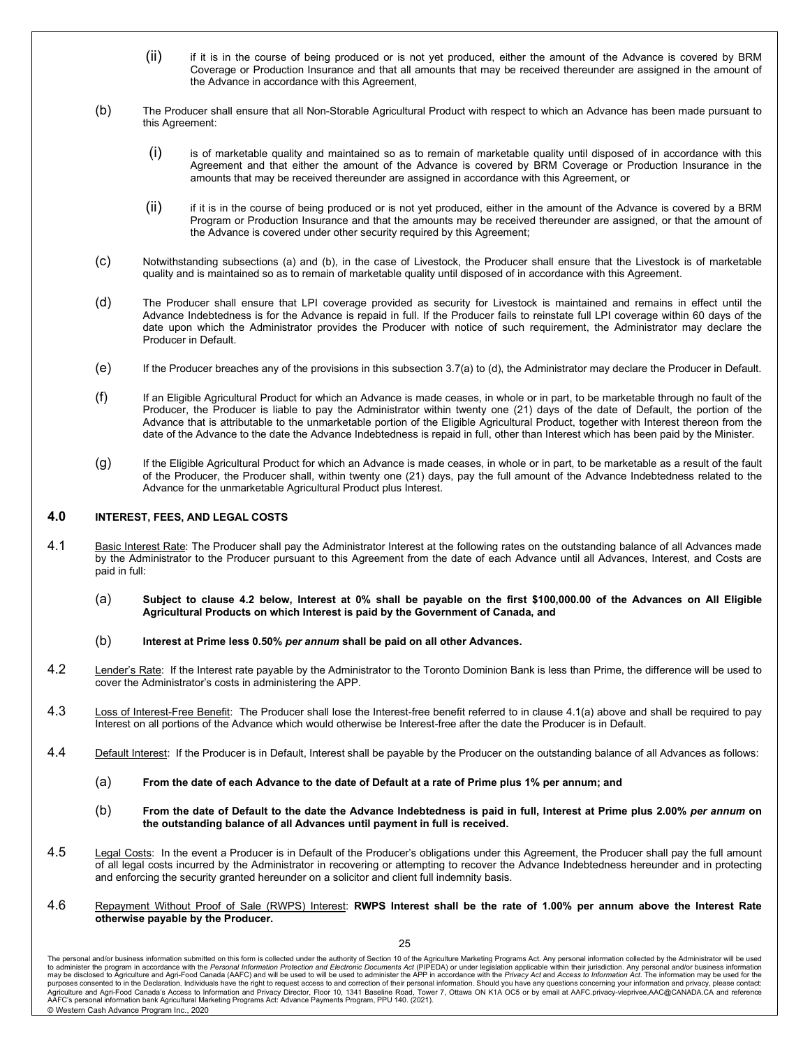- (ii) if it is in the course of being produced or is not yet produced, either the amount of the Advance is covered by BRM Coverage or Production Insurance and that all amounts that may be received thereunder are assigned in the amount of the Advance in accordance with this Agreement,
- (b) The Producer shall ensure that all Non-Storable Agricultural Product with respect to which an Advance has been made pursuant to this Agreement:
	- (i) is of marketable quality and maintained so as to remain of marketable quality until disposed of in accordance with this Agreement and that either the amount of the Advance is covered by BRM Coverage or Production Insurance in the amounts that may be received thereunder are assigned in accordance with this Agreement, or
	- (ii) if it is in the course of being produced or is not yet produced, either in the amount of the Advance is covered by a BRM Program or Production Insurance and that the amounts may be received thereunder are assigned, or that the amount of the Advance is covered under other security required by this Agreement;
- (c) Notwithstanding subsections (a) and (b), in the case of Livestock, the Producer shall ensure that the Livestock is of marketable quality and is maintained so as to remain of marketable quality until disposed of in accordance with this Agreement.
- (d) The Producer shall ensure that LPI coverage provided as security for Livestock is maintained and remains in effect until the Advance Indebtedness is for the Advance is repaid in full. If the Producer fails to reinstate full LPI coverage within 60 days of the date upon which the Administrator provides the Producer with notice of such requirement, the Administrator may declare the Producer in Default.
- (e) If the Producer breaches any of the provisions in this subsection 3.7(a) to (d), the Administrator may declare the Producer in Default.
- (f) If an Eligible Agricultural Product for which an Advance is made ceases, in whole or in part, to be marketable through no fault of the Producer, the Producer is liable to pay the Administrator within twenty one (21) days of the date of Default, the portion of the Advance that is attributable to the unmarketable portion of the Eligible Agricultural Product, together with Interest thereon from the date of the Advance to the date the Advance Indebtedness is repaid in full, other than Interest which has been paid by the Minister.
- (g) If the Eligible Agricultural Product for which an Advance is made ceases, in whole or in part, to be marketable as a result of the fault of the Producer, the Producer shall, within twenty one (21) days, pay the full amount of the Advance Indebtedness related to the Advance for the unmarketable Agricultural Product plus Interest.

#### **4.0 INTEREST, FEES, AND LEGAL COSTS**

- 4.1 Basic Interest Rate: The Producer shall pay the Administrator Interest at the following rates on the outstanding balance of all Advances made by the Administrator to the Producer pursuant to this Agreement from the date of each Advance until all Advances, Interest, and Costs are paid in full:
	- (a) **Subject to clause 4.2 below, Interest at 0% shall be payable on the first \$100,000.00 of the Advances on All Eligible Agricultural Products on which Interest is paid by the Government of Canada, and**
	- (b) **Interest at Prime less 0.50%** *per annum* **shall be paid on all other Advances.**
- 4.2 Lender's Rate: If the Interest rate payable by the Administrator to the Toronto Dominion Bank is less than Prime, the difference will be used to cover the Administrator's costs in administering the APP.
- 4.3 Loss of Interest-Free Benefit: The Producer shall lose the Interest-free benefit referred to in clause 4.1(a) above and shall be required to pay Interest on all portions of the Advance which would otherwise be Interest-free after the date the Producer is in Default.
- 4.4 Default Interest: If the Producer is in Default, Interest shall be payable by the Producer on the outstanding balance of all Advances as follows:
	- (a) **From the date of each Advance to the date of Default at a rate of Prime plus 1% per annum; and**
	- (b) **From the date of Default to the date the Advance Indebtedness is paid in full, Interest at Prime plus 2.00%** *per annum* **on the outstanding balance of all Advances until payment in full is received.**
- 4.5 Legal Costs: In the event a Producer is in Default of the Producer's obligations under this Agreement, the Producer shall pay the full amount of all legal costs incurred by the Administrator in recovering or attempting to recover the Advance Indebtedness hereunder and in protecting and enforcing the security granted hereunder on a solicitor and client full indemnity basis.
- 4.6 Repayment Without Proof of Sale (RWPS) Interest: **RWPS Interest shall be the rate of 1.00% per annum above the Interest Rate otherwise payable by the Producer.**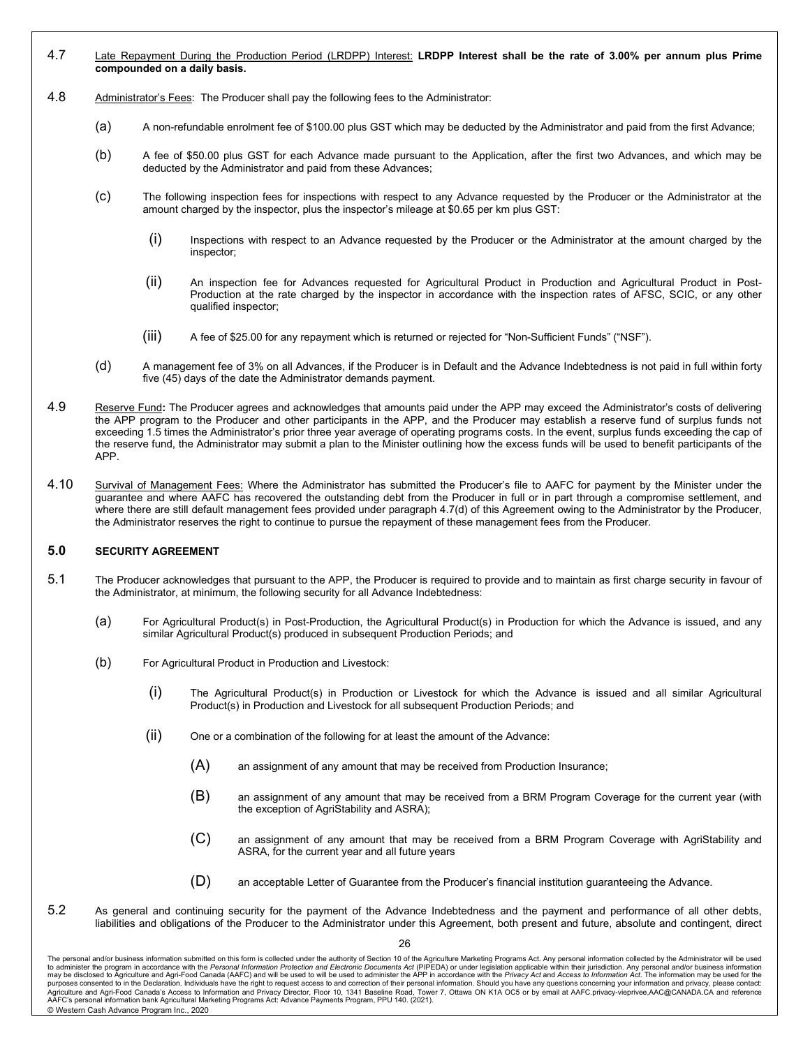- 4.7 Late Repayment During the Production Period (LRDPP) Interest: **LRDPP Interest shall be the rate of 3.00% per annum plus Prime compounded on a daily basis.**
- 4.8 Administrator's Fees: The Producer shall pay the following fees to the Administrator:
	- (a) A non-refundable enrolment fee of \$100.00 plus GST which may be deducted by the Administrator and paid from the first Advance;
	- (b) A fee of \$50.00 plus GST for each Advance made pursuant to the Application, after the first two Advances, and which may be deducted by the Administrator and paid from these Advances;
	- (c) The following inspection fees for inspections with respect to any Advance requested by the Producer or the Administrator at the amount charged by the inspector, plus the inspector's mileage at \$0.65 per km plus GST:
		- (i) Inspections with respect to an Advance requested by the Producer or the Administrator at the amount charged by the inspector;
		- (ii) An inspection fee for Advances requested for Agricultural Product in Production and Agricultural Product in Post-Production at the rate charged by the inspector in accordance with the inspection rates of AFSC, SCIC, or any other qualified inspector;
		- (iii) A fee of \$25.00 for any repayment which is returned or rejected for "Non-Sufficient Funds" ("NSF").
	- (d) A management fee of 3% on all Advances, if the Producer is in Default and the Advance Indebtedness is not paid in full within forty five (45) days of the date the Administrator demands payment.
- 4.9 Reserve Fund**:** The Producer agrees and acknowledges that amounts paid under the APP may exceed the Administrator's costs of delivering the APP program to the Producer and other participants in the APP, and the Producer may establish a reserve fund of surplus funds not exceeding 1.5 times the Administrator's prior three year average of operating programs costs. In the event, surplus funds exceeding the cap of the reserve fund, the Administrator may submit a plan to the Minister outlining how the excess funds will be used to benefit participants of the APP.
- 4.10 Survival of Management Fees: Where the Administrator has submitted the Producer's file to AAFC for payment by the Minister under the guarantee and where AAFC has recovered the outstanding debt from the Producer in full or in part through a compromise settlement, and where there are still default management fees provided under paragraph 4.7(d) of this Agreement owing to the Administrator by the Producer, the Administrator reserves the right to continue to pursue the repayment of these management fees from the Producer.

#### **5.0 SECURITY AGREEMENT**

- 5.1 The Producer acknowledges that pursuant to the APP, the Producer is required to provide and to maintain as first charge security in favour of the Administrator, at minimum, the following security for all Advance Indebtedness:
	- (a) For Agricultural Product(s) in Post-Production, the Agricultural Product(s) in Production for which the Advance is issued, and any similar Agricultural Product(s) produced in subsequent Production Periods; and
	- (b) For Agricultural Product in Production and Livestock:
		- (i) The Agricultural Product(s) in Production or Livestock for which the Advance is issued and all similar Agricultural Product(s) in Production and Livestock for all subsequent Production Periods; and
		- (ii) One or a combination of the following for at least the amount of the Advance:
			- (A) an assignment of any amount that may be received from Production Insurance;
			- (B) an assignment of any amount that may be received from a BRM Program Coverage for the current year (with the exception of AgriStability and ASRA);
			- (C) an assignment of any amount that may be received from a BRM Program Coverage with AgriStability and ASRA, for the current year and all future years
			- (D) an acceptable Letter of Guarantee from the Producer's financial institution guaranteeing the Advance.
- 5.2 As general and continuing security for the payment of the Advance Indebtedness and the payment and performance of all other debts, liabilities and obligations of the Producer to the Administrator under this Agreement, both present and future, absolute and contingent, direct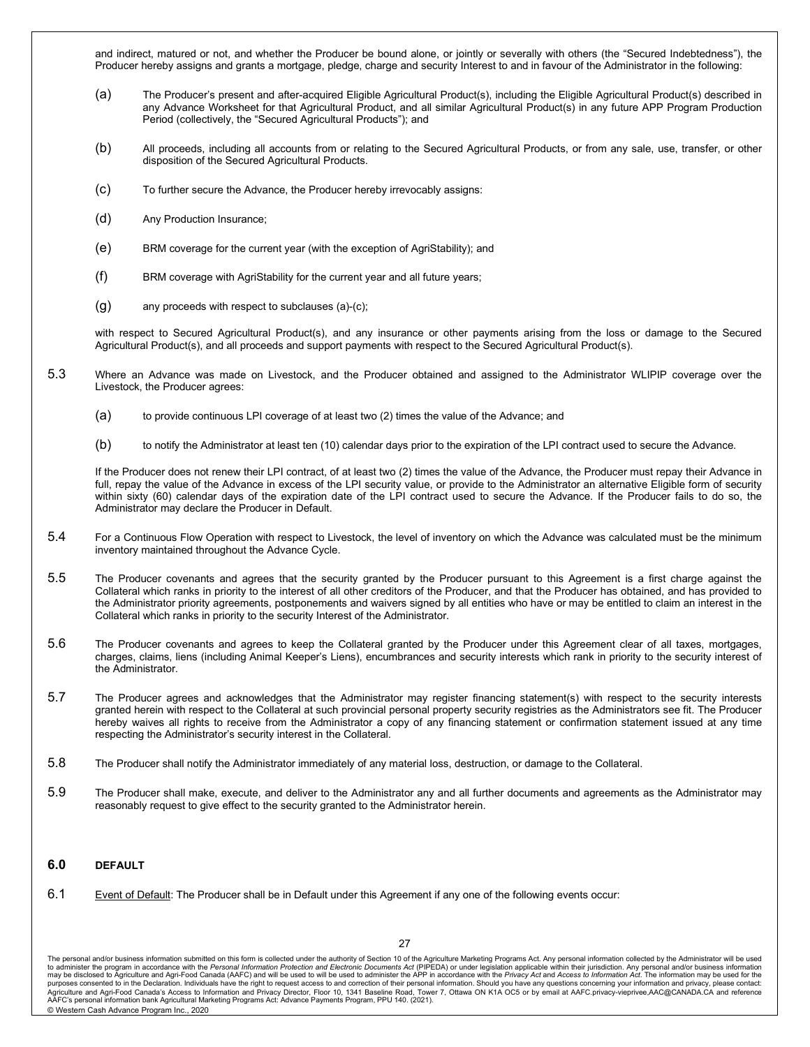and indirect, matured or not, and whether the Producer be bound alone, or jointly or severally with others (the "Secured Indebtedness"), the Producer hereby assigns and grants a mortgage, pledge, charge and security Interest to and in favour of the Administrator in the following:

- (a) The Producer's present and after-acquired Eligible Agricultural Product(s), including the Eligible Agricultural Product(s) described in any Advance Worksheet for that Agricultural Product, and all similar Agricultural Product(s) in any future APP Program Production Period (collectively, the "Secured Agricultural Products"); and
- (b) All proceeds, including all accounts from or relating to the Secured Agricultural Products, or from any sale, use, transfer, or other disposition of the Secured Agricultural Products.
- (c) To further secure the Advance, the Producer hereby irrevocably assigns:
- (d) Any Production Insurance;
- (e) BRM coverage for the current year (with the exception of AgriStability); and
- (f) BRM coverage with AgriStability for the current year and all future years;
- (g) any proceeds with respect to subclauses (a)-(c);

with respect to Secured Agricultural Product(s), and any insurance or other payments arising from the loss or damage to the Secured Agricultural Product(s), and all proceeds and support payments with respect to the Secured Agricultural Product(s).

- 5.3 Where an Advance was made on Livestock, and the Producer obtained and assigned to the Administrator WLIPIP coverage over the Livestock, the Producer agrees:
	- (a) to provide continuous LPI coverage of at least two (2) times the value of the Advance; and
	- (b) to notify the Administrator at least ten (10) calendar days prior to the expiration of the LPI contract used to secure the Advance.

If the Producer does not renew their LPI contract, of at least two (2) times the value of the Advance, the Producer must repay their Advance in full, repay the value of the Advance in excess of the LPI security value, or provide to the Administrator an alternative Eligible form of security within sixty (60) calendar days of the expiration date of the LPI contract used to secure the Advance. If the Producer fails to do so, the Administrator may declare the Producer in Default.

- 5.4 For a Continuous Flow Operation with respect to Livestock, the level of inventory on which the Advance was calculated must be the minimum inventory maintained throughout the Advance Cycle.
- 5.5 The Producer covenants and agrees that the security granted by the Producer pursuant to this Agreement is a first charge against the Collateral which ranks in priority to the interest of all other creditors of the Producer, and that the Producer has obtained, and has provided to the Administrator priority agreements, postponements and waivers signed by all entities who have or may be entitled to claim an interest in the Collateral which ranks in priority to the security Interest of the Administrator.
- 5.6 The Producer covenants and agrees to keep the Collateral granted by the Producer under this Agreement clear of all taxes, mortgages, charges, claims, liens (including Animal Keeper's Liens), encumbrances and security interests which rank in priority to the security interest of the Administrator.
- 5.7 The Producer agrees and acknowledges that the Administrator may register financing statement(s) with respect to the security interests granted herein with respect to the Collateral at such provincial personal property security registries as the Administrators see fit. The Producer hereby waives all rights to receive from the Administrator a copy of any financing statement or confirmation statement issued at any time respecting the Administrator's security interest in the Collateral.
- 5.8 The Producer shall notify the Administrator immediately of any material loss, destruction, or damage to the Collateral.
- 5.9 The Producer shall make, execute, and deliver to the Administrator any and all further documents and agreements as the Administrator may reasonably request to give effect to the security granted to the Administrator herein.

#### **6.0 DEFAULT**

6.1 Event of Default: The Producer shall be in Default under this Agreement if any one of the following events occur:

The personal and/or business information submitted on this form is collected under the authority of Section 10 of the Agriculture Marketing Programs Act. Any personal information collected by the Administrator will be used purposes consented to in the Declaration. Individuals have the right to request access to and correction of their personal information. Should you have any questions concerning your information and privacy, please contact: AAFC's personal information bank Agricultural Marketing Programs Act: Advance Payments Program, PPU 140. (2021). © Western Cash Advance Program Inc., 2020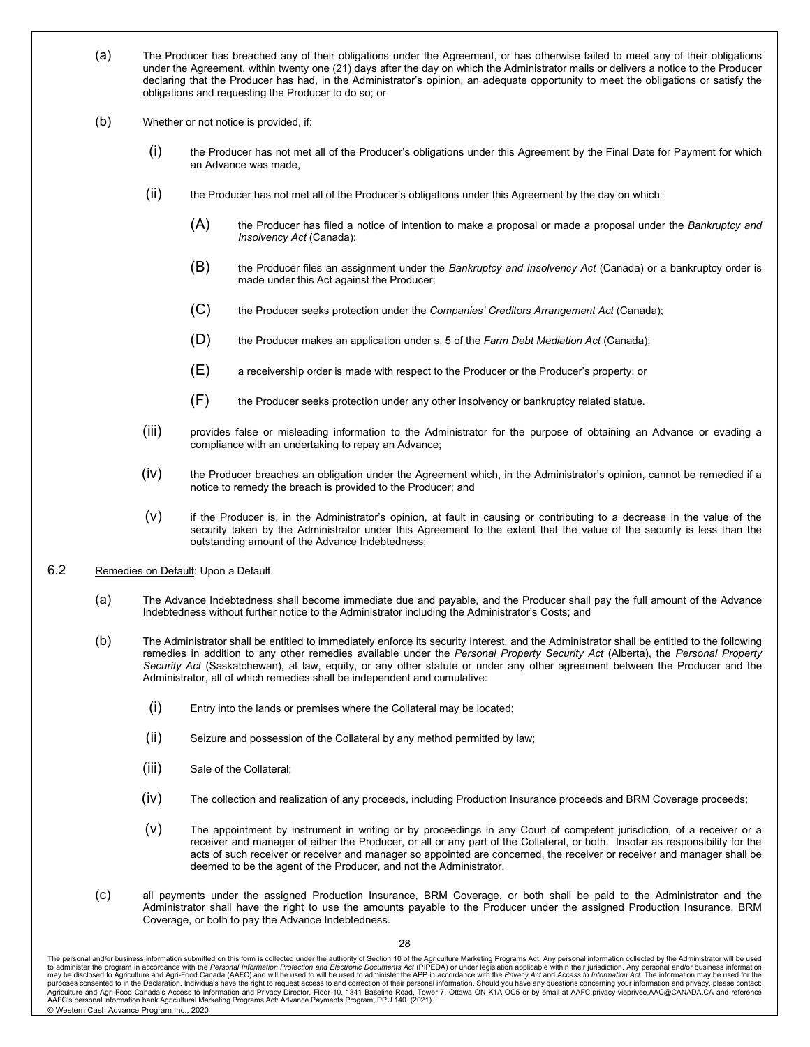- (a) The Producer has breached any of their obligations under the Agreement, or has otherwise failed to meet any of their obligations under the Agreement, within twenty one (21) days after the day on which the Administrator mails or delivers a notice to the Producer declaring that the Producer has had, in the Administrator's opinion, an adequate opportunity to meet the obligations or satisfy the obligations and requesting the Producer to do so; or
- (b) Whether or not notice is provided, if:
	- (i) the Producer has not met all of the Producer's obligations under this Agreement by the Final Date for Payment for which an Advance was made,
	- (ii) the Producer has not met all of the Producer's obligations under this Agreement by the day on which:
		- (A) the Producer has filed a notice of intention to make a proposal or made a proposal under the *Bankruptcy and Insolvency Act* (Canada);
		- (B) the Producer files an assignment under the *Bankruptcy and Insolvency Act* (Canada) or a bankruptcy order is made under this Act against the Producer;
		- (C) the Producer seeks protection under the *Companies' Creditors Arrangement Act* (Canada);
		- (D) the Producer makes an application under s. 5 of the *Farm Debt Mediation Act* (Canada);
		- $(E)$  a receivership order is made with respect to the Producer or the Producer's property; or
		- (F) the Producer seeks protection under any other insolvency or bankruptcy related statue.
	- (iii) provides false or misleading information to the Administrator for the purpose of obtaining an Advance or evading a compliance with an undertaking to repay an Advance;
	- $(iv)$  the Producer breaches an obligation under the Agreement which, in the Administrator's opinion, cannot be remedied if a notice to remedy the breach is provided to the Producer; and
	- (v) if the Producer is, in the Administrator's opinion, at fault in causing or contributing to a decrease in the value of the security taken by the Administrator under this Agreement to the extent that the value of the security is less than the outstanding amount of the Advance Indebtedness;
- 6.2 Remedies on Default: Upon a Default
	- (a) The Advance Indebtedness shall become immediate due and payable, and the Producer shall pay the full amount of the Advance Indebtedness without further notice to the Administrator including the Administrator's Costs; and
	- (b) The Administrator shall be entitled to immediately enforce its security Interest, and the Administrator shall be entitled to the following remedies in addition to any other remedies available under the *Personal Property Security Act* (Alberta), the *Personal Property Security Act* (Saskatchewan), at law, equity, or any other statute or under any other agreement between the Producer and the Administrator, all of which remedies shall be independent and cumulative:
		- (i) Entry into the lands or premises where the Collateral may be located;
		- (ii) Seizure and possession of the Collateral by any method permitted by law;
		- (iii) Sale of the Collateral;
		- (iv) The collection and realization of any proceeds, including Production Insurance proceeds and BRM Coverage proceeds;
		- (v) The appointment by instrument in writing or by proceedings in any Court of competent jurisdiction, of a receiver or a receiver and manager of either the Producer, or all or any part of the Collateral, or both. Insofar as responsibility for the acts of such receiver or receiver and manager so appointed are concerned, the receiver or receiver and manager shall be deemed to be the agent of the Producer, and not the Administrator.
	- (c) all payments under the assigned Production Insurance, BRM Coverage, or both shall be paid to the Administrator and the Administrator shall have the right to use the amounts payable to the Producer under the assigned Production Insurance, BRM Coverage, or both to pay the Advance Indebtedness.

The personal and/or business information submitted on this form is collected under the authority of Section 10 of the Agriculture Marketing Programs Act. Any personal information collected by the Administrator will be used purposes consented to in the Declaration. Individuals have the right to request access to and correction of their personal information. Should you have any questions concerning your information and privacy, please contact: AAFC's personal information bank Agricultural Marketing Programs Act: Advance Payments Program, PPU 140. (2021). © Western Cash Advance Program Inc., 2020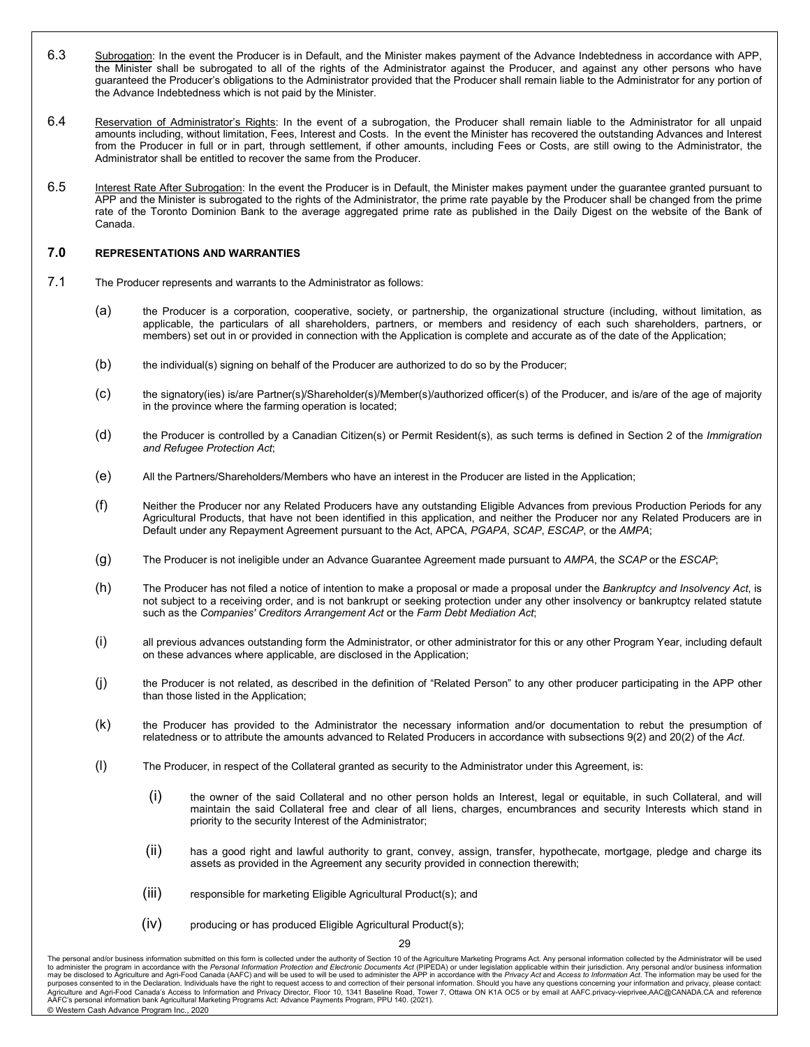- 6.3 Subrogation: In the event the Producer is in Default, and the Minister makes payment of the Advance Indebtedness in accordance with APP, the Minister shall be subrogated to all of the rights of the Administrator against the Producer, and against any other persons who have guaranteed the Producer's obligations to the Administrator provided that the Producer shall remain liable to the Administrator for any portion of the Advance Indebtedness which is not paid by the Minister.
- 6.4 Reservation of Administrator's Rights: In the event of a subrogation, the Producer shall remain liable to the Administrator for all unpaid amounts including, without limitation, Fees, Interest and Costs. In the event the Minister has recovered the outstanding Advances and Interest from the Producer in full or in part, through settlement, if other amounts, including Fees or Costs, are still owing to the Administrator, the Administrator shall be entitled to recover the same from the Producer.
- 6.5 Interest Rate After Subrogation: In the event the Producer is in Default, the Minister makes payment under the guarantee granted pursuant to APP and the Minister is subrogated to the rights of the Administrator, the prime rate payable by the Producer shall be changed from the prime rate of the Toronto Dominion Bank to the average aggregated prime rate as published in the Daily Digest on the website of the Bank of Canada.

#### **7.0 REPRESENTATIONS AND WARRANTIES**

- 7.1 The Producer represents and warrants to the Administrator as follows:
	- (a) the Producer is a corporation, cooperative, society, or partnership, the organizational structure (including, without limitation, as applicable, the particulars of all shareholders, partners, or members and residency of each such shareholders, partners, or members) set out in or provided in connection with the Application is complete and accurate as of the date of the Application;
	- (b) the individual(s) signing on behalf of the Producer are authorized to do so by the Producer;
	- (c) the signatory(ies) is/are Partner(s)/Shareholder(s)/Member(s)/authorized officer(s) of the Producer, and is/are of the age of majority in the province where the farming operation is located;
	- (d) the Producer is controlled by a Canadian Citizen(s) or Permit Resident(s), as such terms is defined in Section 2 of the *Immigration and Refugee Protection Act*;
	- (e) All the Partners/Shareholders/Members who have an interest in the Producer are listed in the Application;
	- (f) Neither the Producer nor any Related Producers have any outstanding Eligible Advances from previous Production Periods for any Agricultural Products, that have not been identified in this application, and neither the Producer nor any Related Producers are in Default under any Repayment Agreement pursuant to the Act, APCA, *PGAPA*, *SCAP*, *ESCAP*, or the *AMPA*;
	- (g) The Producer is not ineligible under an Advance Guarantee Agreement made pursuant to *AMPA*, the *SCAP* or the *ESCAP*;
	- (h) The Producer has not filed a notice of intention to make a proposal or made a proposal under the *Bankruptcy and Insolvency Act*, is not subject to a receiving order, and is not bankrupt or seeking protection under any other insolvency or bankruptcy related statute such as the *Companies' Creditors Arrangement Act* or the *Farm Debt Mediation Act*;
	- (i) all previous advances outstanding form the Administrator, or other administrator for this or any other Program Year, including default on these advances where applicable, are disclosed in the Application;
	- (j) the Producer is not related, as described in the definition of "Related Person" to any other producer participating in the APP other than those listed in the Application;
	- (k) the Producer has provided to the Administrator the necessary information and/or documentation to rebut the presumption of relatedness or to attribute the amounts advanced to Related Producers in accordance with subsections 9(2) and 20(2) of the *Act*.
	- (l) The Producer, in respect of the Collateral granted as security to the Administrator under this Agreement, is:
		- (i) the owner of the said Collateral and no other person holds an Interest, legal or equitable, in such Collateral, and will maintain the said Collateral free and clear of all liens, charges, encumbrances and security Interests which stand in priority to the security Interest of the Administrator;
		- (ii) has a good right and lawful authority to grant, convey, assign, transfer, hypothecate, mortgage, pledge and charge its assets as provided in the Agreement any security provided in connection therewith;
		- (iii) responsible for marketing Eligible Agricultural Product(s); and
		- (iv) producing or has produced Eligible Agricultural Product(s);

The personal and/or business information submitted on this form is collected under the authority of Section 10 of the Agriculture Marketing Programs Act. Any personal information collected by the Administrator will be used purposes consented to in the Declaration. Individuals have the right to request access to and correction of their personal information. Should you have any questions concerning your information and privacy, please contact: AAFC's personal information bank Agricultural Marketing Programs Act: Advance Payments Program, PPU 140. (2021). © Western Cash Advance Program Inc., 2020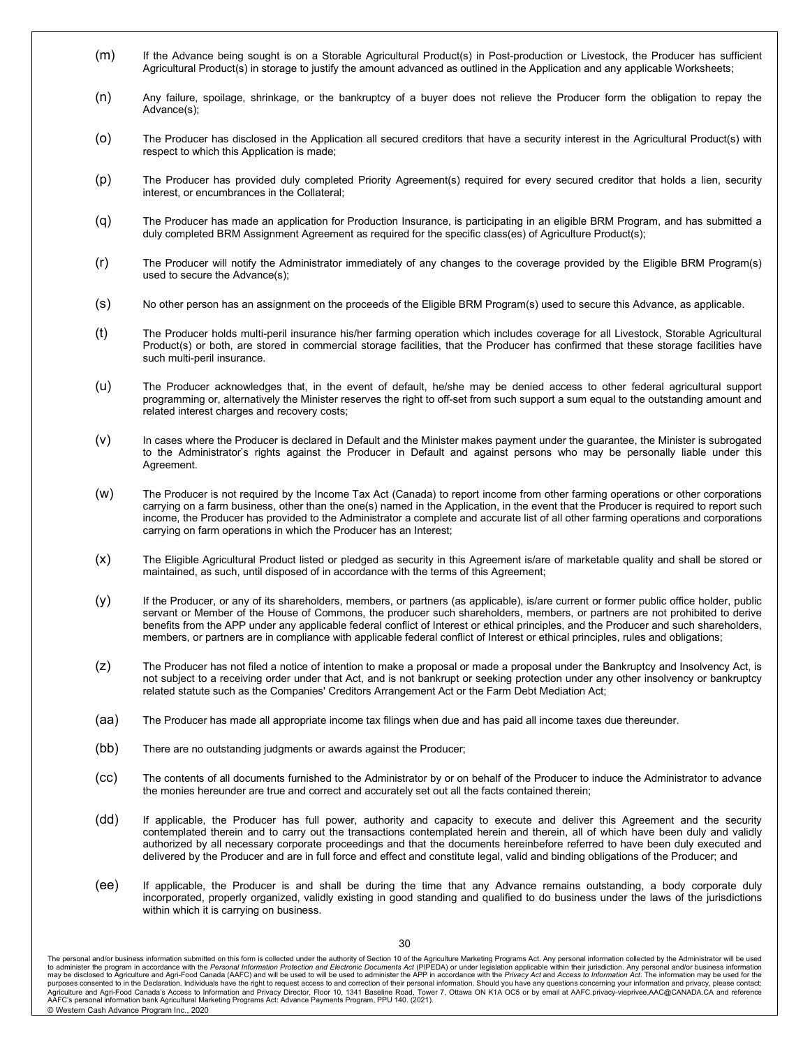- (m) If the Advance being sought is on a Storable Agricultural Product(s) in Post-production or Livestock, the Producer has sufficient Agricultural Product(s) in storage to justify the amount advanced as outlined in the Application and any applicable Worksheets;
- (n) Any failure, spoilage, shrinkage, or the bankruptcy of a buyer does not relieve the Producer form the obligation to repay the Advance(s);
- (o) The Producer has disclosed in the Application all secured creditors that have a security interest in the Agricultural Product(s) with respect to which this Application is made;
- (p) The Producer has provided duly completed Priority Agreement(s) required for every secured creditor that holds a lien, security interest, or encumbrances in the Collateral;
- (q) The Producer has made an application for Production Insurance, is participating in an eligible BRM Program, and has submitted a duly completed BRM Assignment Agreement as required for the specific class(es) of Agriculture Product(s);
- (r) The Producer will notify the Administrator immediately of any changes to the coverage provided by the Eligible BRM Program(s) used to secure the Advance(s);
- (s) No other person has an assignment on the proceeds of the Eligible BRM Program(s) used to secure this Advance, as applicable.
- (t) The Producer holds multi-peril insurance his/her farming operation which includes coverage for all Livestock, Storable Agricultural Product(s) or both, are stored in commercial storage facilities, that the Producer has confirmed that these storage facilities have such multi-peril insurance.
- (u) The Producer acknowledges that, in the event of default, he/she may be denied access to other federal agricultural support programming or, alternatively the Minister reserves the right to off-set from such support a sum equal to the outstanding amount and related interest charges and recovery costs;
- (v) In cases where the Producer is declared in Default and the Minister makes payment under the guarantee, the Minister is subrogated to the Administrator's rights against the Producer in Default and against persons who may be personally liable under this Agreement.
- (w) The Producer is not required by the Income Tax Act (Canada) to report income from other farming operations or other corporations carrying on a farm business, other than the one(s) named in the Application, in the event that the Producer is required to report such income, the Producer has provided to the Administrator a complete and accurate list of all other farming operations and corporations carrying on farm operations in which the Producer has an Interest;
- (x) The Eligible Agricultural Product listed or pledged as security in this Agreement is/are of marketable quality and shall be stored or maintained, as such, until disposed of in accordance with the terms of this Agreement;
- (y) If the Producer, or any of its shareholders, members, or partners (as applicable), is/are current or former public office holder, public servant or Member of the House of Commons, the producer such shareholders, members, or partners are not prohibited to derive benefits from the APP under any applicable federal conflict of Interest or ethical principles, and the Producer and such shareholders, members, or partners are in compliance with applicable federal conflict of Interest or ethical principles, rules and obligations;
- (z) The Producer has not filed a notice of intention to make a proposal or made a proposal under the Bankruptcy and Insolvency Act, is not subject to a receiving order under that Act, and is not bankrupt or seeking protection under any other insolvency or bankruptcy related statute such as the Companies' Creditors Arrangement Act or the Farm Debt Mediation Act;
- (aa) The Producer has made all appropriate income tax filings when due and has paid all income taxes due thereunder.
- (bb) There are no outstanding judgments or awards against the Producer;
- (cc) The contents of all documents furnished to the Administrator by or on behalf of the Producer to induce the Administrator to advance the monies hereunder are true and correct and accurately set out all the facts contained therein;
- (dd) If applicable, the Producer has full power, authority and capacity to execute and deliver this Agreement and the security contemplated therein and to carry out the transactions contemplated herein and therein, all of which have been duly and validly authorized by all necessary corporate proceedings and that the documents hereinbefore referred to have been duly executed and delivered by the Producer and are in full force and effect and constitute legal, valid and binding obligations of the Producer; and
- (ee) If applicable, the Producer is and shall be during the time that any Advance remains outstanding, a body corporate duly incorporated, properly organized, validly existing in good standing and qualified to do business under the laws of the jurisdictions within which it is carrying on business.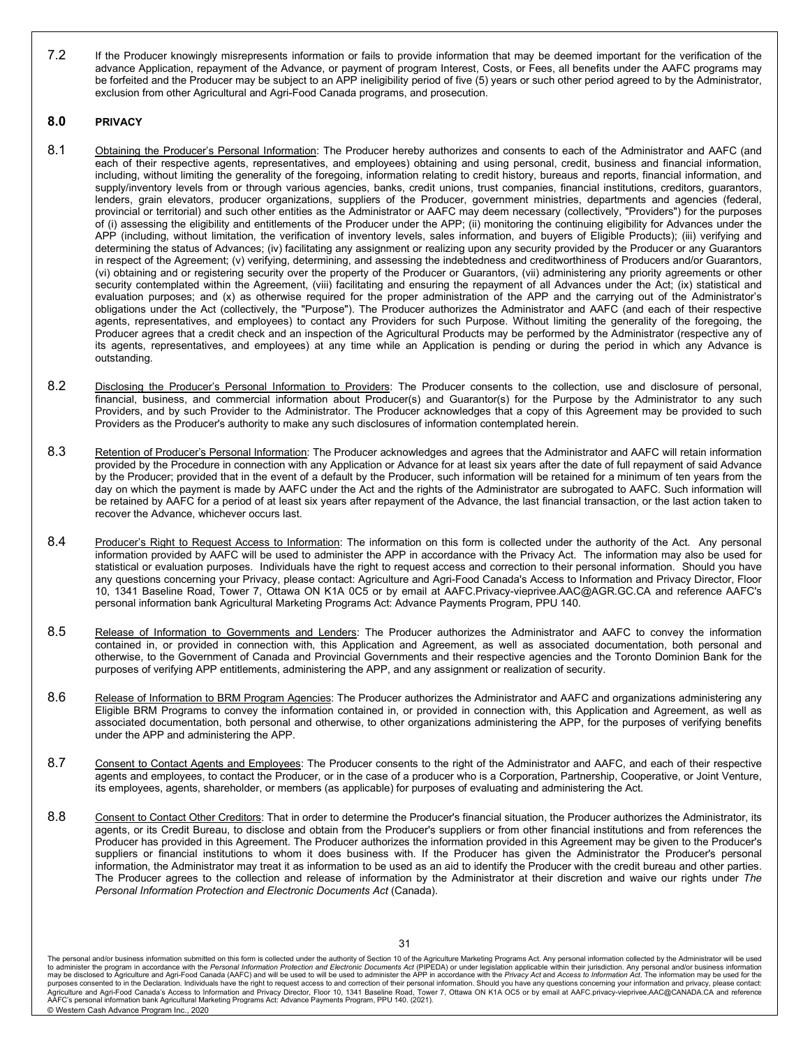7.2 If the Producer knowingly misrepresents information or fails to provide information that may be deemed important for the verification of the advance Application, repayment of the Advance, or payment of program Interest, Costs, or Fees, all benefits under the AAFC programs may be forfeited and the Producer may be subject to an APP ineligibility period of five (5) years or such other period agreed to by the Administrator, exclusion from other Agricultural and Agri-Food Canada programs, and prosecution.

### **8.0 PRIVACY**

- 8.1 Obtaining the Producer's Personal Information: The Producer hereby authorizes and consents to each of the Administrator and AAFC (and each of their respective agents, representatives, and employees) obtaining and using personal, credit, business and financial information, including, without limiting the generality of the foregoing, information relating to credit history, bureaus and reports, financial information, and supply/inventory levels from or through various agencies, banks, credit unions, trust companies, financial institutions, creditors, guarantors, lenders, grain elevators, producer organizations, suppliers of the Producer, government ministries, departments and agencies (federal, provincial or territorial) and such other entities as the Administrator or AAFC may deem necessary (collectively, "Providers") for the purposes of (i) assessing the eligibility and entitlements of the Producer under the APP; (ii) monitoring the continuing eligibility for Advances under the APP (including, without limitation, the verification of inventory levels, sales information, and buyers of Eligible Products); (iii) verifying and determining the status of Advances; (iv) facilitating any assignment or realizing upon any security provided by the Producer or any Guarantors in respect of the Agreement; (v) verifying, determining, and assessing the indebtedness and creditworthiness of Producers and/or Guarantors, (vi) obtaining and or registering security over the property of the Producer or Guarantors, (vii) administering any priority agreements or other security contemplated within the Agreement, (viii) facilitating and ensuring the repayment of all Advances under the Act; (ix) statistical and evaluation purposes; and (x) as otherwise required for the proper administration of the APP and the carrying out of the Administrator's obligations under the Act (collectively, the "Purpose"). The Producer authorizes the Administrator and AAFC (and each of their respective agents, representatives, and employees) to contact any Providers for such Purpose. Without limiting the generality of the foregoing, the Producer agrees that a credit check and an inspection of the Agricultural Products may be performed by the Administrator (respective any of its agents, representatives, and employees) at any time while an Application is pending or during the period in which any Advance is outstanding.
- 8.2 Disclosing the Producer's Personal Information to Providers: The Producer consents to the collection, use and disclosure of personal, financial, business, and commercial information about Producer(s) and Guarantor(s) for the Purpose by the Administrator to any such Providers, and by such Provider to the Administrator. The Producer acknowledges that a copy of this Agreement may be provided to such Providers as the Producer's authority to make any such disclosures of information contemplated herein.
- 8.3 Retention of Producer's Personal Information: The Producer acknowledges and agrees that the Administrator and AAFC will retain information provided by the Procedure in connection with any Application or Advance for at least six years after the date of full repayment of said Advance by the Producer; provided that in the event of a default by the Producer, such information will be retained for a minimum of ten years from the day on which the payment is made by AAFC under the Act and the rights of the Administrator are subrogated to AAFC. Such information will be retained by AAFC for a period of at least six years after repayment of the Advance, the last financial transaction, or the last action taken to recover the Advance, whichever occurs last.
- 8.4 Producer's Right to Request Access to Information: The information on this form is collected under the authority of the Act. Any personal information provided by AAFC will be used to administer the APP in accordance with the Privacy Act. The information may also be used for statistical or evaluation purposes. Individuals have the right to request access and correction to their personal information. Should you have any questions concerning your Privacy, please contact: Agriculture and Agri-Food Canada's Access to Information and Privacy Director, Floor 10, 1341 Baseline Road, Tower 7, Ottawa ON K1A 0C5 or by email at AAFC.Privacy-vieprivee.AAC@AGR.GC.CA and reference AAFC's personal information bank Agricultural Marketing Programs Act: Advance Payments Program, PPU 140.
- 8.5 Release of Information to Governments and Lenders: The Producer authorizes the Administrator and AAFC to convey the information contained in, or provided in connection with, this Application and Agreement, as well as associated documentation, both personal and otherwise, to the Government of Canada and Provincial Governments and their respective agencies and the Toronto Dominion Bank for the purposes of verifying APP entitlements, administering the APP, and any assignment or realization of security.
- 8.6 Release of Information to BRM Program Agencies: The Producer authorizes the Administrator and AAFC and organizations administering any Eligible BRM Programs to convey the information contained in, or provided in connection with, this Application and Agreement, as well as associated documentation, both personal and otherwise, to other organizations administering the APP, for the purposes of verifying benefits under the APP and administering the APP.
- 8.7 Consent to Contact Agents and Employees: The Producer consents to the right of the Administrator and AAFC, and each of their respective agents and employees, to contact the Producer, or in the case of a producer who is a Corporation, Partnership, Cooperative, or Joint Venture, its employees, agents, shareholder, or members (as applicable) for purposes of evaluating and administering the Act.
- 8.8 Consent to Contact Other Creditors: That in order to determine the Producer's financial situation, the Producer authorizes the Administrator, its agents, or its Credit Bureau, to disclose and obtain from the Producer's suppliers or from other financial institutions and from references the Producer has provided in this Agreement. The Producer authorizes the information provided in this Agreement may be given to the Producer's suppliers or financial institutions to whom it does business with. If the Producer has given the Administrator the Producer's personal information, the Administrator may treat it as information to be used as an aid to identify the Producer with the credit bureau and other parties. The Producer agrees to the collection and release of information by the Administrator at their discretion and waive our rights under *The Personal Information Protection and Electronic Documents Act* (Canada).

The personal and/or business information submitted on this form is collected under the authority of Section 10 of the Agriculture Marketing Programs Act. Any personal information collected by the Administrator will be used purposes consented to in the Declaration. Individuals have the right to request access to and correction of their personal information. Should you have any questions concerning your information and privacy, please contact: AAFC's personal information bank Agricultural Marketing Programs Act: Advance Payments Program, PPU 140. (2021). © Western Cash Advance Program Inc., 2020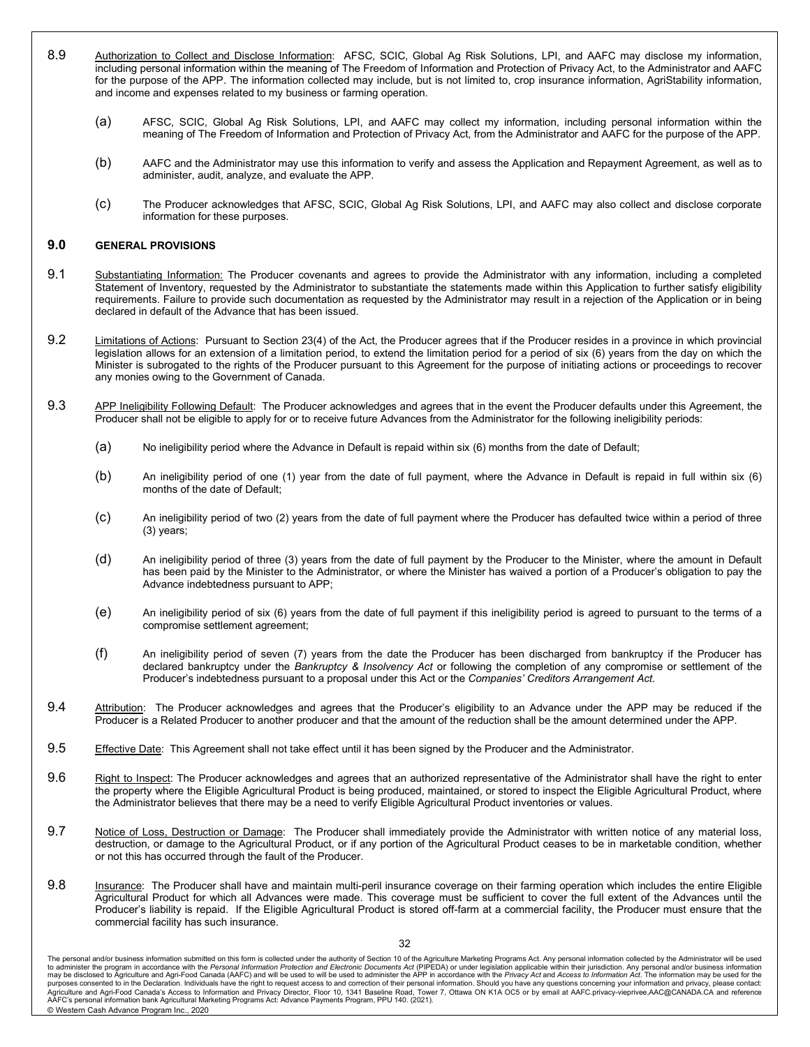- 8.9 Authorization to Collect and Disclose Information: AFSC, SCIC, Global Ag Risk Solutions, LPI, and AAFC may disclose my information, including personal information within the meaning of The Freedom of Information and Protection of Privacy Act, to the Administrator and AAFC for the purpose of the APP. The information collected may include, but is not limited to, crop insurance information, AgriStability information, and income and expenses related to my business or farming operation.
	- (a) AFSC, SCIC, Global Ag Risk Solutions, LPI, and AAFC may collect my information, including personal information within the meaning of The Freedom of Information and Protection of Privacy Act, from the Administrator and AAFC for the purpose of the APP.
	- (b) AAFC and the Administrator may use this information to verify and assess the Application and Repayment Agreement, as well as to administer, audit, analyze, and evaluate the APP.
	- (c) The Producer acknowledges that AFSC, SCIC, Global Ag Risk Solutions, LPI, and AAFC may also collect and disclose corporate information for these purposes.

#### **9.0 GENERAL PROVISIONS**

- 9.1 Substantiating Information: The Producer covenants and agrees to provide the Administrator with any information, including a completed Statement of Inventory, requested by the Administrator to substantiate the statements made within this Application to further satisfy eligibility requirements. Failure to provide such documentation as requested by the Administrator may result in a rejection of the Application or in being declared in default of the Advance that has been issued.
- 9.2 Limitations of Actions: Pursuant to Section 23(4) of the Act, the Producer agrees that if the Producer resides in a province in which provincial legislation allows for an extension of a limitation period, to extend the limitation period for a period of six (6) years from the day on which the Minister is subrogated to the rights of the Producer pursuant to this Agreement for the purpose of initiating actions or proceedings to recover any monies owing to the Government of Canada.
- 9.3 APP Ineligibility Following Default: The Producer acknowledges and agrees that in the event the Producer defaults under this Agreement, the Producer shall not be eligible to apply for or to receive future Advances from the Administrator for the following ineligibility periods:
	- (a) No ineligibility period where the Advance in Default is repaid within six (6) months from the date of Default;
	- (b) An ineligibility period of one (1) year from the date of full payment, where the Advance in Default is repaid in full within six (6) months of the date of Default;
	- (c) An ineligibility period of two (2) years from the date of full payment where the Producer has defaulted twice within a period of three (3) years;
	- (d) An ineligibility period of three (3) years from the date of full payment by the Producer to the Minister, where the amount in Default has been paid by the Minister to the Administrator, or where the Minister has waived a portion of a Producer's obligation to pay the Advance indebtedness pursuant to APP;
	- (e) An ineligibility period of six (6) years from the date of full payment if this ineligibility period is agreed to pursuant to the terms of a compromise settlement agreement;
	- (f) An ineligibility period of seven (7) years from the date the Producer has been discharged from bankruptcy if the Producer has declared bankruptcy under the *Bankruptcy & Insolvency Act* or following the completion of any compromise or settlement of the Producer's indebtedness pursuant to a proposal under this Act or the *Companies' Creditors Arrangement Act*.
- 9.4 Attribution: The Producer acknowledges and agrees that the Producer's eligibility to an Advance under the APP may be reduced if the Producer is a Related Producer to another producer and that the amount of the reduction shall be the amount determined under the APP.
- 9.5 Effective Date: This Agreement shall not take effect until it has been signed by the Producer and the Administrator.
- 9.6 Right to Inspect: The Producer acknowledges and agrees that an authorized representative of the Administrator shall have the right to enter the property where the Eligible Agricultural Product is being produced, maintained, or stored to inspect the Eligible Agricultural Product, where the Administrator believes that there may be a need to verify Eligible Agricultural Product inventories or values.
- 9.7 Notice of Loss, Destruction or Damage: The Producer shall immediately provide the Administrator with written notice of any material loss, destruction, or damage to the Agricultural Product, or if any portion of the Agricultural Product ceases to be in marketable condition, whether or not this has occurred through the fault of the Producer.
- 9.8 **Insurance:** The Producer shall have and maintain multi-peril insurance coverage on their farming operation which includes the entire Eligible Agricultural Product for which all Advances were made. This coverage must be sufficient to cover the full extent of the Advances until the Producer's liability is repaid. If the Eligible Agricultural Product is stored off-farm at a commercial facility, the Producer must ensure that the commercial facility has such insurance.

The personal and/or business information submitted on this form is collected under the authority of Section 10 of the Agriculture Marketing Programs Act. Any personal information collected by the Administrator will be used purposes consented to in the Declaration. Individuals have the right to request access to and correction of their personal information. Should you have any questions concerning your information and privacy, please contact: AAFC's personal information bank Agricultural Marketing Programs Act: Advance Payments Program, PPU 140. (2021). © Western Cash Advance Program Inc., 2020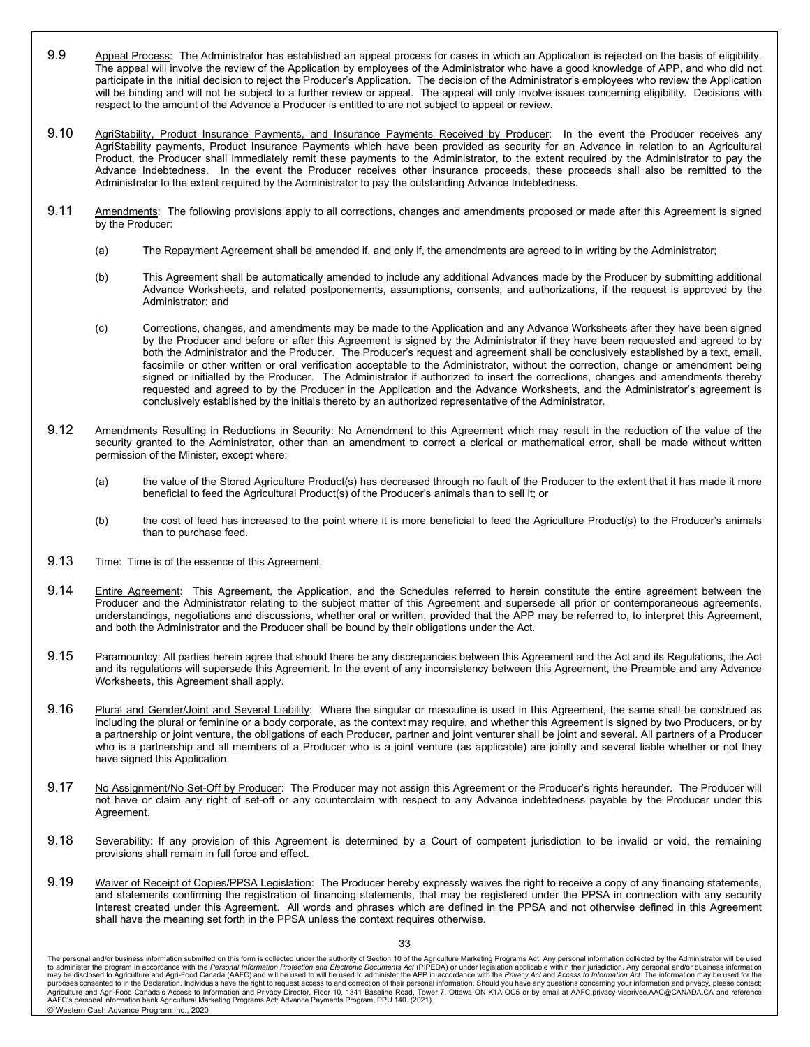- 9.9 Appeal Process: The Administrator has established an appeal process for cases in which an Application is rejected on the basis of eligibility. The appeal will involve the review of the Application by employees of the Administrator who have a good knowledge of APP, and who did not participate in the initial decision to reject the Producer's Application. The decision of the Administrator's employees who review the Application will be binding and will not be subject to a further review or appeal. The appeal will only involve issues concerning eligibility. Decisions with respect to the amount of the Advance a Producer is entitled to are not subject to appeal or review.
- 9.10 AgriStability, Product Insurance Payments, and Insurance Payments Received by Producer: In the event the Producer receives any AgriStability payments, Product Insurance Payments which have been provided as security for an Advance in relation to an Agricultural Product, the Producer shall immediately remit these payments to the Administrator, to the extent required by the Administrator to pay the Advance Indebtedness. In the event the Producer receives other insurance proceeds, these proceeds shall also be remitted to the Administrator to the extent required by the Administrator to pay the outstanding Advance Indebtedness.
- 9.11 Amendments: The following provisions apply to all corrections, changes and amendments proposed or made after this Agreement is signed by the Producer:
	- (a) The Repayment Agreement shall be amended if, and only if, the amendments are agreed to in writing by the Administrator;
	- (b) This Agreement shall be automatically amended to include any additional Advances made by the Producer by submitting additional Advance Worksheets, and related postponements, assumptions, consents, and authorizations, if the request is approved by the Administrator; and
	- (c) Corrections, changes, and amendments may be made to the Application and any Advance Worksheets after they have been signed by the Producer and before or after this Agreement is signed by the Administrator if they have been requested and agreed to by both the Administrator and the Producer. The Producer's request and agreement shall be conclusively established by a text, email, facsimile or other written or oral verification acceptable to the Administrator, without the correction, change or amendment being signed or initialled by the Producer. The Administrator if authorized to insert the corrections, changes and amendments thereby requested and agreed to by the Producer in the Application and the Advance Worksheets, and the Administrator's agreement is conclusively established by the initials thereto by an authorized representative of the Administrator.
- 9.12 Amendments Resulting in Reductions in Security: No Amendment to this Agreement which may result in the reduction of the value of the security granted to the Administrator, other than an amendment to correct a clerical or mathematical error, shall be made without written permission of the Minister, except where:
	- (a) the value of the Stored Agriculture Product(s) has decreased through no fault of the Producer to the extent that it has made it more beneficial to feed the Agricultural Product(s) of the Producer's animals than to sell it; or
	- (b) the cost of feed has increased to the point where it is more beneficial to feed the Agriculture Product(s) to the Producer's animals than to purchase feed.
- 9.13 Time: Time is of the essence of this Agreement.
- 9.14 Entire Agreement: This Agreement, the Application, and the Schedules referred to herein constitute the entire agreement between the Producer and the Administrator relating to the subject matter of this Agreement and supersede all prior or contemporaneous agreements, understandings, negotiations and discussions, whether oral or written, provided that the APP may be referred to, to interpret this Agreement, and both the Administrator and the Producer shall be bound by their obligations under the Act.
- 9.15 Paramountcy: All parties herein agree that should there be any discrepancies between this Agreement and the Act and its Regulations, the Act and its regulations will supersede this Agreement. In the event of any inconsistency between this Agreement, the Preamble and any Advance Worksheets, this Agreement shall apply.
- 9.16 Plural and Gender/Joint and Several Liability: Where the singular or masculine is used in this Agreement, the same shall be construed as including the plural or feminine or a body corporate, as the context may require, and whether this Agreement is signed by two Producers, or by a partnership or joint venture, the obligations of each Producer, partner and joint venturer shall be joint and several. All partners of a Producer who is a partnership and all members of a Producer who is a joint venture (as applicable) are jointly and several liable whether or not they have signed this Application.
- 9.17 No Assignment/No Set-Off by Producer: The Producer may not assign this Agreement or the Producer's rights hereunder. The Producer will not have or claim any right of set-off or any counterclaim with respect to any Advance indebtedness payable by the Producer under this Agreement.
- 9.18 Severability: If any provision of this Agreement is determined by a Court of competent jurisdiction to be invalid or void, the remaining provisions shall remain in full force and effect.
- 9.19 Waiver of Receipt of Copies/PPSA Legislation: The Producer hereby expressly waives the right to receive a copy of any financing statements, and statements confirming the registration of financing statements, that may be registered under the PPSA in connection with any security Interest created under this Agreement. All words and phrases which are defined in the PPSA and not otherwise defined in this Agreement shall have the meaning set forth in the PPSA unless the context requires otherwise.

The personal and/or business information submitted on this form is collected under the authority of Section 10 of the Agriculture Marketing Programs Act. Any personal information collected by the Administrator will be used purposes consented to in the Declaration. Individuals have the right to request access to and correction of their personal information. Should you have any questions concerning your information and privacy, please contact: AAFC's personal information bank Agricultural Marketing Programs Act: Advance Payments Program, PPU 140. (2021). © Western Cash Advance Program Inc., 2020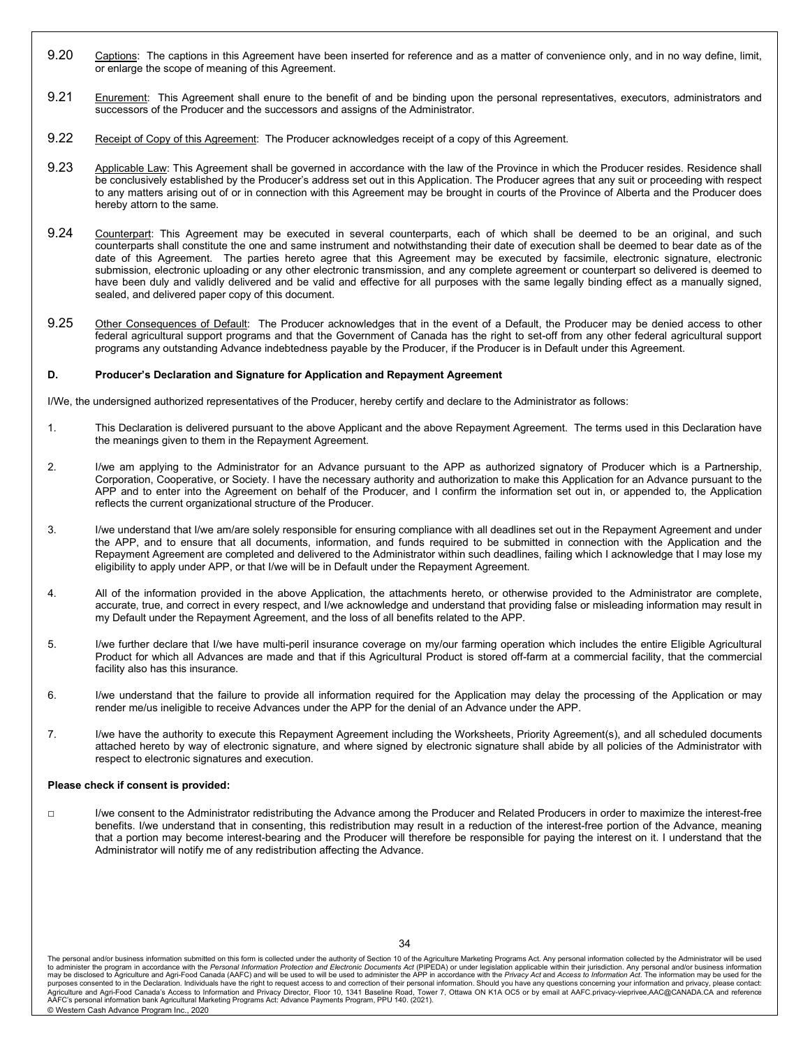- 9.20 Captions: The captions in this Agreement have been inserted for reference and as a matter of convenience only, and in no way define, limit, or enlarge the scope of meaning of this Agreement.
- 9.21 Enurement: This Agreement shall enure to the benefit of and be binding upon the personal representatives, executors, administrators and successors of the Producer and the successors and assigns of the Administrator.
- 9.22 Receipt of Copy of this Agreement: The Producer acknowledges receipt of a copy of this Agreement.
- 9.23 Applicable Law: This Agreement shall be governed in accordance with the law of the Province in which the Producer resides. Residence shall be conclusively established by the Producer's address set out in this Application. The Producer agrees that any suit or proceeding with respect to any matters arising out of or in connection with this Agreement may be brought in courts of the Province of Alberta and the Producer does hereby attorn to the same.
- 9.24 Counterpart: This Agreement may be executed in several counterparts, each of which shall be deemed to be an original, and such counterparts shall constitute the one and same instrument and notwithstanding their date of execution shall be deemed to bear date as of the date of this Agreement. The parties hereto agree that this Agreement may be executed by facsimile, electronic signature, electronic submission, electronic uploading or any other electronic transmission, and any complete agreement or counterpart so delivered is deemed to have been duly and validly delivered and be valid and effective for all purposes with the same legally binding effect as a manually signed, sealed, and delivered paper copy of this document.
- 9.25 Other Consequences of Default: The Producer acknowledges that in the event of a Default, the Producer may be denied access to other federal agricultural support programs and that the Government of Canada has the right to set-off from any other federal agricultural support programs any outstanding Advance indebtedness payable by the Producer, if the Producer is in Default under this Agreement.

#### **D. Producer's Declaration and Signature for Application and Repayment Agreement**

I/We, the undersigned authorized representatives of the Producer, hereby certify and declare to the Administrator as follows:

- 1. This Declaration is delivered pursuant to the above Applicant and the above Repayment Agreement. The terms used in this Declaration have the meanings given to them in the Repayment Agreement.
- 2. I/we am applying to the Administrator for an Advance pursuant to the APP as authorized signatory of Producer which is a Partnership, Corporation, Cooperative, or Society. I have the necessary authority and authorization to make this Application for an Advance pursuant to the APP and to enter into the Agreement on behalf of the Producer, and I confirm the information set out in, or appended to, the Application reflects the current organizational structure of the Producer.
- 3. I/we understand that I/we am/are solely responsible for ensuring compliance with all deadlines set out in the Repayment Agreement and under the APP, and to ensure that all documents, information, and funds required to be submitted in connection with the Application and the Repayment Agreement are completed and delivered to the Administrator within such deadlines, failing which I acknowledge that I may lose my eligibility to apply under APP, or that I/we will be in Default under the Repayment Agreement.
- 4. All of the information provided in the above Application, the attachments hereto, or otherwise provided to the Administrator are complete, accurate, true, and correct in every respect, and I/we acknowledge and understand that providing false or misleading information may result in my Default under the Repayment Agreement, and the loss of all benefits related to the APP.
- 5. I/we further declare that I/we have multi-peril insurance coverage on my/our farming operation which includes the entire Eligible Agricultural Product for which all Advances are made and that if this Agricultural Product is stored off-farm at a commercial facility, that the commercial facility also has this insurance.
- 6. I/we understand that the failure to provide all information required for the Application may delay the processing of the Application or may render me/us ineligible to receive Advances under the APP for the denial of an Advance under the APP.
- 7. I/we have the authority to execute this Repayment Agreement including the Worksheets, Priority Agreement(s), and all scheduled documents attached hereto by way of electronic signature, and where signed by electronic signature shall abide by all policies of the Administrator with respect to electronic signatures and execution.

#### **Please check if consent is provided:**

**□** I/we consent to the Administrator redistributing the Advance among the Producer and Related Producers in order to maximize the interest-free benefits. I/we understand that in consenting, this redistribution may result in a reduction of the interest-free portion of the Advance, meaning that a portion may become interest-bearing and the Producer will therefore be responsible for paying the interest on it. I understand that the Administrator will notify me of any redistribution affecting the Advance.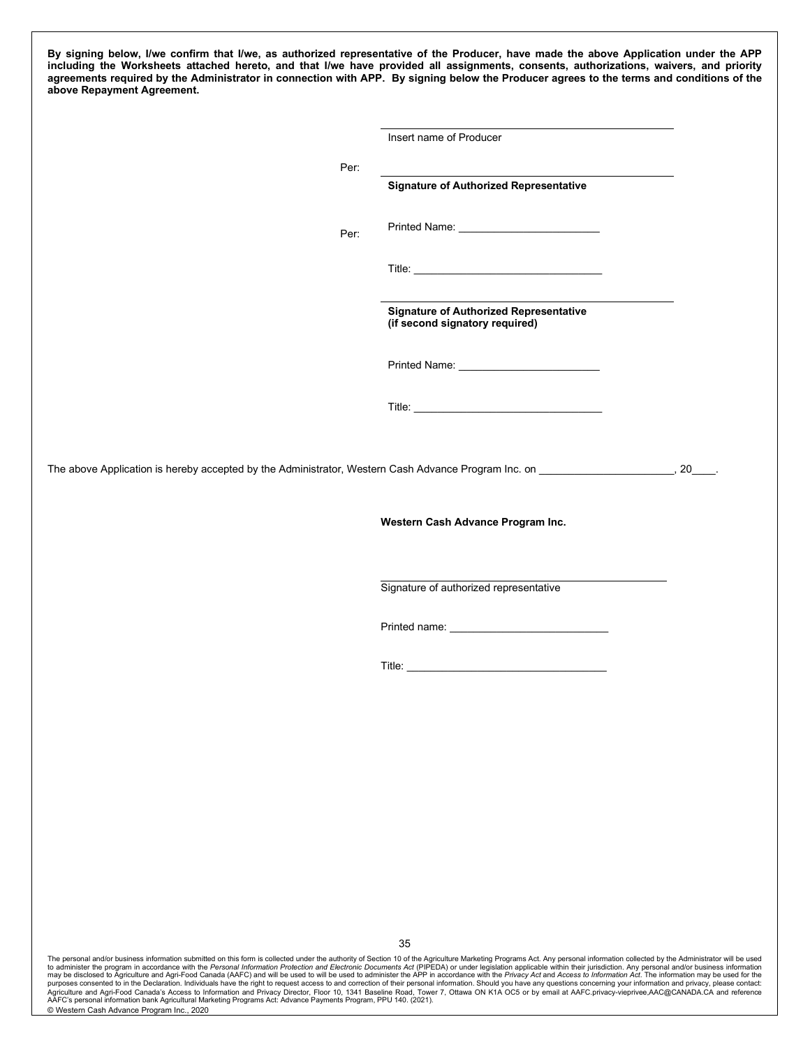**By signing below, I/we confirm that I/we, as authorized representative of the Producer, have made the above Application under the APP including the Worksheets attached hereto, and that I/we have provided all assignments, consents, authorizations, waivers, and priority agreements required by the Administrator in connection with APP. By signing below the Producer agrees to the terms and conditions of the above Repayment Agreement.**

|      | Insert name of Producer                                                         |  |
|------|---------------------------------------------------------------------------------|--|
| Per: |                                                                                 |  |
|      | <b>Signature of Authorized Representative</b>                                   |  |
| Per: |                                                                                 |  |
|      |                                                                                 |  |
|      | <b>Signature of Authorized Representative</b><br>(if second signatory required) |  |
|      |                                                                                 |  |
|      |                                                                                 |  |
|      |                                                                                 |  |
|      | Western Cash Advance Program Inc.                                               |  |
|      | Signature of authorized representative                                          |  |
|      |                                                                                 |  |
|      |                                                                                 |  |
|      |                                                                                 |  |
|      |                                                                                 |  |
|      |                                                                                 |  |
|      |                                                                                 |  |
|      |                                                                                 |  |
|      |                                                                                 |  |
|      | 35                                                                              |  |

may be disclosed to Agriculture and Agri-Food Canada (AAFC) and will be used to will be used to administer the APP in accordance with the *Privacy Act* and Access to I*nformation Act*. The information may be used for the<br> AAFC's personal information bank Agricultural Marketing Programs Act: Advance Payments Program, PPU 140. (2021). © Western Cash Advance Program Inc., 2020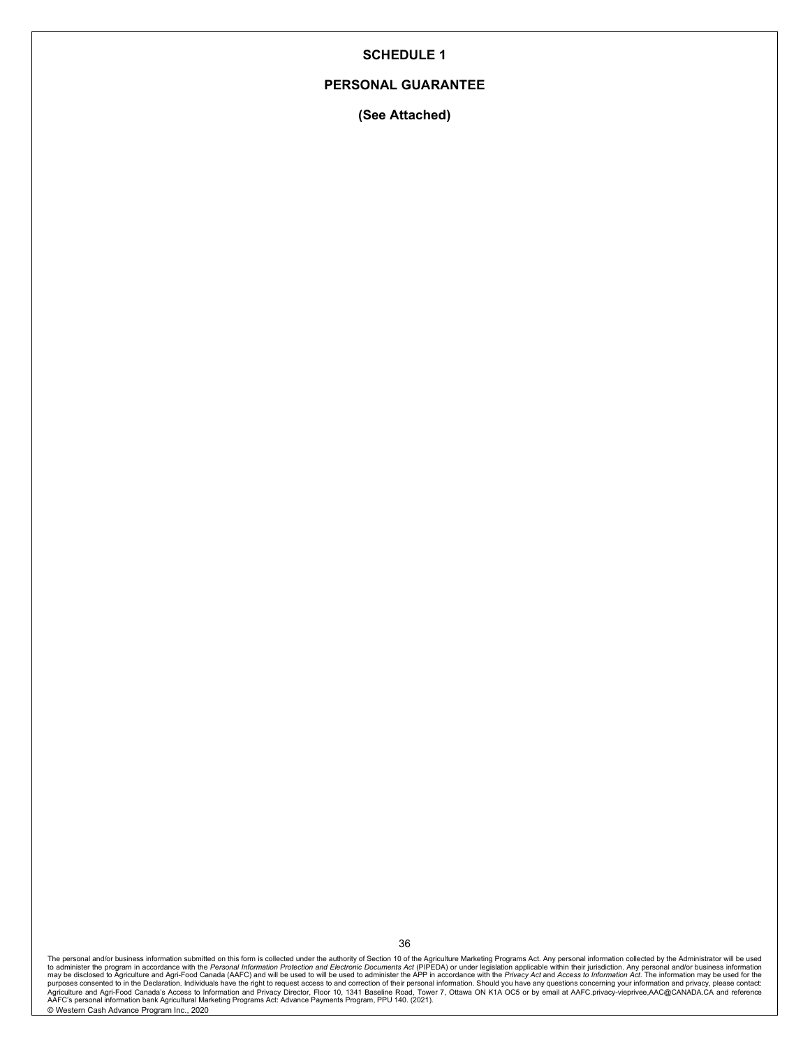### **PERSONAL GUARANTEE**

**(See Attached)**

The personal and/or business information submitted on this form is collected under the authority of Section 10 of the Agriculture Marketing Programs Act. Any personal information collected by the Administrator will be used © Western Cash Advance Program Inc., 2020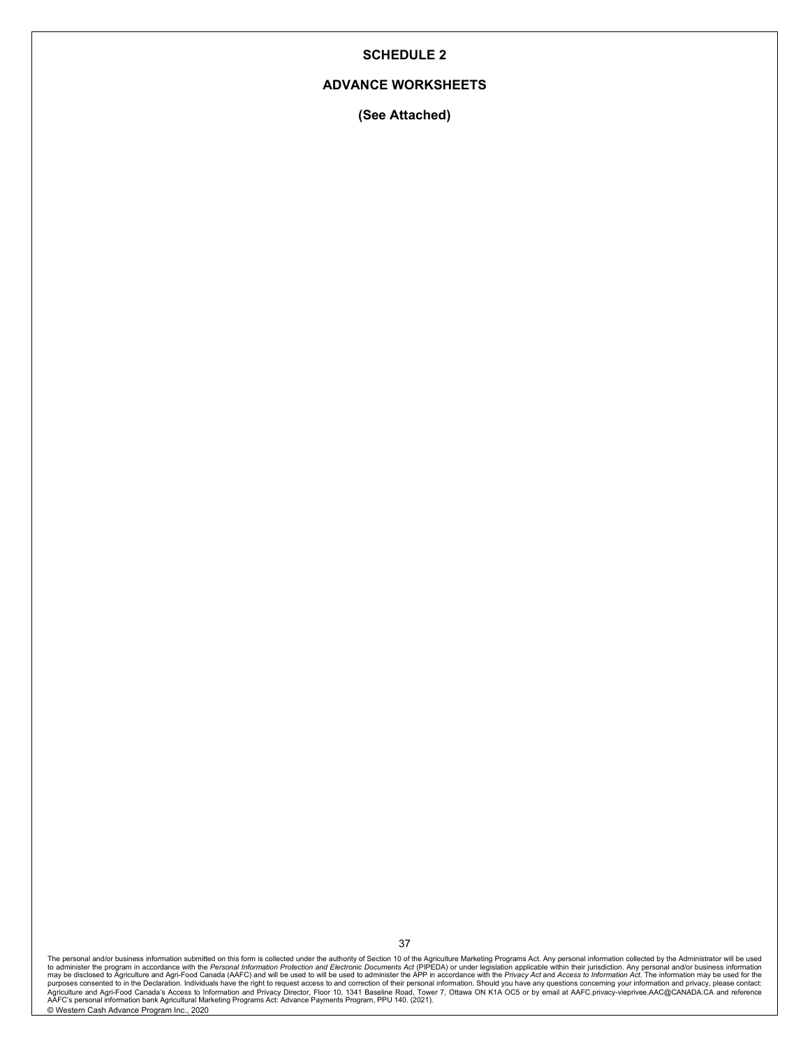### **ADVANCE WORKSHEETS**

**(See Attached)**

The personal and/or business information submitted on this form is collected under the authority of Section 10 of the Agriculture Marketing Programs Act. Any personal information collected by the Administrator will be used © Western Cash Advance Program Inc., 2020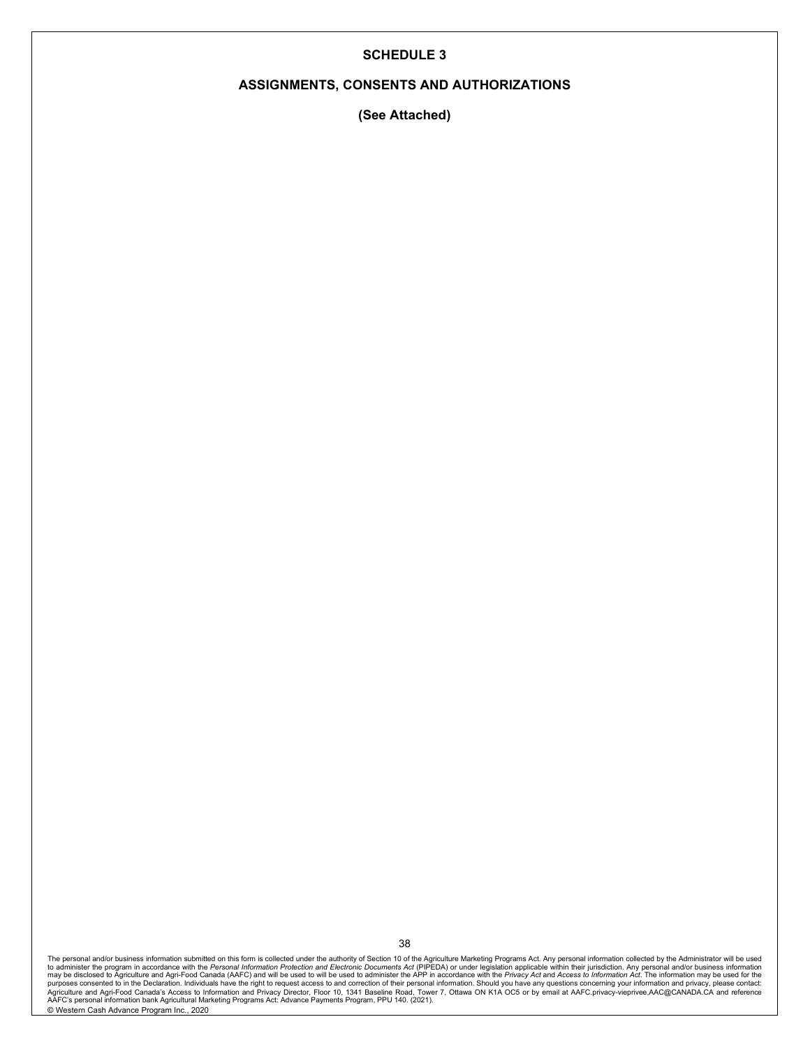### **ASSIGNMENTS, CONSENTS AND AUTHORIZATIONS**

**(See Attached)**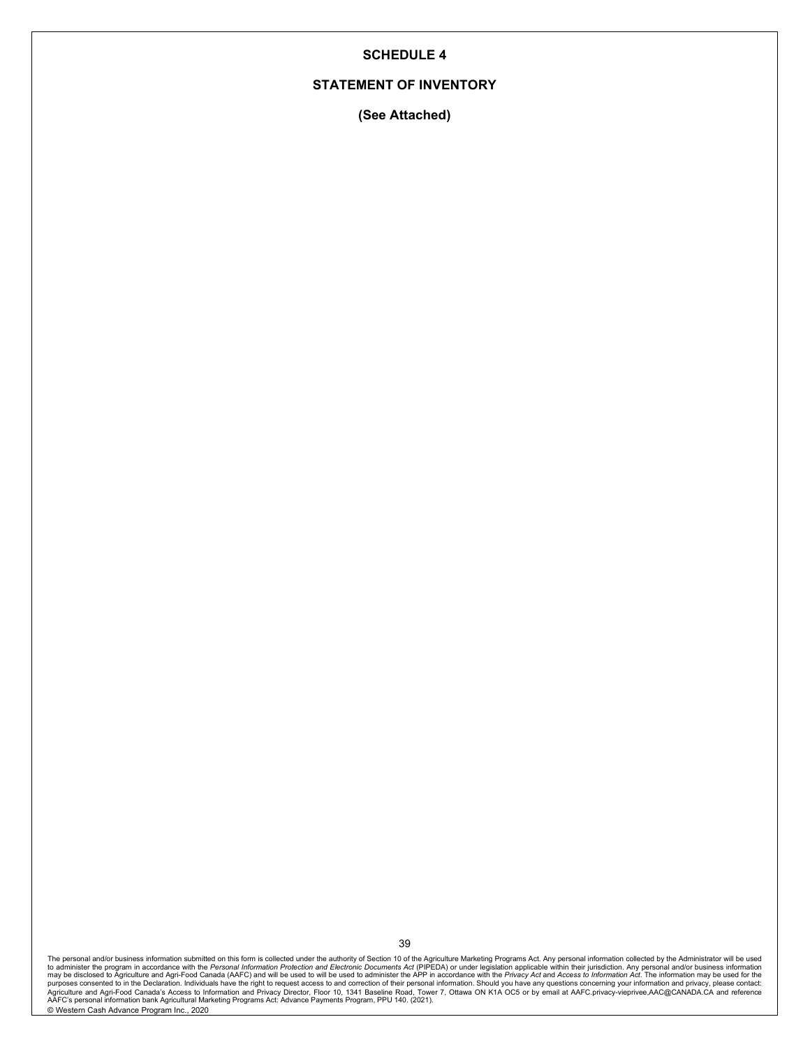### **STATEMENT OF INVENTORY**

**(See Attached)**

The personal and/or business information submitted on this form is collected under the authority of Section 10 of the Agriculture Marketing Programs Act. Any personal information collected by the Administrator will be used © Western Cash Advance Program Inc., 2020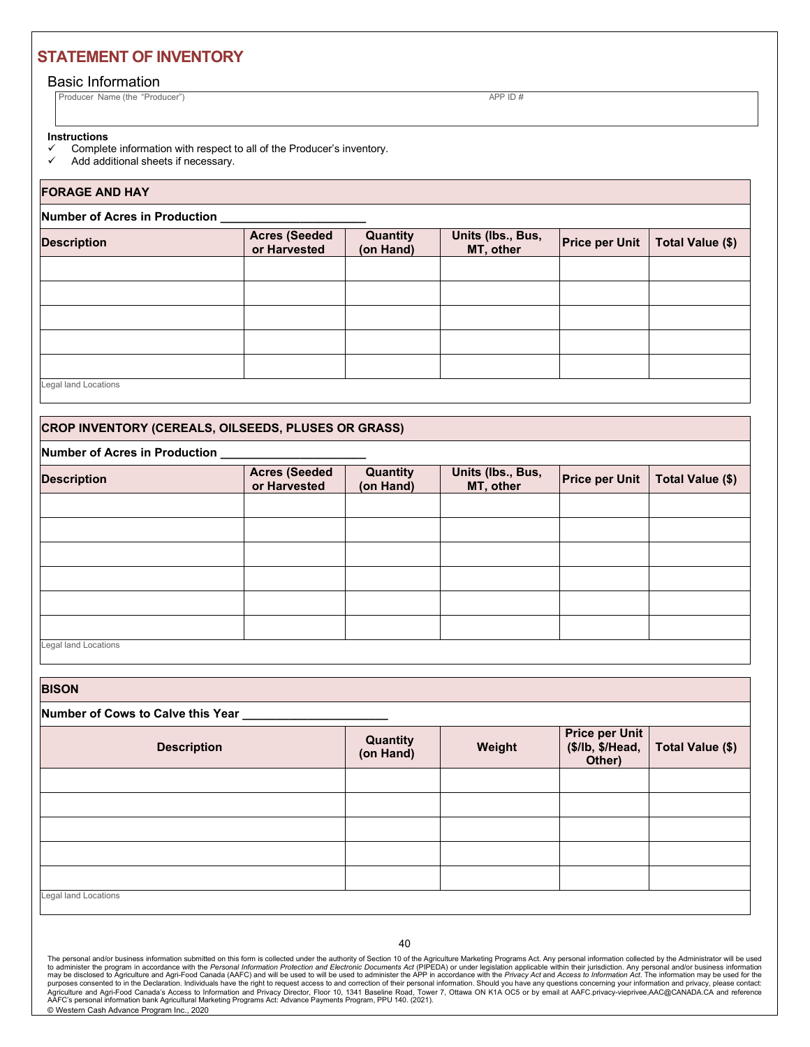# **STATEMENT OF INVENTORY**

### Basic Information

Producer Name (the "Producer") APP ID #

### **Instructions**

- $\checkmark$  Complete information with respect to all of the Producer's inventory.<br> $\checkmark$  Add additional sheets if necessary.
- Add additional sheets if necessary.

### **FORAGE AND HAY**

#### **Number of Acres in Production \_\_\_\_\_\_\_\_\_\_\_\_\_\_\_\_\_\_\_\_\_\_**

| <b>Description</b>   | <b>Acres (Seeded</b><br>or Harvested | Quantity<br>(on Hand) | Units (lbs., Bus,<br>MT, other | <b>Price per Unit</b> | Total Value (\$) |
|----------------------|--------------------------------------|-----------------------|--------------------------------|-----------------------|------------------|
|                      |                                      |                       |                                |                       |                  |
|                      |                                      |                       |                                |                       |                  |
|                      |                                      |                       |                                |                       |                  |
|                      |                                      |                       |                                |                       |                  |
|                      |                                      |                       |                                |                       |                  |
| Legal land Locations |                                      |                       |                                |                       |                  |

### **CROP INVENTORY (CEREALS, OILSEEDS, PLUSES OR GRASS)**

### **Number of Acres in Production \_\_\_\_\_\_\_\_\_\_\_\_\_\_\_\_\_\_\_\_\_\_**

| <b>Description</b>   | <b>Acres (Seeded</b><br>or Harvested | Quantity<br>(on Hand) | Units (lbs., Bus,<br>MT, other | <b>Price per Unit</b> | Total Value (\$) |
|----------------------|--------------------------------------|-----------------------|--------------------------------|-----------------------|------------------|
|                      |                                      |                       |                                |                       |                  |
|                      |                                      |                       |                                |                       |                  |
|                      |                                      |                       |                                |                       |                  |
|                      |                                      |                       |                                |                       |                  |
|                      |                                      |                       |                                |                       |                  |
|                      |                                      |                       |                                |                       |                  |
| Legal land Locations |                                      |                       |                                |                       |                  |

**BISON**

| ------                              |                       |        |        |                                                     |
|-------------------------------------|-----------------------|--------|--------|-----------------------------------------------------|
| Number of Cows to Calve this Year _ |                       |        |        |                                                     |
| <b>Description</b>                  | Quantity<br>(on Hand) | Weight | Other) | Price per Unit<br>(\$/lb, \$/Head, Total Value (\$) |
|                                     |                       |        |        |                                                     |
|                                     |                       |        |        |                                                     |
|                                     |                       |        |        |                                                     |
|                                     |                       |        |        |                                                     |
|                                     |                       |        |        |                                                     |
| <b>Legal land Locations</b>         |                       |        |        |                                                     |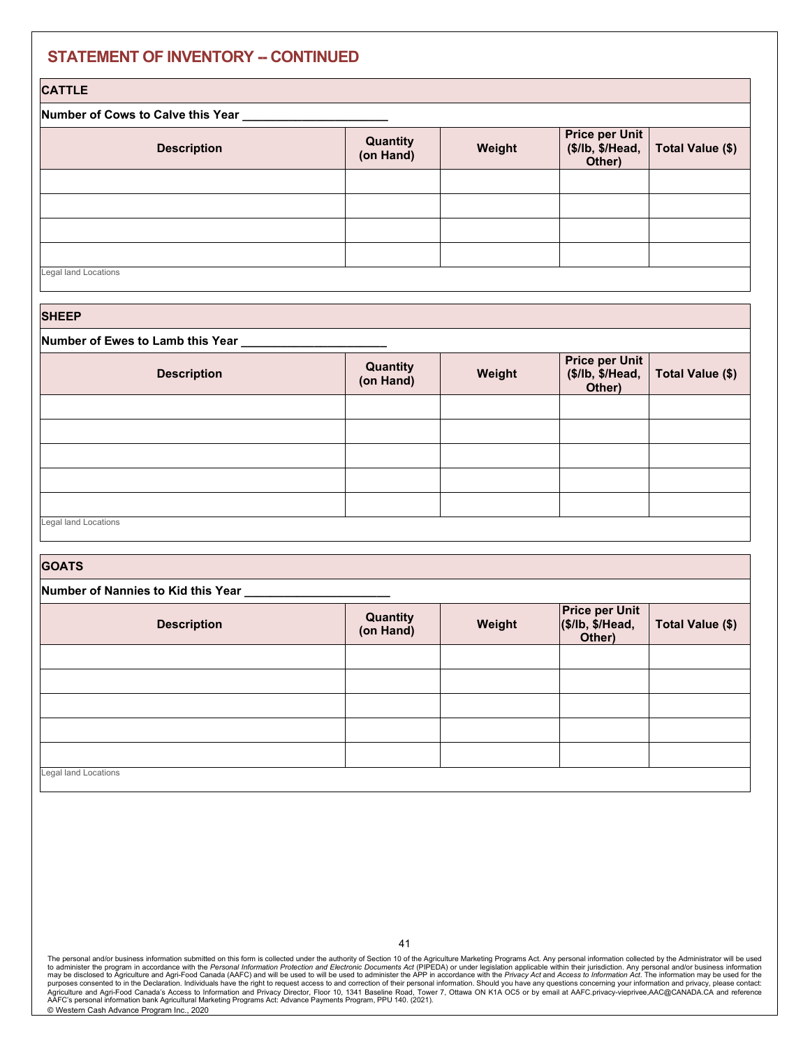# **STATEMENT OF INVENTORY -- CONTINUED**

### **CATTLE**

### **Number of Cows to Calve this Year \_\_\_\_\_\_\_\_\_\_\_\_\_\_\_\_\_\_\_\_\_\_**

| <b>Description</b>   | <b>Quantity</b><br>(on Hand) | Weight | Other) | Price per Unit<br>(\$/lb, \$/Head, Total Value (\$) |
|----------------------|------------------------------|--------|--------|-----------------------------------------------------|
|                      |                              |        |        |                                                     |
|                      |                              |        |        |                                                     |
|                      |                              |        |        |                                                     |
|                      |                              |        |        |                                                     |
| Legal land Locations |                              |        |        |                                                     |

**SHEEP** 

### **Number of Ewes to Lamb this Year \_\_\_\_\_\_\_\_\_\_\_\_\_\_\_\_\_\_\_\_\_\_**

| <b>Description</b>   | <b>Quantity</b><br>(on Hand) | Weight | <b>Price per Unit</b> | (\$/lb, \$/Head, Total Value (\$)<br>Other) |
|----------------------|------------------------------|--------|-----------------------|---------------------------------------------|
|                      |                              |        |                       |                                             |
|                      |                              |        |                       |                                             |
|                      |                              |        |                       |                                             |
|                      |                              |        |                       |                                             |
|                      |                              |        |                       |                                             |
| Legal land Locations |                              |        |                       |                                             |

| <b>GOATS</b>                       |                       |        |                                                     |                  |  |
|------------------------------------|-----------------------|--------|-----------------------------------------------------|------------------|--|
| Number of Nannies to Kid this Year |                       |        |                                                     |                  |  |
| <b>Description</b>                 | Quantity<br>(on Hand) | Weight | <b>Price per Unit</b><br>(\$/lb, \$/Head,<br>Other) | Total Value (\$) |  |
|                                    |                       |        |                                                     |                  |  |
|                                    |                       |        |                                                     |                  |  |
|                                    |                       |        |                                                     |                  |  |
|                                    |                       |        |                                                     |                  |  |
|                                    |                       |        |                                                     |                  |  |
| Legal land Locations               |                       |        |                                                     |                  |  |